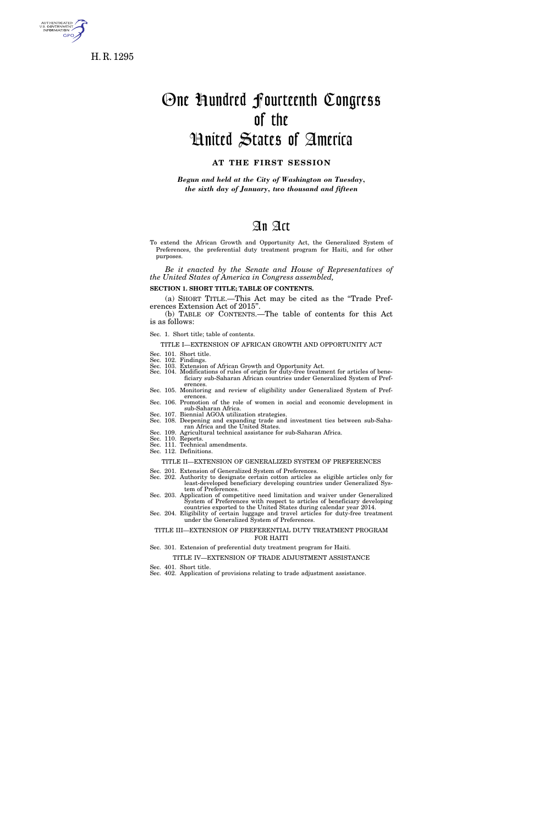

H. R. 1295

# One Hundred Fourteenth Congress of the

# United States of America

# **AT THE FIRST SESSION**

*Begun and held at the City of Washington on Tuesday, the sixth day of January, two thousand and fifteen* 

# An Act

To extend the African Growth and Opportunity Act, the Generalized System of Preferences, the preferential duty treatment program for Haiti, and for other purposes.

*Be it enacted by the Senate and House of Representatives of the United States of America in Congress assembled,* 

**SECTION 1. SHORT TITLE; TABLE OF CONTENTS.** 

(a) SHORT TITLE.—This Act may be cited as the ''Trade Preferences Extension Act of 2015''.

(b) TABLE OF CONTENTS.—The table of contents for this Act is as follows:

Sec. 1. Short title; table of contents.

TITLE I—EXTENSION OF AFRICAN GROWTH AND OPPORTUNITY ACT Sec. 101. Short title.

- Sec. 102. Findings.
- Sec. 103. Extension of African Growth and Opportunity Act.
- Sec. 104. Modifications of rules of origin for duty-free treatment for articles of beneficiary sub-Saharan African countries under Generalized System of Pref-
- erences. Sec. 105. Monitoring and review of eligibility under Generalized System of Pref-
- erences. Sec. 106. Promotion of the role of women in social and economic development in sub-Saharan Africa. Sec. 107. Biennial AGOA utilization strategies.
- Sec. 108. Deepening and expanding trade and investment ties between sub-Saharan Africa and the United States.
- Sec. 109. Agricultural technical assistance for sub-Saharan Africa. Sec. 110. Reports.
- Sec. 111. Technical amendments.
- Sec. 112. Definitions.
	- TITLE II—EXTENSION OF GENERALIZED SYSTEM OF PREFERENCES
- Sec. 201. Extension of Generalized System of Preferences. Sec. 202. Authority to designate certain cotton articles as eligible articles only for least-developed beneficiary developing countries under Generalized System of Preferences.
- Sec. 203. Application of competitive need limitation and waiver under Generalized System of Preferences with respect to articles of beneficiary developing countries exported to the United States during calendar year 2014.
- Sec. 204. Eligibility of certain luggage and travel articles for duty-free treatment under the Generalized System of Preferences.
- TITLE III—EXTENSION OF PREFERENTIAL DUTY TREATMENT PROGRAM FOR HAITI

#### Sec. 301. Extension of preferential duty treatment program for Haiti.

- TITLE IV—EXTENSION OF TRADE ADJUSTMENT ASSISTANCE
- Sec. 401. Short title. Sec. 402. Application of provisions relating to trade adjustment assistance.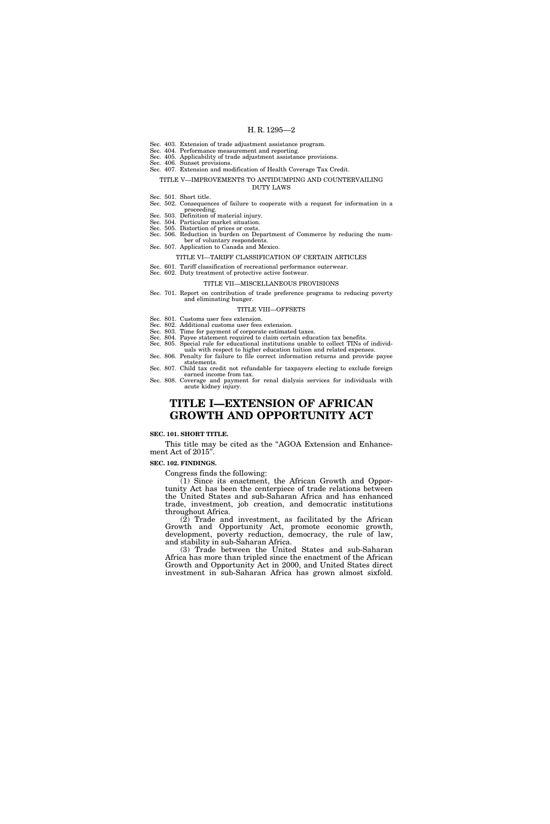- Sec. 403. Extension of trade adjustment assistance program.
- Sec. 404. Performance measurement and reporting. Sec. 405. Applicability of trade adjustment assistance provisions.
- Sec. 406. Sunset provisions.
- Sec. 407. Extension and modification of Health Coverage Tax Credit.

#### TITLE V—IMPROVEMENTS TO ANTIDUMPING AND COUNTERVAILING DUTY LAWS

- Sec. 501. Short title.
- Sec. 502. Consequences of failure to cooperate with a request for information in a proceeding.
- Sec. 503. Definition of material injury.
- Sec. 504. Particular market situation.
- Sec. 505. Distortion of prices or costs. Sec. 506. Reduction in burden on Department of Commerce by reducing the num-
- ber of voluntary respondents. Sec. 507. Application to Canada and Mexico.
	- - TITLE VI—TARIFF CLASSIFICATION OF CERTAIN ARTICLES
- Sec. 601. Tariff classification of recreational performance outerwear. Sec. 602. Duty treatment of protective active footwear.

# TITLE VII—MISCELLANEOUS PROVISIONS

Sec. 701. Report on contribution of trade preference programs to reducing poverty and eliminating hunger.

#### TITLE VIII—OFFSETS

- Sec. 801. Customs user fees extension.
- Sec. 802. Additional customs user fees extension.
- Sec. 803. Time for payment of corporate estimated taxes.
- Sec. 804. Payee statement required to claim certain education tax benefits.
- Sec. 805. Special rule for educational institutions unable to collect TINs of individuals with respect to higher education tuition and related expenses.
- Sec. 806. Penalty for failure to file correct information returns and provide payee statements.
- Sec. 807. Child tax credit not refundable for taxpayers electing to exclude foreign earned income from tax.
- Sec. 808. Coverage and payment for renal dialysis services for individuals with acute kidney injury.

# **TITLE I—EXTENSION OF AFRICAN GROWTH AND OPPORTUNITY ACT**

#### **SEC. 101. SHORT TITLE.**

This title may be cited as the "AGOA Extension and Enhancement Act of 2015''.

#### **SEC. 102. FINDINGS.**

Congress finds the following:

 $(1)$  Since its enactment, the African Growth and Opportunity Act has been the centerpiece of trade relations between the United States and sub-Saharan Africa and has enhanced trade, investment, job creation, and democratic institutions throughout Africa.

(2) Trade and investment, as facilitated by the African Growth and Opportunity Act, promote economic growth, development, poverty reduction, democracy, the rule of law, and stability in sub-Saharan Africa.

(3) Trade between the United States and sub-Saharan Africa has more than tripled since the enactment of the African Growth and Opportunity Act in 2000, and United States direct investment in sub-Saharan Africa has grown almost sixfold.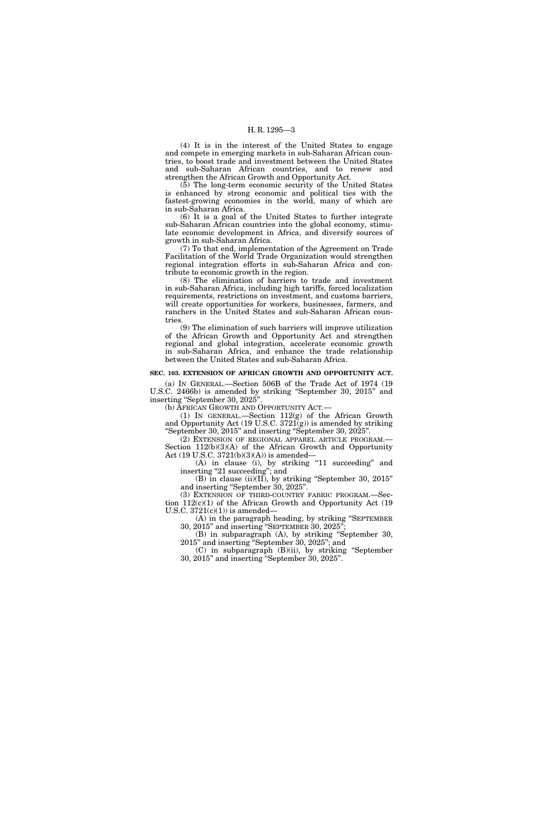(4) It is in the interest of the United States to engage and compete in emerging markets in sub-Saharan African countries, to boost trade and investment between the United States and sub-Saharan African countries, and to renew and strengthen the African Growth and Opportunity Act.

(5) The long-term economic security of the United States is enhanced by strong economic and political ties with the fastest-growing economies in the world, many of which are in sub-Saharan Africa.

(6) It is a goal of the United States to further integrate sub-Saharan African countries into the global economy, stimulate economic development in Africa, and diversify sources of growth in sub-Saharan Africa.

(7) To that end, implementation of the Agreement on Trade Facilitation of the World Trade Organization would strengthen regional integration efforts in sub-Saharan Africa and contribute to economic growth in the region.

(8) The elimination of barriers to trade and investment in sub-Saharan Africa, including high tariffs, forced localization requirements, restrictions on investment, and customs barriers, will create opportunities for workers, businesses, farmers, and ranchers in the United States and sub-Saharan African countries

(9) The elimination of such barriers will improve utilization of the African Growth and Opportunity Act and strengthen regional and global integration, accelerate economic growth in sub-Saharan Africa, and enhance the trade relationship between the United States and sub-Saharan Africa.

#### **SEC. 103. EXTENSION OF AFRICAN GROWTH AND OPPORTUNITY ACT.**

(a) IN GENERAL.—Section 506B of the Trade Act of 1974 (19 U.S.C. 2466b) is amended by striking ''September 30, 2015'' and inserting "September 30, 2025".

(b) AFRICAN GROWTH AND OPPORTUNITY ACT.—

(1) IN GENERAL.—Section  $112(g)$  of the African Growth and Opportunity Act (19 U.S.C.  $3721(g)$ ) is amended by striking ''September 30, 2015'' and inserting ''September 30, 2025''.

(2) EXTENSION OF REGIONAL APPAREL ARTICLE PROGRAM.— Section 112(b)(3)(A) of the African Growth and Opportunity Act (19 U.S.C. 3721(b)(3)(A)) is amended—

(A) in clause (i), by striking "11 succeeding" and inserting ''21 succeeding''; and

(B) in clause (ii)(II), by striking ''September 30, 2015'' and inserting ''September 30, 2025''.

(3) EXTENSION OF THIRD-COUNTRY FABRIC PROGRAM.—Section 112(c)(1) of the African Growth and Opportunity Act (19 U.S.C.  $3721(c)(1)$ ) is amended-

(A) in the paragraph heading, by striking ''SEPTEMBER 30, 2015'' and inserting ''SEPTEMBER 30, 2025'';

(B) in subparagraph (A), by striking ''September 30, 2015'' and inserting ''September 30, 2025''; and

(C) in subparagraph (B)(ii), by striking ''September 30, 2015'' and inserting ''September 30, 2025''.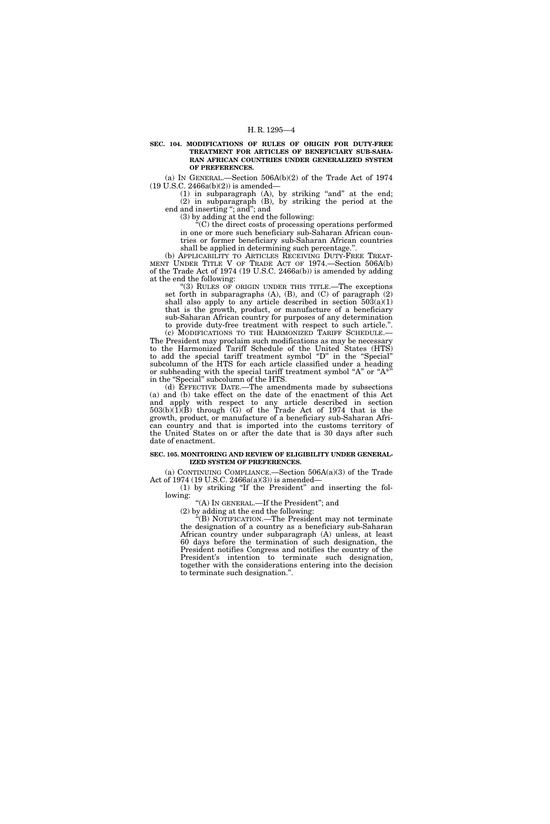**SEC. 104. MODIFICATIONS OF RULES OF ORIGIN FOR DUTY-FREE TREATMENT FOR ARTICLES OF BENEFICIARY SUB-SAHA-RAN AFRICAN COUNTRIES UNDER GENERALIZED SYSTEM OF PREFERENCES.** 

(a) IN GENERAL.—Section 506A(b)(2) of the Trade Act of 1974 (19 U.S.C. 2466a(b)(2)) is amended—

 $(1)$  in subparagraph  $(A)$ , by striking "and" at the end; (2) in subparagraph (B), by striking the period at the end and inserting "; and"; and

(3) by adding at the end the following:

''(C) the direct costs of processing operations performed in one or more such beneficiary sub-Saharan African countries or former beneficiary sub-Saharan African countries shall be applied in determining such percentage.''.

(b) APPLICABILITY TO ARTICLES RECEIVING DUTY-FREE TREAT-MENT UNDER TITLE V OF TRADE ACT OF 1974.—Section 506A(b) of the Trade Act of 1974 (19 U.S.C. 2466a(b)) is amended by adding at the end the following:

"(3) RULES OF ORIGIN UNDER THIS TITLE.—The exceptions set forth in subparagraphs  $(A)$ ,  $(B)$ , and  $(C)$  of paragraph  $(2)$ shall also apply to any article described in section  $503(a)(1)$ that is the growth, product, or manufacture of a beneficiary sub-Saharan African country for purposes of any determination to provide duty-free treatment with respect to such article.''.

(c) MODIFICATIONS TO THE HARMONIZED TARIFF SCHEDULE.— The President may proclaim such modifications as may be necessary to the Harmonized Tariff Schedule of the United States (HTS) to add the special tariff treatment symbol ''D'' in the ''Special'' subcolumn of the HTS for each article classified under a heading or subheading with the special tariff treatment symbol "A" or " $A^*$ " in the ''Special'' subcolumn of the HTS.

(d) EFFECTIVE DATE.—The amendments made by subsections (a) and (b) take effect on the date of the enactment of this Act and apply with respect to any article described in section 503(b)(1)(B) through (G) of the Trade Act of 1974 that is the growth, product, or manufacture of a beneficiary sub-Saharan African country and that is imported into the customs territory of the United States on or after the date that is 30 days after such date of enactment.

#### **SEC. 105. MONITORING AND REVIEW OF ELIGIBILITY UNDER GENERAL-IZED SYSTEM OF PREFERENCES.**

(a) CONTINUING COMPLIANCE.—Section 506A(a)(3) of the Trade Act of 1974 (19 U.S.C. 2466a(a)(3)) is amended—

(1) by striking ''If the President'' and inserting the following:

"(A) IN GENERAL.—If the President"; and

(2) by adding at the end the following:

''(B) NOTIFICATION.—The President may not terminate the designation of a country as a beneficiary sub-Saharan African country under subparagraph (A) unless, at least 60 days before the termination of such designation, the President notifies Congress and notifies the country of the President's intention to terminate such designation, together with the considerations entering into the decision to terminate such designation.''.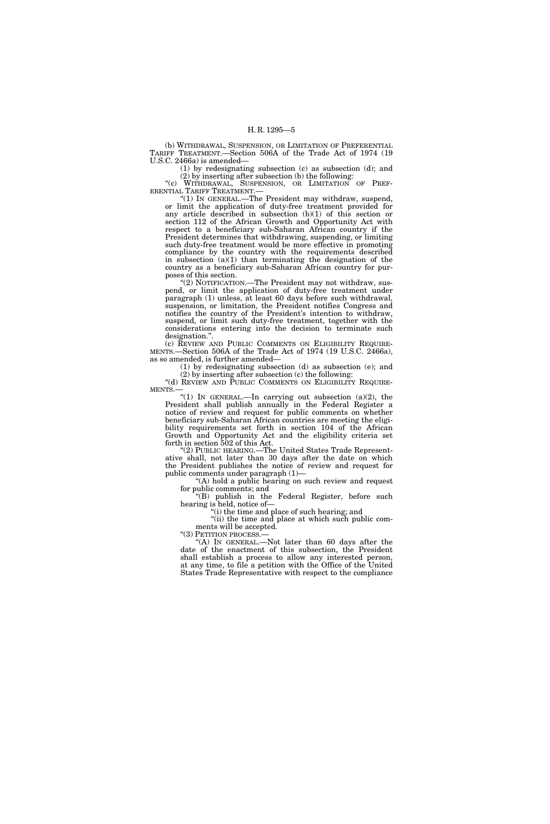(b) WITHDRAWAL, SUSPENSION, OR LIMITATION OF PREFERENTIAL TARIFF TREATMENT.—Section 506A of the Trade Act of 1974 (19 U.S.C. 2466a) is amended—

(1) by redesignating subsection (c) as subsection (d); and

(2) by inserting after subsection (b) the following: ''(c) WITHDRAWAL, SUSPENSION, OR LIMITATION OF PREF-ERENTIAL TARIFF TREATMENT.—

''(1) IN GENERAL.—The President may withdraw, suspend, or limit the application of duty-free treatment provided for any article described in subsection (b)(1) of this section or section 112 of the African Growth and Opportunity Act with respect to a beneficiary sub-Saharan African country if the President determines that withdrawing, suspending, or limiting such duty-free treatment would be more effective in promoting compliance by the country with the requirements described in subsection  $(a)(1)$  than terminating the designation of the country as a beneficiary sub-Saharan African country for purposes of this section.

"(2) NOTIFICATION.—The President may not withdraw, suspend, or limit the application of duty-free treatment under paragraph (1) unless, at least 60 days before such withdrawal, suspension, or limitation, the President notifies Congress and notifies the country of the President's intention to withdraw, suspend, or limit such duty-free treatment, together with the considerations entering into the decision to terminate such designation.".<br>(c) REVIEW AND PUBLIC COMMENTS ON ELIGIBILITY REQUIRE-

MENTS.—Section 506A of the Trade Act of 1974 (19 U.S.C. 2466a), as so amended, is further amended—

(1) by redesignating subsection (d) as subsection (e); and (2) by inserting after subsection (c) the following:

''(d) REVIEW AND PUBLIC COMMENTS ON ELIGIBILITY REQUIRE- MENTS.—

"(1) IN GENERAL.—In carrying out subsection  $(a)(2)$ , the President shall publish annually in the Federal Register a notice of review and request for public comments on whether beneficiary sub-Saharan African countries are meeting the eligibility requirements set forth in section 104 of the African Growth and Opportunity Act and the eligibility criteria set forth in section 502 of this Act.

"(2) PUBLIC HEARING.—The United States Trade Representative shall, not later than 30 days after the date on which the President publishes the notice of review and request for public comments under paragraph (1)—

''(A) hold a public hearing on such review and request for public comments; and

"(B) publish in the Federal Register, before such hearing is held, notice of—

''(i) the time and place of such hearing; and ''(ii) the time and place at which such public com-

ments will be accepted.<br>"(3) PETITION PROCESS.—

"(A) IN GENERAL.—Not later than 60 days after the date of the enactment of this subsection, the President shall establish a process to allow any interested person, at any time, to file a petition with the Office of the United States Trade Representative with respect to the compliance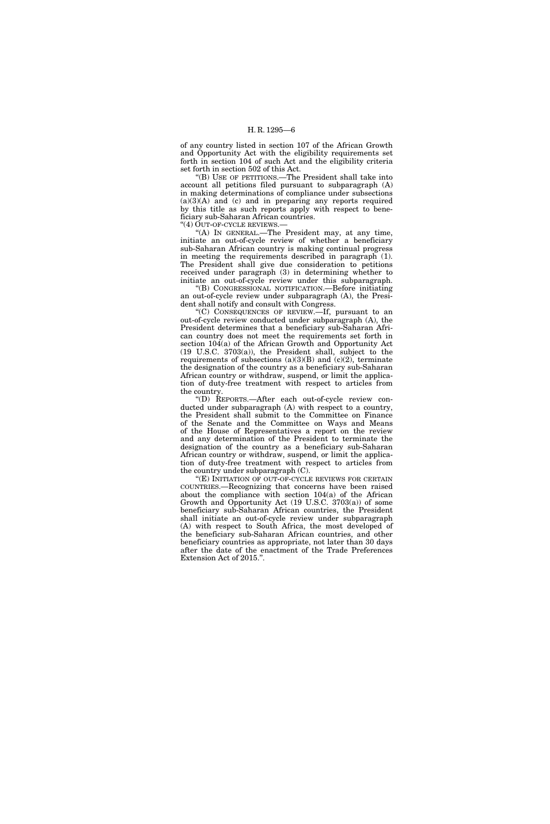of any country listed in section 107 of the African Growth and Opportunity Act with the eligibility requirements set forth in section 104 of such Act and the eligibility criteria set forth in section 502 of this Act.

''(B) USE OF PETITIONS.—The President shall take into account all petitions filed pursuant to subparagraph (A) in making determinations of compliance under subsections  $(a)(3)(A)$  and  $(c)$  and in preparing any reports required by this title as such reports apply with respect to beneficiary sub-Saharan African countries.

"(4) OUT-OF-CYCLE REVIEWS.

''(A) IN GENERAL.—The President may, at any time, initiate an out-of-cycle review of whether a beneficiary sub-Saharan African country is making continual progress in meeting the requirements described in paragraph (1). The President shall give due consideration to petitions received under paragraph (3) in determining whether to initiate an out-of-cycle review under this subparagraph.

''(B) CONGRESSIONAL NOTIFICATION.—Before initiating an out-of-cycle review under subparagraph (A), the President shall notify and consult with Congress.

''(C) CONSEQUENCES OF REVIEW.—If, pursuant to an out-of-cycle review conducted under subparagraph (A), the President determines that a beneficiary sub-Saharan African country does not meet the requirements set forth in section 104(a) of the African Growth and Opportunity Act (19 U.S.C. 3703(a)), the President shall, subject to the requirements of subsections  $(a)(3)(B)$  and  $(c)(2)$ , terminate the designation of the country as a beneficiary sub-Saharan African country or withdraw, suspend, or limit the application of duty-free treatment with respect to articles from the country.

''(D) REPORTS.—After each out-of-cycle review conducted under subparagraph (A) with respect to a country, the President shall submit to the Committee on Finance of the Senate and the Committee on Ways and Means of the House of Representatives a report on the review and any determination of the President to terminate the designation of the country as a beneficiary sub-Saharan African country or withdraw, suspend, or limit the application of duty-free treatment with respect to articles from the country under subparagraph (C).

"(E) INITIATION OF OUT-OF-CYCLE REVIEWS FOR CERTAIN COUNTRIES.—Recognizing that concerns have been raised about the compliance with section 104(a) of the African Growth and Opportunity Act (19 U.S.C. 3703(a)) of some beneficiary sub-Saharan African countries, the President shall initiate an out-of-cycle review under subparagraph (A) with respect to South Africa, the most developed of the beneficiary sub-Saharan African countries, and other beneficiary countries as appropriate, not later than 30 days after the date of the enactment of the Trade Preferences Extension Act of 2015.''.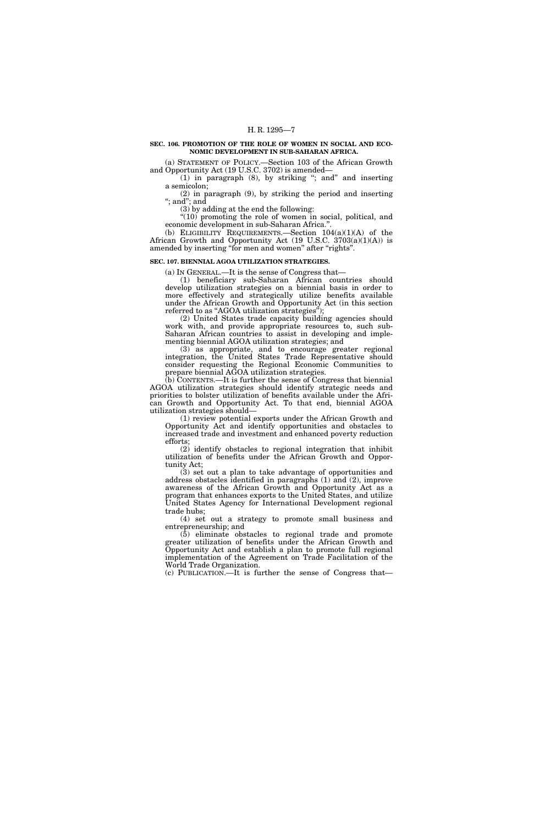#### **SEC. 106. PROMOTION OF THE ROLE OF WOMEN IN SOCIAL AND ECO-NOMIC DEVELOPMENT IN SUB-SAHARAN AFRICA.**

(a) STATEMENT OF POLICY.—Section 103 of the African Growth and Opportunity Act (19 U.S.C. 3702) is amended—

(1) in paragraph (8), by striking ''; and'' and inserting a semicolon;

(2) in paragraph (9), by striking the period and inserting ''; and''; and

(3) by adding at the end the following:

 $"(10)$  promoting the role of women in social, political, and economic development in sub-Saharan Africa.''. (b) ELIGIBILITY REQUIREMENTS.—Section  $104(a)(1)(A)$  of the

African Growth and Opportunity Act (19 U.S.C. 3703(a)(1)(A)) is amended by inserting "for men and women" after "rights".

## **SEC. 107. BIENNIAL AGOA UTILIZATION STRATEGIES.**

(a) IN GENERAL.—It is the sense of Congress that—

(1) beneficiary sub-Saharan African countries should develop utilization strategies on a biennial basis in order to more effectively and strategically utilize benefits available under the African Growth and Opportunity Act (in this section referred to as "AGOA utilization strategies");

(2) United States trade capacity building agencies should work with, and provide appropriate resources to, such sub-Saharan African countries to assist in developing and implementing biennial AGOA utilization strategies; and

(3) as appropriate, and to encourage greater regional integration, the United States Trade Representative should consider requesting the Regional Economic Communities to prepare biennial AGOA utilization strategies.

(b) CONTENTS.—It is further the sense of Congress that biennial AGOA utilization strategies should identify strategic needs and priorities to bolster utilization of benefits available under the African Growth and Opportunity Act. To that end, biennial AGOA utilization strategies should—

(1) review potential exports under the African Growth and Opportunity Act and identify opportunities and obstacles to increased trade and investment and enhanced poverty reduction efforts;

(2) identify obstacles to regional integration that inhibit utilization of benefits under the African Growth and Opportunity Act;

(3) set out a plan to take advantage of opportunities and address obstacles identified in paragraphs (1) and (2), improve awareness of the African Growth and Opportunity Act as a program that enhances exports to the United States, and utilize United States Agency for International Development regional trade hubs;

(4) set out a strategy to promote small business and entrepreneurship; and

(5) eliminate obstacles to regional trade and promote greater utilization of benefits under the African Growth and Opportunity Act and establish a plan to promote full regional implementation of the Agreement on Trade Facilitation of the World Trade Organization.

(c) PUBLICATION.—It is further the sense of Congress that—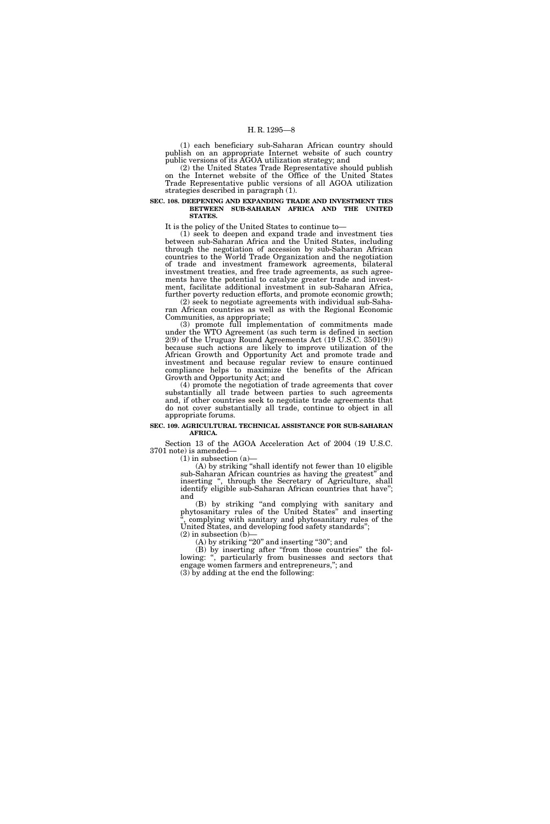(1) each beneficiary sub-Saharan African country should publish on an appropriate Internet website of such country public versions of its AGOA utilization strategy; and

(2) the United States Trade Representative should publish on the Internet website of the Office of the United States Trade Representative public versions of all AGOA utilization strategies described in paragraph (1).

#### **SEC. 108. DEEPENING AND EXPANDING TRADE AND INVESTMENT TIES BETWEEN SUB-SAHARAN AFRICA AND THE UNITED STATES.**

It is the policy of the United States to continue to—

(1) seek to deepen and expand trade and investment ties between sub-Saharan Africa and the United States, including through the negotiation of accession by sub-Saharan African countries to the World Trade Organization and the negotiation of trade and investment framework agreements, bilateral investment treaties, and free trade agreements, as such agreements have the potential to catalyze greater trade and investment, facilitate additional investment in sub-Saharan Africa, further poverty reduction efforts, and promote economic growth;

(2) seek to negotiate agreements with individual sub-Saharan African countries as well as with the Regional Economic Communities, as appropriate;

(3) promote full implementation of commitments made under the WTO Agreement (as such term is defined in section 2(9) of the Uruguay Round Agreements Act (19 U.S.C. 3501(9)) because such actions are likely to improve utilization of the African Growth and Opportunity Act and promote trade and investment and because regular review to ensure continued compliance helps to maximize the benefits of the African Growth and Opportunity Act; and

(4) promote the negotiation of trade agreements that cover substantially all trade between parties to such agreements and, if other countries seek to negotiate trade agreements that do not cover substantially all trade, continue to object in all appropriate forums.

#### **SEC. 109. AGRICULTURAL TECHNICAL ASSISTANCE FOR SUB-SAHARAN AFRICA.**

Section 13 of the AGOA Acceleration Act of 2004 (19 U.S.C. 3701 note) is amended—

 $(1)$  in subsection  $(a)$ —

(A) by striking ''shall identify not fewer than 10 eligible sub-Saharan African countries as having the greatest'' and inserting '', through the Secretary of Agriculture, shall identify eligible sub-Saharan African countries that have''; and

(B) by striking ''and complying with sanitary and phytosanitary rules of the United States'' and inserting '', complying with sanitary and phytosanitary rules of the United States, and developing food safety standards'';

 $(2)$  in subsection  $(b)$  $(A)$  by striking "20" and inserting "30"; and

(B) by inserting after ''from those countries'' the following: ", particularly from businesses and sectors that engage women farmers and entrepreneurs,''; and (3) by adding at the end the following: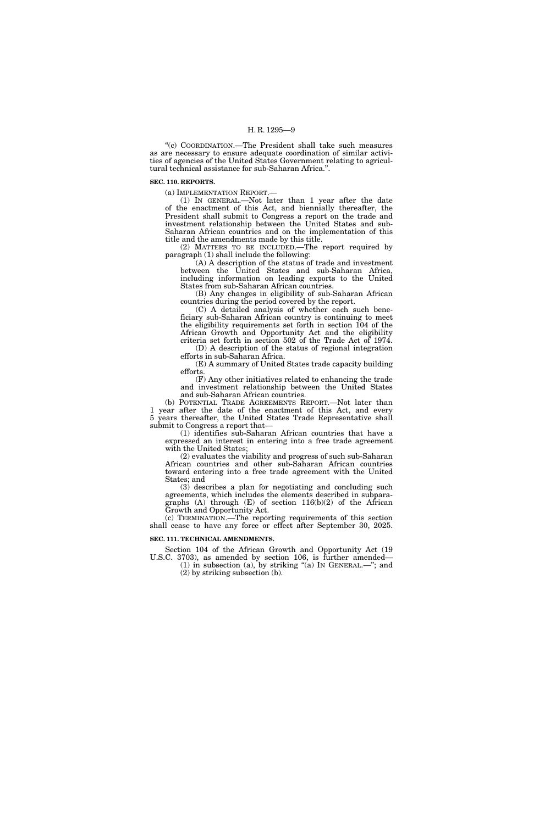''(c) COORDINATION.—The President shall take such measures as are necessary to ensure adequate coordination of similar activities of agencies of the United States Government relating to agricultural technical assistance for sub-Saharan Africa.''.

#### **SEC. 110. REPORTS.**

(a) IMPLEMENTATION REPORT.—

(1) IN GENERAL.—Not later than 1 year after the date of the enactment of this Act, and biennially thereafter, the President shall submit to Congress a report on the trade and investment relationship between the United States and sub-Saharan African countries and on the implementation of this title and the amendments made by this title.

(2) MATTERS TO BE INCLUDED.—The report required by paragraph (1) shall include the following:

(A) A description of the status of trade and investment between the United States and sub-Saharan Africa, including information on leading exports to the United States from sub-Saharan African countries.

(B) Any changes in eligibility of sub-Saharan African countries during the period covered by the report.

(C) A detailed analysis of whether each such beneficiary sub-Saharan African country is continuing to meet the eligibility requirements set forth in section 104 of the African Growth and Opportunity Act and the eligibility criteria set forth in section 502 of the Trade Act of 1974.

(D) A description of the status of regional integration efforts in sub-Saharan Africa.

(E) A summary of United States trade capacity building efforts.

(F) Any other initiatives related to enhancing the trade and investment relationship between the United States and sub-Saharan African countries.

(b) POTENTIAL TRADE AGREEMENTS REPORT.—Not later than 1 year after the date of the enactment of this Act, and every 5 years thereafter, the United States Trade Representative shall submit to Congress a report that—

(1) identifies sub-Saharan African countries that have a expressed an interest in entering into a free trade agreement with the United States;

(2) evaluates the viability and progress of such sub-Saharan African countries and other sub-Saharan African countries toward entering into a free trade agreement with the United States; and

(3) describes a plan for negotiating and concluding such agreements, which includes the elements described in subparagraphs (A) through (E) of section 116(b)(2) of the African Growth and Opportunity Act.

(c) TERMINATION.—The reporting requirements of this section shall cease to have any force or effect after September 30, 2025.

#### **SEC. 111. TECHNICAL AMENDMENTS.**

Section 104 of the African Growth and Opportunity Act (19 U.S.C. 3703), as amended by section 106, is further amended—

(1) in subsection (a), by striking "(a) IN GENERAL.—"; and (2) by striking subsection (b).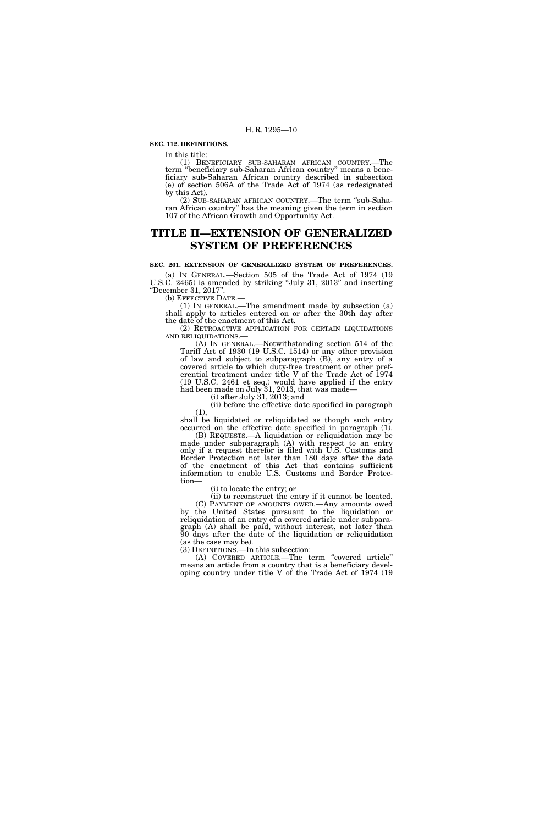#### **SEC. 112. DEFINITIONS.**

In this title:

(1) BENEFICIARY SUB-SAHARAN AFRICAN COUNTRY.—The term ''beneficiary sub-Saharan African country'' means a beneficiary sub-Saharan African country described in subsection (e) of section 506A of the Trade Act of 1974 (as redesignated by this Act).

(2) SUB-SAHARAN AFRICAN COUNTRY.—The term ''sub-Saharan African country'' has the meaning given the term in section 107 of the African Growth and Opportunity Act.

# **TITLE II—EXTENSION OF GENERALIZED SYSTEM OF PREFERENCES**

**SEC. 201. EXTENSION OF GENERALIZED SYSTEM OF PREFERENCES.**  (a) IN GENERAL.—Section 505 of the Trade Act of 1974 (19 U.S.C. 2465) is amended by striking ''July 31, 2013'' and inserting ''December 31, 2017''.

(b) EFFECTIVE DATE.—

(1) IN GENERAL.—The amendment made by subsection (a) shall apply to articles entered on or after the 30th day after the date of the enactment of this Act.

(2) RETROACTIVE APPLICATION FOR CERTAIN LIQUIDATIONS AND RELIQUIDATIONS.—

(A) IN GENERAL.—Notwithstanding section 514 of the Tariff Act of 1930 (19 U.S.C. 1514) or any other provision of law and subject to subparagraph (B), any entry of a covered article to which duty-free treatment or other preferential treatment under title V of the Trade Act of 1974 (19 U.S.C. 2461 et seq.) would have applied if the entry had been made on July 31, 2013, that was made—

(i) after July 31, 2013; and

(ii) before the effective date specified in paragraph (1),

shall be liquidated or reliquidated as though such entry occurred on the effective date specified in paragraph (1).

(B) REQUESTS.—A liquidation or reliquidation may be made under subparagraph (A) with respect to an entry only if a request therefor is filed with U.S. Customs and Border Protection not later than 180 days after the date of the enactment of this Act that contains sufficient information to enable U.S. Customs and Border Protection—

(i) to locate the entry; or

(ii) to reconstruct the entry if it cannot be located.

(C) PAYMENT OF AMOUNTS OWED.—Any amounts owed by the United States pursuant to the liquidation or reliquidation of an entry of a covered article under subparagraph (A) shall be paid, without interest, not later than 90 days after the date of the liquidation or reliquidation (as the case may be).

(3) DEFINITIONS.—In this subsection:

(A) COVERED ARTICLE.—The term ''covered article'' means an article from a country that is a beneficiary developing country under title V of the Trade Act of 1974 (19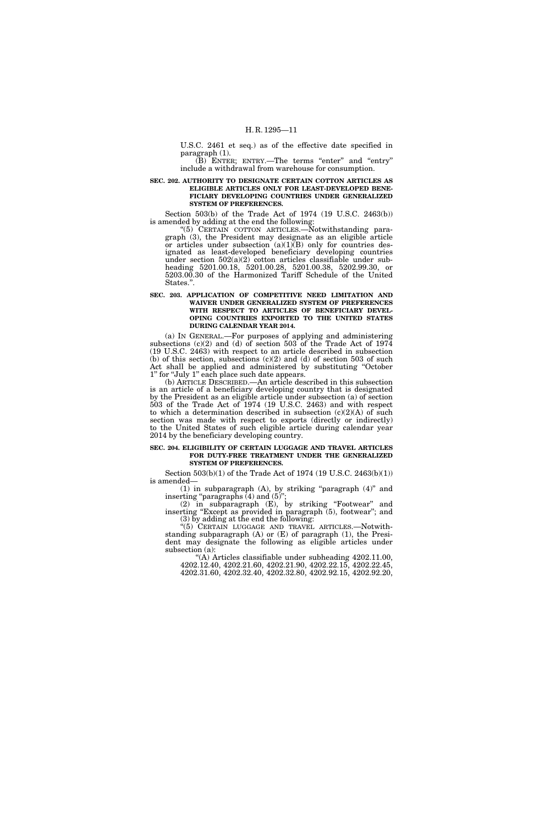U.S.C. 2461 et seq.) as of the effective date specified in paragraph (1).

 $(B)$  ENTER; ENTRY.—The terms "enter" and "entry" include a withdrawal from warehouse for consumption.

**SEC. 202. AUTHORITY TO DESIGNATE CERTAIN COTTON ARTICLES AS ELIGIBLE ARTICLES ONLY FOR LEAST-DEVELOPED BENE-FICIARY DEVELOPING COUNTRIES UNDER GENERALIZED SYSTEM OF PREFERENCES.** 

Section 503(b) of the Trade Act of 1974 (19 U.S.C. 2463(b)) is amended by adding at the end the following:

"(5) CERTAIN COTTON ARTICLES.—Notwithstanding paragraph (3), the President may designate as an eligible article or articles under subsection  $(a)(1)(B)$  only for countries designated as least-developed beneficiary developing countries under section 502(a)(2) cotton articles classifiable under subheading 5201.00.18, 5201.00.28, 5201.00.38, 5202.99.30, or 5203.00.30 of the Harmonized Tariff Schedule of the United States.''.

#### **SEC. 203. APPLICATION OF COMPETITIVE NEED LIMITATION AND WAIVER UNDER GENERALIZED SYSTEM OF PREFERENCES WITH RESPECT TO ARTICLES OF BENEFICIARY DEVEL-OPING COUNTRIES EXPORTED TO THE UNITED STATES DURING CALENDAR YEAR 2014.**

(a) IN GENERAL.—For purposes of applying and administering subsections  $(c)(2)$  and  $(d)$  of section 503 of the Trade Act of 1974 (19 U.S.C. 2463) with respect to an article described in subsection (b) of this section, subsections  $(c)(2)$  and  $(d)$  of section 503 of such Act shall be applied and administered by substituting ''October 1'' for ''July 1'' each place such date appears.

(b) ARTICLE DESCRIBED.—An article described in this subsection is an article of a beneficiary developing country that is designated by the President as an eligible article under subsection (a) of section 503 of the Trade Act of 1974 (19 U.S.C. 2463) and with respect to which a determination described in subsection  $(c)(2)(A)$  of such section was made with respect to exports (directly or indirectly) to the United States of such eligible article during calendar year 2014 by the beneficiary developing country.

#### **SEC. 204. ELIGIBILITY OF CERTAIN LUGGAGE AND TRAVEL ARTICLES FOR DUTY-FREE TREATMENT UNDER THE GENERALIZED SYSTEM OF PREFERENCES.**

Section 503(b)(1) of the Trade Act of 1974 (19 U.S.C. 2463(b)(1)) is amended—

(1) in subparagraph (A), by striking ''paragraph (4)'' and inserting "paragraphs (4) and (5)";

(2) in subparagraph (E), by striking ''Footwear'' and inserting "Except as provided in paragraph (5), footwear"; and (3) by adding at the end the following:

''(5) CERTAIN LUGGAGE AND TRAVEL ARTICLES.—Notwithstanding subparagraph  $(A)$  or  $(E)$  of paragraph  $(1)$ , the President may designate the following as eligible articles under subsection (a):

''(A) Articles classifiable under subheading 4202.11.00, 4202.12.40, 4202.21.60, 4202.21.90, 4202.22.15, 4202.22.45, 4202.31.60, 4202.32.40, 4202.32.80, 4202.92.15, 4202.92.20,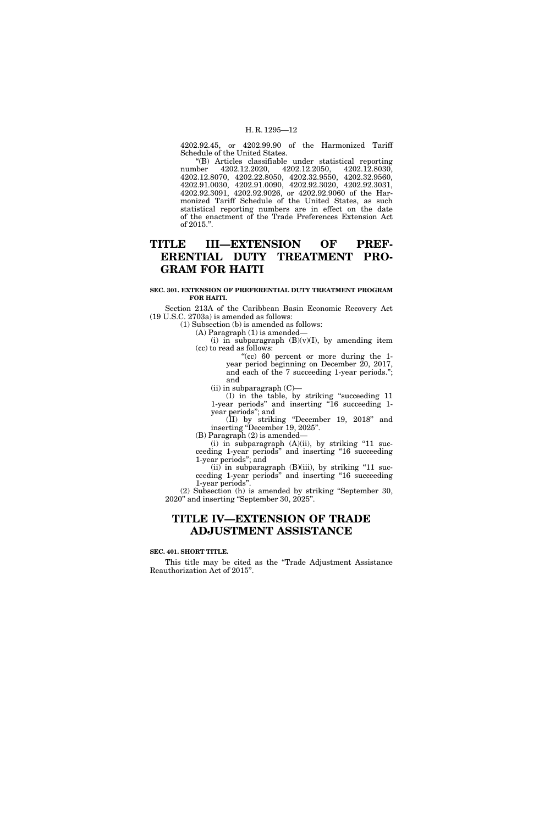4202.92.45, or 4202.99.90 of the Harmonized Tariff Schedule of the United States.

''(B) Articles classifiable under statistical reporting 4202.12.2020, 4202.12.8070, 4202.22.8050, 4202.32.9550, 4202.32.9560, 4202.91.0030, 4202.91.0090, 4202.92.3020, 4202.92.3031, 4202.92.3091, 4202.92.9026, or 4202.92.9060 of the Harmonized Tariff Schedule of the United States, as such statistical reporting numbers are in effect on the date of the enactment of the Trade Preferences Extension Act of 2015.''.

# **TITLE III—EXTENSION OF PREF-ERENTIAL DUTY TREATMENT PRO-GRAM FOR HAITI**

#### **SEC. 301. EXTENSION OF PREFERENTIAL DUTY TREATMENT PROGRAM FOR HAITI.**

Section 213A of the Caribbean Basin Economic Recovery Act (19 U.S.C. 2703a) is amended as follows:

(1) Subsection (b) is amended as follows:

(A) Paragraph (1) is amended—

(i) in subparagraph  $(B)(v)(I)$ , by amending item (cc) to read as follows:

''(cc) 60 percent or more during the 1 year period beginning on December 20, 2017, and each of the 7 succeeding 1-year periods.''; and

(ii) in subparagraph (C)—

(I) in the table, by striking ''succeeding 11 1-year periods" and inserting "16 succeeding 1year periods''; and

(II) by striking ''December 19, 2018'' and inserting "December 19, 2025".

(B) Paragraph (2) is amended—

(i) in subparagraph  $(A)(ii)$ , by striking "11 succeeding 1-year periods'' and inserting ''16 succeeding 1-year periods''; and

(ii) in subparagraph  $(B)(iii)$ , by striking "11 succeeding 1-year periods'' and inserting ''16 succeeding 1-year periods''.

(2) Subsection (h) is amended by striking ''September 30, 2020'' and inserting ''September 30, 2025''.

# **TITLE IV—EXTENSION OF TRADE ADJUSTMENT ASSISTANCE**

#### **SEC. 401. SHORT TITLE.**

This title may be cited as the ''Trade Adjustment Assistance Reauthorization Act of 2015''.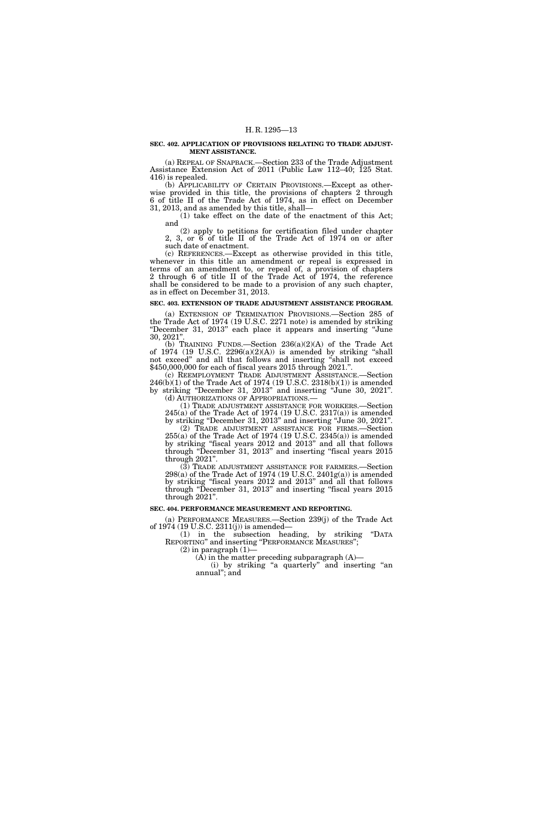#### **SEC. 402. APPLICATION OF PROVISIONS RELATING TO TRADE ADJUST-MENT ASSISTANCE.**

(a) REPEAL OF SNAPBACK.—Section 233 of the Trade Adjustment Assistance Extension Act of 2011 (Public Law 112–40; 125 Stat. 416) is repealed.

(b) APPLICABILITY OF CERTAIN PROVISIONS.—Except as otherwise provided in this title, the provisions of chapters 2 through 6 of title II of the Trade Act of 1974, as in effect on December 31, 2013, and as amended by this title, shall—

 $(1)$  take effect on the date of the enactment of this Act; and

(2) apply to petitions for certification filed under chapter 2, 3, or 6 of title II of the Trade Act of 1974 on or after such date of enactment.

(c) REFERENCES.—Except as otherwise provided in this title, whenever in this title an amendment or repeal is expressed in terms of an amendment to, or repeal of, a provision of chapters 2 through 6 of title II of the Trade Act of 1974, the reference shall be considered to be made to a provision of any such chapter, as in effect on December 31, 2013.

#### **SEC. 403. EXTENSION OF TRADE ADJUSTMENT ASSISTANCE PROGRAM.**

(a) EXTENSION OF TERMINATION PROVISIONS.—Section 285 of the Trade Act of 1974 (19 U.S.C. 2271 note) is amended by striking ''December 31, 2013'' each place it appears and inserting ''June 30, 2021''.

(b) TRAINING FUNDS.—Section 236(a)(2)(A) of the Trade Act of 1974 (19 U.S.C.  $2296(a)(2)(A)$ ) is amended by striking "shall not exceed'' and all that follows and inserting ''shall not exceed \$450,000,000 for each of fiscal years 2015 through 2021.''.

(c) REEMPLOYMENT TRADE ADJUSTMENT ASSISTANCE.—Section  $246(b)(1)$  of the Trade Act of 1974 (19 U.S.C. 2318(b)(1)) is amended by striking ''December 31, 2013'' and inserting ''June 30, 2021''. (d) AUTHORIZATIONS OF APPROPRIATIONS.—

(1) TRADE ADJUSTMENT ASSISTANCE FOR WORKERS.—Section 245(a) of the Trade Act of 1974 (19 U.S.C. 2317(a)) is amended by striking ''December 31, 2013'' and inserting ''June 30, 2021''. (2) TRADE ADJUSTMENT ASSISTANCE FOR FIRMS.—Section 255(a) of the Trade Act of 1974 (19 U.S.C. 2345(a)) is amended by striking ''fiscal years 2012 and 2013'' and all that follows through ''December 31, 2013'' and inserting ''fiscal years 2015 through 2021''.

(3) TRADE ADJUSTMENT ASSISTANCE FOR FARMERS.—Section  $298(a)$  of the Trade Act of 1974 (19 U.S.C. 2401 $g(a)$ ) is amended by striking ''fiscal years 2012 and 2013'' and all that follows through "December 31, 2013" and inserting "fiscal years 2015 through 2021''.

#### **SEC. 404. PERFORMANCE MEASUREMENT AND REPORTING.**

(a) PERFORMANCE MEASURES.—Section 239(j) of the Trade Act of 1974 (19 U.S.C. 2311(j)) is amended—

(1) in the subsection heading, by striking ''DATA REPORTING'' and inserting ''PERFORMANCE MEASURES'';

 $(2)$  in paragraph  $(1)$ —  $(A)$  in the matter preceding subparagraph  $(A)$ —

(i) by striking ''a quarterly'' and inserting ''an annual''; and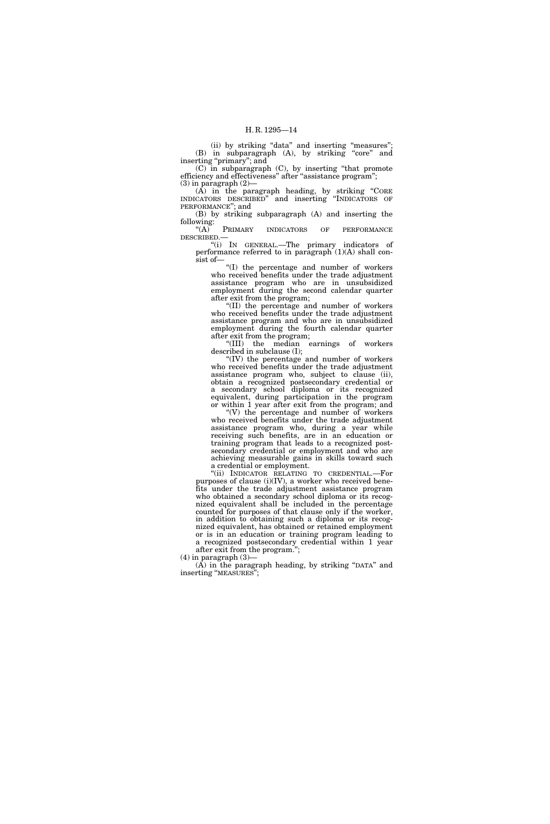(ii) by striking "data" and inserting "measures"; (B) in subparagraph (A), by striking "core" and inserting "primary"; and

(C) in subparagraph (C), by inserting ''that promote efficiency and effectiveness" after "assistance program";  $(3)$  in paragraph  $(2)$ —

 $(A)$  in the paragraph heading, by striking "CORE INDICATORS DESCRIBED'' and inserting ''INDICATORS OF PERFORMANCE''; and

(B) by striking subparagraph (A) and inserting the following:<br>" $(A)$ 

PRIMARY INDICATORS OF PERFORMANCE DESCRIBED.—

''(i) IN GENERAL.—The primary indicators of performance referred to in paragraph  $(1)(A)$  shall consist of—

''(I) the percentage and number of workers who received benefits under the trade adjustment assistance program who are in unsubsidized employment during the second calendar quarter after exit from the program;

''(II) the percentage and number of workers who received benefits under the trade adjustment assistance program and who are in unsubsidized employment during the fourth calendar quarter after exit from the program;

''(III) the median earnings of workers described in subclause (I);

''(IV) the percentage and number of workers who received benefits under the trade adjustment assistance program who, subject to clause (ii), obtain a recognized postsecondary credential or a secondary school diploma or its recognized equivalent, during participation in the program or within 1 year after exit from the program; and

''(V) the percentage and number of workers who received benefits under the trade adjustment assistance program who, during a year while receiving such benefits, are in an education or training program that leads to a recognized postsecondary credential or employment and who are achieving measurable gains in skills toward such a credential or employment.

''(ii) INDICATOR RELATING TO CREDENTIAL.—For purposes of clause  $(i)(IV)$ , a worker who received benefits under the trade adjustment assistance program who obtained a secondary school diploma or its recognized equivalent shall be included in the percentage counted for purposes of that clause only if the worker, in addition to obtaining such a diploma or its recognized equivalent, has obtained or retained employment or is in an education or training program leading to a recognized postsecondary credential within 1 year after exit from the program."

 $(4)$  in paragraph  $(3)$ —

 $(A)$  in the paragraph heading, by striking "DATA" and inserting ''MEASURES'';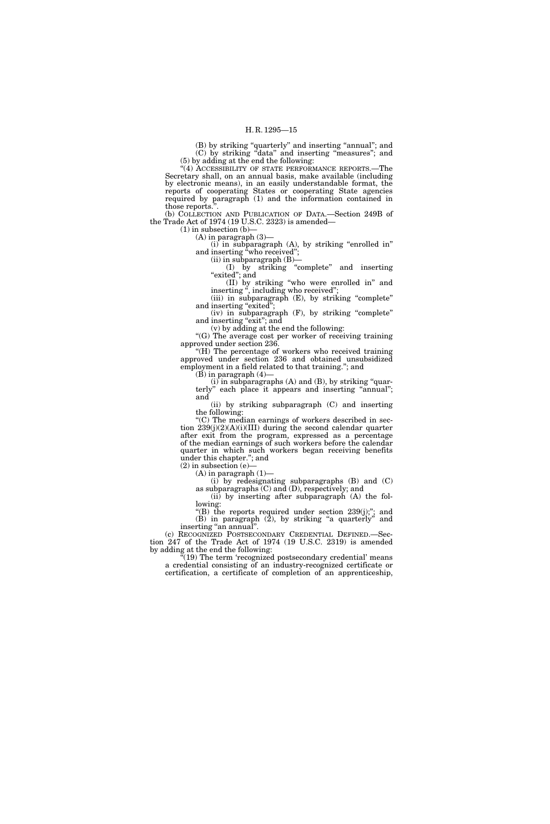(B) by striking ''quarterly'' and inserting ''annual''; and (C) by striking ''data'' and inserting ''measures''; and (5) by adding at the end the following:

"(4) ACCESSIBILITY OF STATE PERFORMANCE REPORTS.—The Secretary shall, on an annual basis, make available (including by electronic means), in an easily understandable format, the reports of cooperating States or cooperating State agencies required by paragraph (1) and the information contained in those reports.''.

(b) COLLECTION AND PUBLICATION OF DATA.—Section 249B of the Trade Act of 1974 (19 U.S.C. 2323) is amended—

 $(1)$  in subsection  $(b)$ –  $(A)$  in paragraph  $(3)$ 

(i) in subparagraph (A), by striking ''enrolled in'' and inserting "who received";

(ii) in subparagraph (B)—

(I) by striking ''complete'' and inserting ''exited''; and

(II) by striking ''who were enrolled in'' and inserting ", including who received";

(iii) in subparagraph (E), by striking "complete" and inserting "exited";

(iv) in subparagraph (F), by striking ''complete'' and inserting "exit"; and

(v) by adding at the end the following: "(G) The average cost per worker of receiving training approved under section 236.

"(H) The percentage of workers who received training approved under section 236 and obtained unsubsidized employment in a field related to that training.''; and

(B) in paragraph (4)—

(i) in subparagraphs (A) and (B), by striking ''quarterly'' each place it appears and inserting ''annual''; and

(ii) by striking subparagraph (C) and inserting the following:

''(C) The median earnings of workers described in section 239(j)(2)(A)(i)(III) during the second calendar quarter after exit from the program, expressed as a percentage of the median earnings of such workers before the calendar quarter in which such workers began receiving benefits under this chapter.''; and

 $(2)$  in subsection  $(e)$  $(A)$  in paragraph  $(1)$ —

(i) by redesignating subparagraphs (B) and (C) as subparagraphs (C) and (D), respectively; and

(ii) by inserting after subparagraph (A) the following:

"(B) the reports required under section 239(j);"; and (B) in paragraph (2), by striking ''a quarterly'' and inserting "an annual".

(c) RECOGNIZED POSTSECONDARY CREDENTIAL DEFINED.—Section 247 of the Trade Act of 1974 (19 U.S.C. 2319) is amended by adding at the end the following:

 $(19)$  The term 'recognized postsecondary credential' means a credential consisting of an industry-recognized certificate or certification, a certificate of completion of an apprenticeship,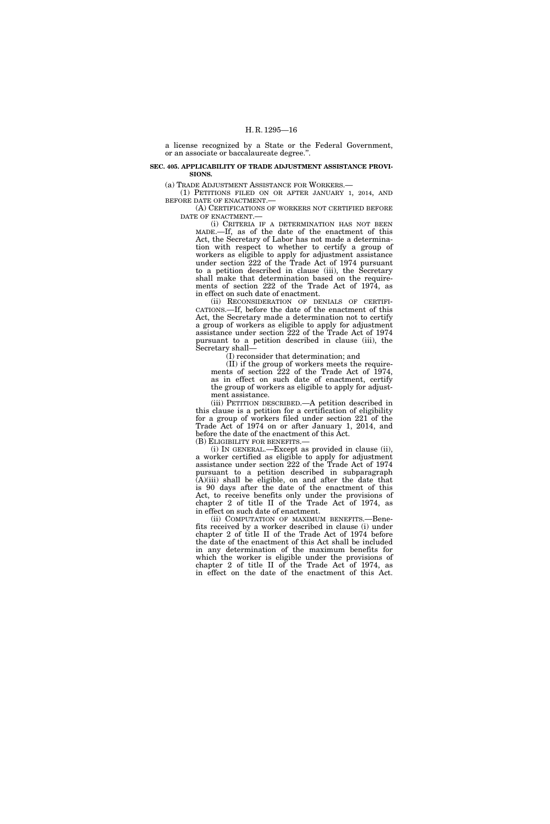a license recognized by a State or the Federal Government, or an associate or baccalaureate degree.''.

**SEC. 405. APPLICABILITY OF TRADE ADJUSTMENT ASSISTANCE PROVI-SIONS.** 

(a) TRADE ADJUSTMENT ASSISTANCE FOR WORKERS.—

(1) PETITIONS FILED ON OR AFTER JANUARY 1, 2014, AND BEFORE DATE OF ENACTMENT.—

(A) CERTIFICATIONS OF WORKERS NOT CERTIFIED BEFORE DATE OF ENACTMENT.—

(i) CRITERIA IF A DETERMINATION HAS NOT BEEN MADE.—If, as of the date of the enactment of this Act, the Secretary of Labor has not made a determination with respect to whether to certify a group of workers as eligible to apply for adjustment assistance under section 222 of the Trade Act of 1974 pursuant to a petition described in clause (iii), the Secretary shall make that determination based on the requirements of section 222 of the Trade Act of 1974, as in effect on such date of enactment.

(ii) RECONSIDERATION OF DENIALS OF CERTIFI-CATIONS.—If, before the date of the enactment of this Act, the Secretary made a determination not to certify a group of workers as eligible to apply for adjustment assistance under section 222 of the Trade Act of 1974 pursuant to a petition described in clause (iii), the Secretary shall—

(I) reconsider that determination; and

(II) if the group of workers meets the requirements of section 222 of the Trade Act of 1974, as in effect on such date of enactment, certify the group of workers as eligible to apply for adjustment assistance.

(iii) PETITION DESCRIBED.—A petition described in this clause is a petition for a certification of eligibility for a group of workers filed under section 221 of the Trade Act of 1974 on or after January 1, 2014, and before the date of the enactment of this Act.

(B) ELIGIBILITY FOR BENEFITS.—

(i) IN GENERAL.—Except as provided in clause (ii), a worker certified as eligible to apply for adjustment assistance under section 222 of the Trade Act of 1974 pursuant to a petition described in subparagraph  $(A)(iii)$  shall be eligible, on and after the date that is 90 days after the date of the enactment of this Act, to receive benefits only under the provisions of chapter 2 of title II of the Trade Act of 1974, as in effect on such date of enactment.

(ii) COMPUTATION OF MAXIMUM BENEFITS.—Benefits received by a worker described in clause (i) under chapter 2 of title II of the Trade Act of 1974 before the date of the enactment of this Act shall be included in any determination of the maximum benefits for which the worker is eligible under the provisions of chapter 2 of title II of the Trade Act of 1974, as in effect on the date of the enactment of this Act.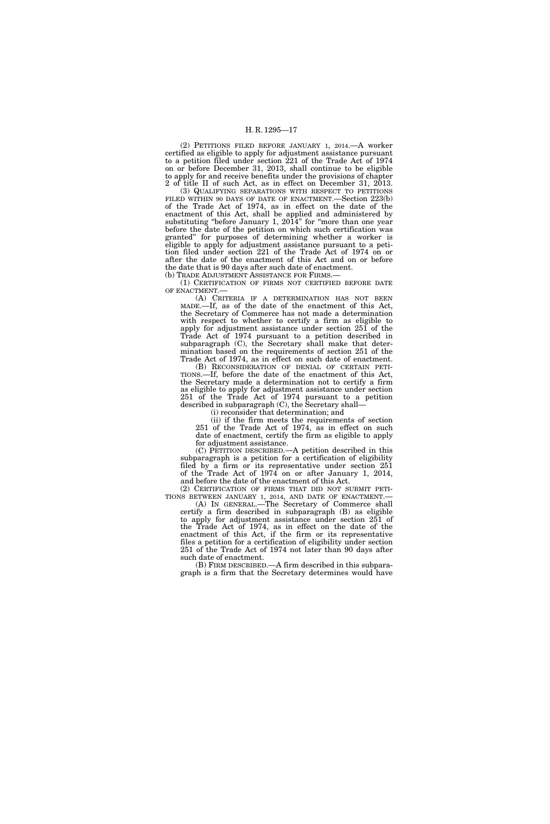(2) PETITIONS FILED BEFORE JANUARY 1, 2014.—A worker certified as eligible to apply for adjustment assistance pursuant to a petition filed under section 221 of the Trade Act of 1974 on or before December 31, 2013, shall continue to be eligible to apply for and receive benefits under the provisions of chapter 2 of title II of such Act, as in effect on December 31, 2013.

(3) QUALIFYING SEPARATIONS WITH RESPECT TO PETITIONS FILED WITHIN 90 DAYS OF DATE OF ENACTMENT.—Section 223(b) of the Trade Act of 1974, as in effect on the date of the enactment of this Act, shall be applied and administered by substituting "before January 1,  $20\overline{14}$ " for "more than one year before the date of the petition on which such certification was granted'' for purposes of determining whether a worker is eligible to apply for adjustment assistance pursuant to a petition filed under section 221 of the Trade Act of 1974 on or after the date of the enactment of this Act and on or before the date that is 90 days after such date of enactment.

(b) TRADE ADJUSTMENT ASSISTANCE FOR FIRMS.—

(1) CERTIFICATION OF FIRMS NOT CERTIFIED BEFORE DATE OF ENACTMENT.—

(A) CRITERIA IF A DETERMINATION HAS NOT BEEN MADE.—If, as of the date of the enactment of this Act, the Secretary of Commerce has not made a determination with respect to whether to certify a firm as eligible to apply for adjustment assistance under section 251 of the Trade Act of 1974 pursuant to a petition described in subparagraph (C), the Secretary shall make that determination based on the requirements of section 251 of the Trade Act of 1974, as in effect on such date of enactment.<br>(B) RECONSIDERATION OF DENIAL OF CERTAIN PETI-

TIONS.—If, before the date of the enactment of this Act, the Secretary made a determination not to certify a firm as eligible to apply for adjustment assistance under section 251 of the Trade Act of 1974 pursuant to a petition described in subparagraph (C), the Secretary shall—

(i) reconsider that determination; and

(ii) if the firm meets the requirements of section 251 of the Trade Act of 1974, as in effect on such date of enactment, certify the firm as eligible to apply for adjustment assistance.

(C) PETITION DESCRIBED.—A petition described in this subparagraph is a petition for a certification of eligibility filed by a firm or its representative under section 251 of the Trade Act of 1974 on or after January 1, 2014,

and before the date of the enactment of this Act.<br>(2) CERTIFICATION OF FIRMS THAT DID NOT SUBMIT PETI-TIONS BETWEEN JANUARY 1, 2014, AND DATE OF ENACTMENT.—<br>(A) IN GENERAL.—The Secretary of Commerce shall

certify a firm described in subparagraph (B) as eligible to apply for adjustment assistance under section 251 of the Trade Act of 1974, as in effect on the date of the enactment of this Act, if the firm or its representative files a petition for a certification of eligibility under section 251 of the Trade Act of 1974 not later than 90 days after such date of enactment.

(B) FIRM DESCRIBED.—A firm described in this subparagraph is a firm that the Secretary determines would have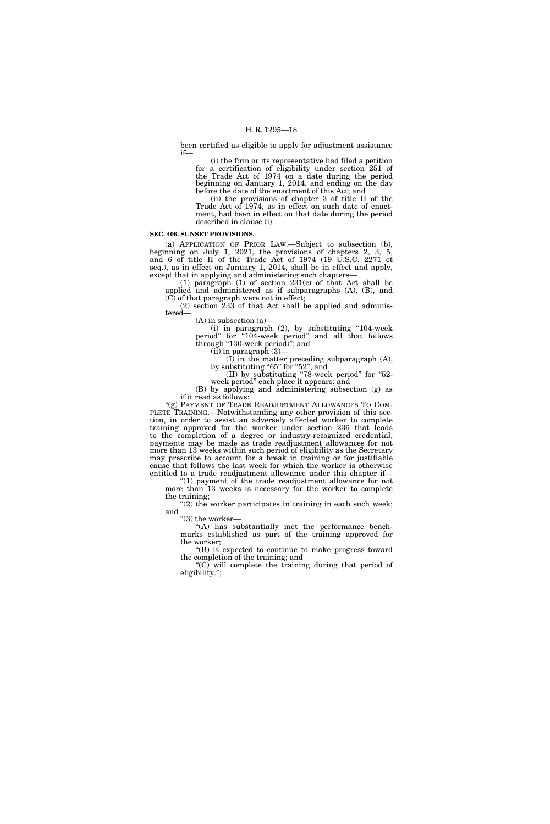been certified as eligible to apply for adjustment assistance if—

(i) the firm or its representative had filed a petition for a certification of eligibility under section 251 of the Trade Act of 1974 on a date during the period beginning on January 1, 2014, and ending on the day before the date of the enactment of this Act; and

(ii) the provisions of chapter 3 of title II of the Trade Act of 1974, as in effect on such date of enactment, had been in effect on that date during the period described in clause (i).

#### **SEC. 406. SUNSET PROVISIONS.**

(a) APPLICATION OF PRIOR LAW.—Subject to subsection (b), beginning on July 1, 2021, the provisions of chapters 2, 3, 5, and 6 of title II of the Trade Act of 1974 (19 U.S.C. 2271 et seq.), as in effect on January 1, 2014, shall be in effect and apply, except that in applying and administering such chapters—

(1) paragraph (1) of section  $231(c)$  of that Act shall be applied and administered as if subparagraphs (A), (B), and  $(\tilde{C})$  of that paragraph were not in effect;

(2) section 233 of that Act shall be applied and administered—

(A) in subsection (a)—

(i) in paragraph  $(2)$ , by substituting "104-week" period'' for ''104-week period'' and all that follows through ''130-week period)''; and

(ii) in paragraph (3)—

(I) in the matter preceding subparagraph (A), by substituting "65" for "52"; and (II) by substituting ''78-week period'' for ''52-

week period'' each place it appears; and

(B) by applying and administering subsection (g) as if it read as follows:

"(g) PAYMENT OF TRADE READJUSTMENT ALLOWANCES TO COM-PLETE TRAINING.—Notwithstanding any other provision of this section, in order to assist an adversely affected worker to complete training approved for the worker under section 236 that leads to the completion of a degree or industry-recognized credential, payments may be made as trade readjustment allowances for not more than 13 weeks within such period of eligibility as the Secretary may prescribe to account for a break in training or for justifiable cause that follows the last week for which the worker is otherwise entitled to a trade readjustment allowance under this chapter if—

"(1) payment of the trade readjustment allowance for not more than 13 weeks is necessary for the worker to complete the training;

 $(2)$  the worker participates in training in each such week; and

"(3) the worker-

''(A) has substantially met the performance benchmarks established as part of the training approved for the worker;

''(B) is expected to continue to make progress toward the completion of the training; and

" $(C)$  will complete the training during that period of eligibility.'';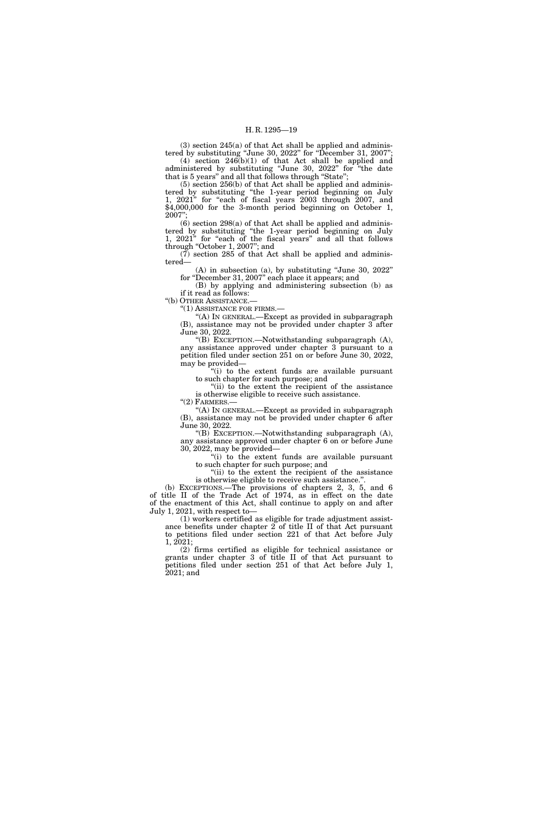$(3)$  section  $245(a)$  of that Act shall be applied and administered by substituting "June 30,  $2022$ " for "December 31,  $2007$ "; (4) section 246(b)(1) of that Act shall be applied and administered by substituting ''June 30, 2022'' for ''the date

that is 5 years'' and all that follows through ''State''; (5) section 256(b) of that Act shall be applied and adminis-

tered by substituting ''the 1-year period beginning on July 1, 2021" for "each of fiscal years 2003 through 2007, and \$4,000,000 for the 3-month period beginning on October 1, 2007'';

 $(6)$  section 298 $(a)$  of that Act shall be applied and administered by substituting ''the 1-year period beginning on July 1, 2021" for "each of the fiscal years" and all that follows through ''October 1, 2007''; and

 $(7)$  section 285 of that Act shall be applied and administered—

(A) in subsection (a), by substituting ''June 30, 2022'' for ''December 31, 2007'' each place it appears; and

(B) by applying and administering subsection (b) as if it read as follows:

"(b) OTHER ASSISTANCE.-

''(1) ASSISTANCE FOR FIRMS.—

''(A) IN GENERAL.—Except as provided in subparagraph (B), assistance may not be provided under chapter 3 after June 30, 2022.

''(B) EXCEPTION.—Notwithstanding subparagraph (A), any assistance approved under chapter 3 pursuant to a petition filed under section 251 on or before June 30, 2022, may be provided—

''(i) to the extent funds are available pursuant to such chapter for such purpose; and

''(ii) to the extent the recipient of the assistance is otherwise eligible to receive such assistance.

" $(2)$  FARMERS.-

''(A) IN GENERAL.—Except as provided in subparagraph (B), assistance may not be provided under chapter 6 after June 30, 2022.

''(B) EXCEPTION.—Notwithstanding subparagraph (A), any assistance approved under chapter 6 on or before June 30, 2022, may be provided—

''(i) to the extent funds are available pursuant to such chapter for such purpose; and

"(ii) to the extent the recipient of the assistance is otherwise eligible to receive such assistance.'

(b) EXCEPTIONS.—The provisions of chapters 2, 3, 5, and 6 of title II of the Trade Act of 1974, as in effect on the date of the enactment of this Act, shall continue to apply on and after July 1, 2021, with respect to—

(1) workers certified as eligible for trade adjustment assistance benefits under chapter 2 of title II of that Act pursuant to petitions filed under section 221 of that Act before July 1, 2021;

(2) firms certified as eligible for technical assistance or grants under chapter 3 of title II of that Act pursuant to petitions filed under section 251 of that Act before July 1, 2021; and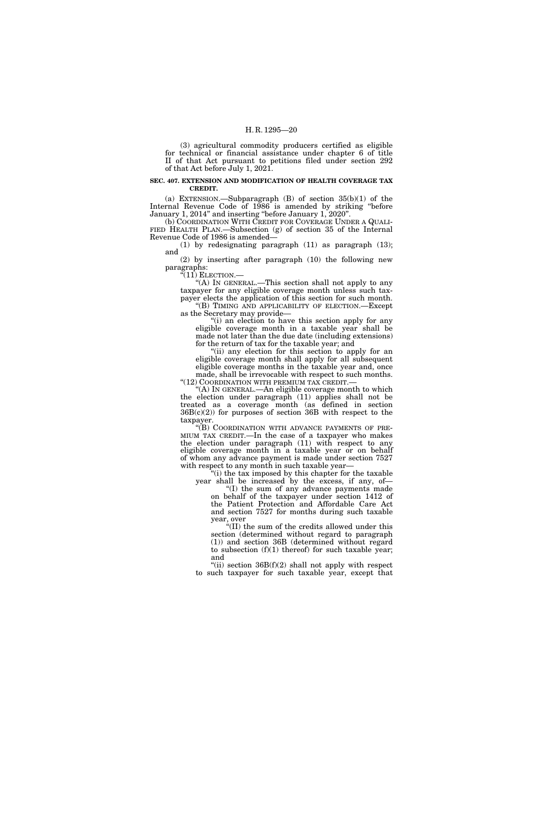(3) agricultural commodity producers certified as eligible for technical or financial assistance under chapter 6 of title II of that Act pursuant to petitions filed under section 292 of that Act before July 1, 2021.

#### **SEC. 407. EXTENSION AND MODIFICATION OF HEALTH COVERAGE TAX CREDIT.**

(a) EXTENSION.—Subparagraph (B) of section 35(b)(1) of the Internal Revenue Code of 1986 is amended by striking "before" January 1, 2014'' and inserting ''before January 1, 2020''.

(b) COORDINATION WITH CREDIT FOR COVERAGE UNDER A QUALI-FIED HEALTH PLAN.—Subsection (g) of section 35 of the Internal Revenue Code of 1986 is amended—

(1) by redesignating paragraph (11) as paragraph (13); and

(2) by inserting after paragraph (10) the following new paragraphs:

 $\sqrt[G(11)]$  ELECTION.—

''(A) IN GENERAL.—This section shall not apply to any taxpayer for any eligible coverage month unless such taxpayer elects the application of this section for such month.

"(B) TIMING AND APPLICABILITY OF ELECTION.—Except as the Secretary may provide—

"(i) an election to have this section apply for any eligible coverage month in a taxable year shall be made not later than the due date (including extensions) for the return of tax for the taxable year; and

"(ii) any election for this section to apply for an eligible coverage month shall apply for all subsequent eligible coverage months in the taxable year and, once made, shall be irrevocable with respect to such months. "(12)  $Coof$ DINATION WITH PREMIUM TAX CREDIT.

''(A) IN GENERAL.—An eligible coverage month to which the election under paragraph (11) applies shall not be treated as a coverage month (as defined in section 36B(c)(2)) for purposes of section 36B with respect to the taxpayer.

''(B) COORDINATION WITH ADVANCE PAYMENTS OF PRE-MIUM TAX CREDIT.—In the case of a taxpayer who makes the election under paragraph (11) with respect to any eligible coverage month in a taxable year or on behalf of whom any advance payment is made under section 7527 with respect to any month in such taxable year-

(i) the tax imposed by this chapter for the taxable year shall be increased by the excess, if any, of—

''(I) the sum of any advance payments made on behalf of the taxpayer under section 1412 of the Patient Protection and Affordable Care Act and section 7527 for months during such taxable year, over

''(II) the sum of the credits allowed under this section (determined without regard to paragraph (1)) and section 36B (determined without regard to subsection  $(f)(1)$  thereof) for such taxable year; and

"(ii) section  $36B(f)(2)$  shall not apply with respect to such taxpayer for such taxable year, except that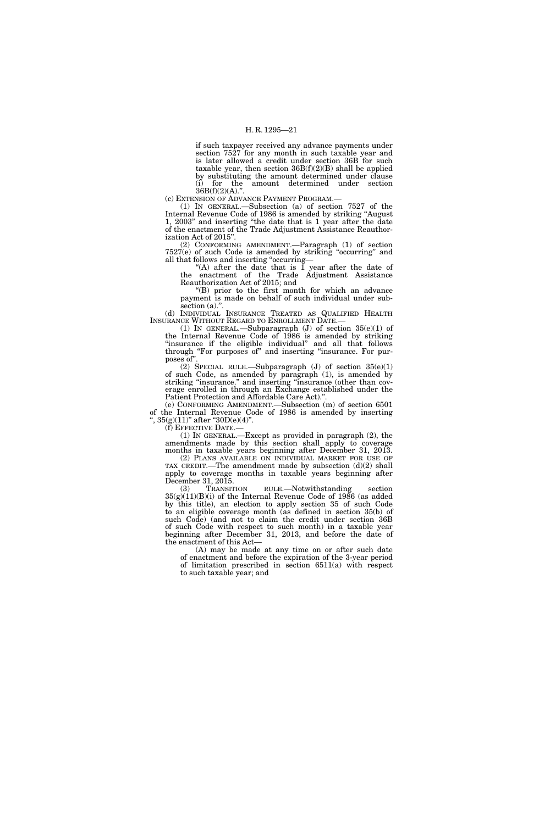if such taxpayer received any advance payments under section 7527 for any month in such taxable year and is later allowed a credit under section 36B for such taxable year, then section  $36B(f)(2)(B)$  shall be applied by substituting the amount determined under clause<br>(i) for the amount determined under section amount determined under section  $36B(f)(2)(A)$ ."

(c) EXTENSION OF ADVANCE PAYMENT PROGRAM.—

(1) IN GENERAL.—Subsection (a) of section 7527 of the Internal Revenue Code of 1986 is amended by striking ''August 1, 2003'' and inserting ''the date that is 1 year after the date of the enactment of the Trade Adjustment Assistance Reauthorization Act of 2015''.

(2) CONFORMING AMENDMENT.—Paragraph (1) of section 7527(e) of such Code is amended by striking ''occurring'' and all that follows and inserting ''occurring—

"(A) after the date that is  $\tilde{1}$  year after the date of the enactment of the Trade Adjustment Assistance Reauthorization Act of 2015; and

''(B) prior to the first month for which an advance payment is made on behalf of such individual under subsection (a).".

(d) INDIVIDUAL INSURANCE TREATED AS QUALIFIED HEALTH INSURANCE WITHOUT REGARD TO ENROLLMENT DATE.—

(1) IN GENERAL.—Subparagraph (J) of section 35(e)(1) of the Internal Revenue Code of 1986 is amended by striking "insurance if the eligible individual" and all that follows through "For purposes of" and inserting "insurance. For purposes of"

(2) SPECIAL RULE.—Subparagraph (J) of section  $35(e)(1)$ of such Code, as amended by paragraph (1), is amended by striking "insurance." and inserting "insurance (other than coverage enrolled in through an Exchange established under the Patient Protection and Affordable Care Act)."

(e) CONFORMING AMENDMENT.—Subsection (m) of section 6501 of the Internal Revenue Code of 1986 is amended by inserting  $, 35(g)(11)$ " after " $30D(e)(4)$ ".<br>
(f) EFFECTIVE DATE.—

(1) IN GENERAL.—Except as provided in paragraph  $(2)$ , the amendments made by this section shall apply to coverage months in taxable years beginning after December 31, 2013.

(2) PLANS AVAILABLE ON INDIVIDUAL MARKET FOR USE OF TAX CREDIT.—The amendment made by subsection (d)(2) shall apply to coverage months in taxable years beginning after December 31, 2015.

(3) TRANSITION RULE.—Notwithstanding section  $35(g)(11)(B)(i)$  of the Internal Revenue Code of 1986 (as added by this title), an election to apply section 35 of such Code to an eligible coverage month (as defined in section 35(b) of such Code) (and not to claim the credit under section 36B of such Code with respect to such month) in a taxable year beginning after December 31, 2013, and before the date of the enactment of this Act—

(A) may be made at any time on or after such date of enactment and before the expiration of the 3-year period of limitation prescribed in section 6511(a) with respect to such taxable year; and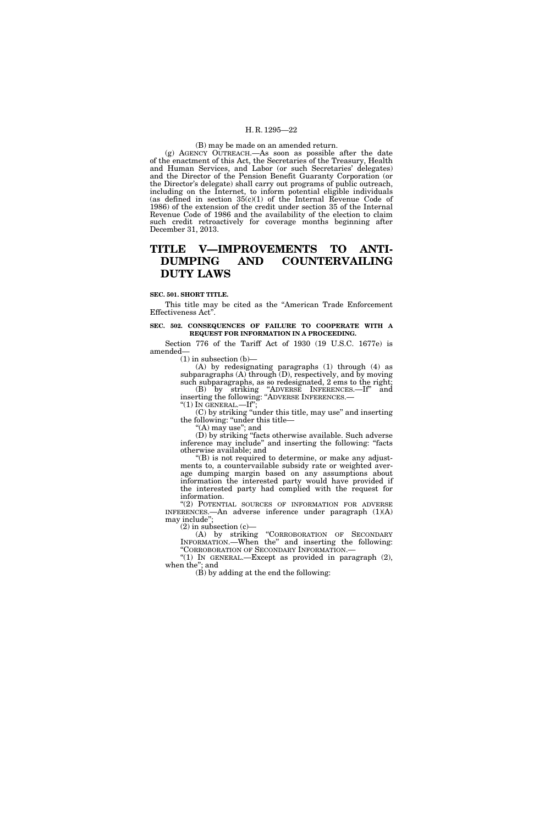#### (B) may be made on an amended return.

(g) AGENCY OUTREACH.—As soon as possible after the date of the enactment of this Act, the Secretaries of the Treasury, Health and Human Services, and Labor (or such Secretaries' delegates) and the Director of the Pension Benefit Guaranty Corporation (or the Director's delegate) shall carry out programs of public outreach, including on the Internet, to inform potential eligible individuals (as defined in section  $35(c)(1)$  of the Internal Revenue Code of 1986) of the extension of the credit under section 35 of the Internal Revenue Code of 1986 and the availability of the election to claim such credit retroactively for coverage months beginning after December 31, 2013.

# **TITLE V—IMPROVEMENTS TO ANTI-DUMPING AND COUNTERVAILING DUTY LAWS**

#### **SEC. 501. SHORT TITLE.**

This title may be cited as the ''American Trade Enforcement Effectiveness Act''.

#### **SEC. 502. CONSEQUENCES OF FAILURE TO COOPERATE WITH A REQUEST FOR INFORMATION IN A PROCEEDING.**

Section 776 of the Tariff Act of 1930 (19 U.S.C. 1677e) is amended—

 $(1)$  in subsection  $(b)$ —

(A) by redesignating paragraphs (1) through (4) as subparagraphs  $(A)$  through  $(D)$ , respectively, and by moving such subparagraphs, as so redesignated, 2 ems to the right;

(B) by striking ''ADVERSE INFERENCES.—If'' and inserting the following: "ADVERSE INFERENCES.—<br>"(1) IN GENERAL.—If";

(C) by striking ''under this title, may use'' and inserting the following: ''under this title—

''(A) may use''; and

(D) by striking ''facts otherwise available. Such adverse inference may include'' and inserting the following: ''facts otherwise available; and

''(B) is not required to determine, or make any adjustments to, a countervailable subsidy rate or weighted average dumping margin based on any assumptions about information the interested party would have provided if the interested party had complied with the request for information.

"(2) POTENTIAL SOURCES OF INFORMATION FOR ADVERSE INFERENCES.—An adverse inference under paragraph (1)(A) may include'';

(2) in subsection (c)—

(A) by striking ''CORROBORATION OF SECONDARY INFORMATION.—When the'' and inserting the following:

"(1) IN GENERAL.—Except as provided in paragraph (2), when the''; and

(B) by adding at the end the following: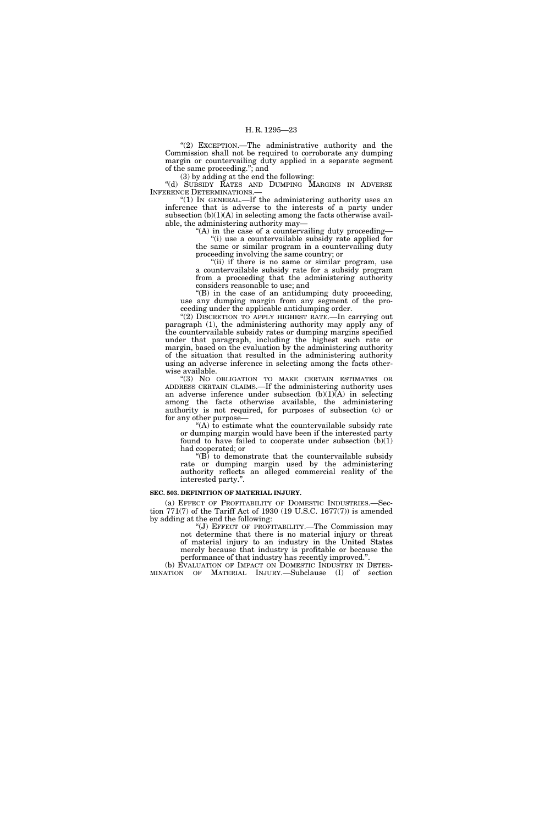"(2) EXCEPTION.—The administrative authority and the Commission shall not be required to corroborate any dumping margin or countervailing duty applied in a separate segment of the same proceeding.''; and

(3) by adding at the end the following:

''(d) SUBSIDY RATES AND DUMPING MARGINS IN ADVERSE INFERENCE DETERMINATIONS.

''(1) IN GENERAL.—If the administering authority uses an inference that is adverse to the interests of a party under subsection  $(b)(1)(A)$  in selecting among the facts otherwise available, the administering authority may—

"(A) in the case of a countervailing duty proceeding-''(i) use a countervailable subsidy rate applied for the same or similar program in a countervailing duty proceeding involving the same country; or

"(ii) if there is no same or similar program, use a countervailable subsidy rate for a subsidy program from a proceeding that the administering authority considers reasonable to use; and

 $f(B)$  in the case of an antidumping duty proceeding, use any dumping margin from any segment of the proceeding under the applicable antidumping order.

"(2) DISCRETION TO APPLY HIGHEST RATE.—In carrying out paragraph (1), the administering authority may apply any of the countervailable subsidy rates or dumping margins specified under that paragraph, including the highest such rate or margin, based on the evaluation by the administering authority of the situation that resulted in the administering authority using an adverse inference in selecting among the facts otherwise available.

''(3) NO OBLIGATION TO MAKE CERTAIN ESTIMATES OR ADDRESS CERTAIN CLAIMS.—If the administering authority uses an adverse inference under subsection  $(b)(1)(A)$  in selecting among the facts otherwise available, the administering authority is not required, for purposes of subsection (c) or for any other purpose—

 $(A)$  to estimate what the countervailable subsidy rate or dumping margin would have been if the interested party found to have failed to cooperate under subsection  $(b)(1)$ had cooperated; or

 $(E)$  to demonstrate that the countervailable subsidy rate or dumping margin used by the administering authority reflects an alleged commercial reality of the interested party."

#### **SEC. 503. DEFINITION OF MATERIAL INJURY.**

(a) EFFECT OF PROFITABILITY OF DOMESTIC INDUSTRIES.—Section 771(7) of the Tariff Act of 1930 (19 U.S.C. 1677(7)) is amended by adding at the end the following:

''(J) EFFECT OF PROFITABILITY.—The Commission may not determine that there is no material injury or threat of material injury to an industry in the United States merely because that industry is profitable or because the

performance of that industry has recently improved." (b) EVALUATION OF IMPACT ON DOMESTIC INDUSTRY IN DETER-MINATION OF MATERIAL INJURY.—Subclause (I) of section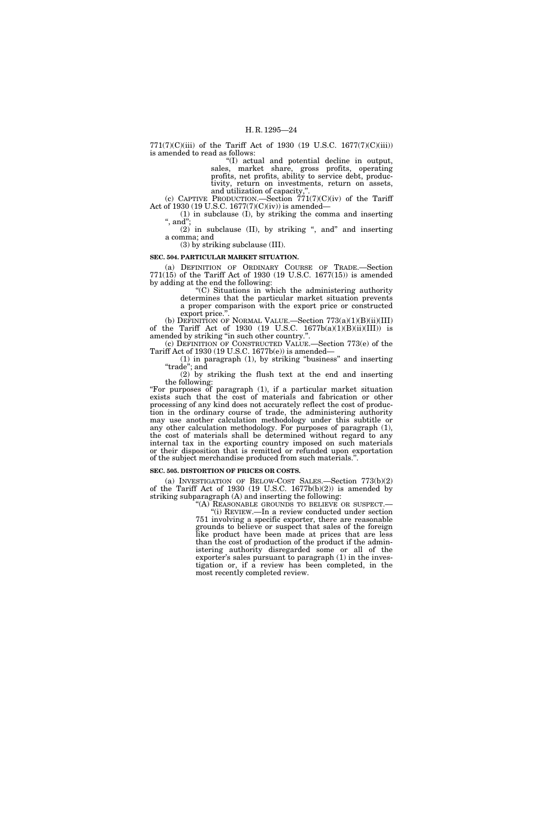771(7)(C)(iii) of the Tariff Act of 1930 (19 U.S.C. 1677(7)(C)(iii)) is amended to read as follows:

''(I) actual and potential decline in output, sales, market share, gross profits, operating profits, net profits, ability to service debt, productivity, return on investments, return on assets, and utilization of capacity,''.

(c) CAPTIVE PRODUCTION.—Section  $771(7)(C)(iv)$  of the Tariff Act of 1930 (19 U.S.C. 1677(7)(C)(iv)) is amended—

(1) in subclause (I), by striking the comma and inserting '', and'';

 $(2)$  in subclause  $(II)$ , by striking ", and" and inserting a comma; and

(3) by striking subclause (III).

# **SEC. 504. PARTICULAR MARKET SITUATION.**

(a) DEFINITION OF ORDINARY COURSE OF TRADE.—Section 771(15) of the Tariff Act of 1930 (19 U.S.C. 1677(15)) is amended by adding at the end the following:

''(C) Situations in which the administering authority determines that the particular market situation prevents a proper comparison with the export price or constructed export price."

(b) DEFINITION OF NORMAL VALUE.—Section 773(a)(1)(B)(ii)(III) of the Tariff Act of 1930 (19 U.S.C.  $1677b(a)(1)(B)(ii)(III)$ ) is amended by striking "in such other country."

(c) DEFINITION OF CONSTRUCTED VALUE.—Section 773(e) of the Tariff Act of 1930 (19 U.S.C. 1677b(e)) is amended—

(1) in paragraph (1), by striking ''business'' and inserting ''trade''; and

(2) by striking the flush text at the end and inserting the following:

''For purposes of paragraph (1), if a particular market situation exists such that the cost of materials and fabrication or other processing of any kind does not accurately reflect the cost of production in the ordinary course of trade, the administering authority may use another calculation methodology under this subtitle or any other calculation methodology. For purposes of paragraph (1), the cost of materials shall be determined without regard to any internal tax in the exporting country imposed on such materials or their disposition that is remitted or refunded upon exportation of the subject merchandise produced from such materials.''.

#### **SEC. 505. DISTORTION OF PRICES OR COSTS.**

(a) INVESTIGATION OF BELOW-COST SALES.—Section 773(b)(2) of the Tariff Act of 1930 (19 U.S.C. 1677b(b)(2)) is amended by striking subparagraph (A) and inserting the following: "(A) REASONABLE GROUNDS TO BELIEVE OR SUSPECT.

''(i) REVIEW.—In a review conducted under section 751 involving a specific exporter, there are reasonable grounds to believe or suspect that sales of the foreign like product have been made at prices that are less than the cost of production of the product if the administering authority disregarded some or all of the exporter's sales pursuant to paragraph (1) in the investigation or, if a review has been completed, in the most recently completed review.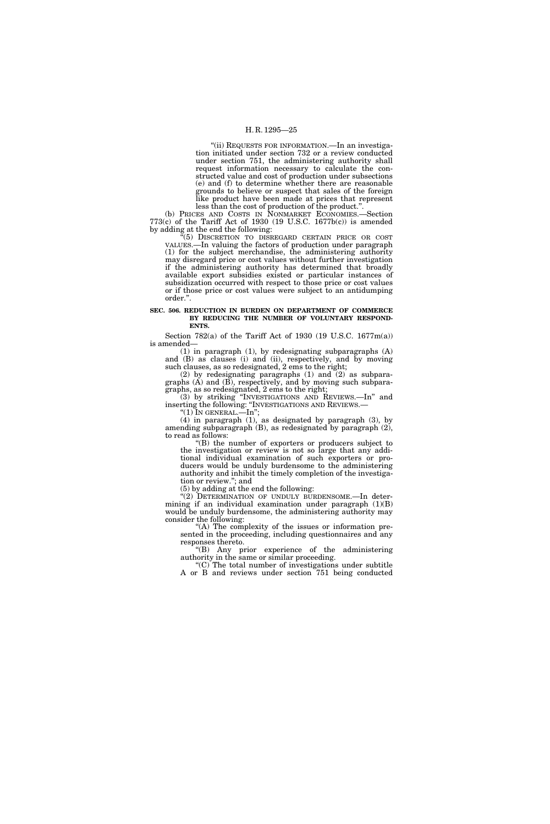"(ii) REQUESTS FOR INFORMATION. - In an investigation initiated under section 732 or a review conducted under section 751, the administering authority shall request information necessary to calculate the constructed value and cost of production under subsections (e) and (f) to determine whether there are reasonable grounds to believe or suspect that sales of the foreign like product have been made at prices that represent less than the cost of production of the product.''.

(b) PRICES AND COSTS IN NONMARKET ECONOMIES.—Section 773(c) of the Tariff Act of 1930 (19 U.S.C. 1677b(c)) is amended by adding at the end the following:

<sup>7</sup>(5) DISCRETION TO DISREGARD CERTAIN PRICE OR COST VALUES.—In valuing the factors of production under paragraph (1) for the subject merchandise, the administering authority may disregard price or cost values without further investigation if the administering authority has determined that broadly available export subsidies existed or particular instances of subsidization occurred with respect to those price or cost values or if those price or cost values were subject to an antidumping order.''.

#### **SEC. 506. REDUCTION IN BURDEN ON DEPARTMENT OF COMMERCE BY REDUCING THE NUMBER OF VOLUNTARY RESPOND-ENTS.**

Section 782(a) of the Tariff Act of 1930 (19 U.S.C. 1677m(a)) is amended—

 $(1)$  in paragraph  $(1)$ , by redesignating subparagraphs  $(A)$ and (B) as clauses (i) and (ii), respectively, and by moving such clauses, as so redesignated, 2 ems to the right;

(2) by redesignating paragraphs (1) and (2) as subparagraphs  $(A)$  and  $(B)$ , respectively, and by moving such subparagraphs, as so redesignated, 2 ems to the right;

(3) by striking ''INVESTIGATIONS AND REVIEWS.—In'' and inserting the following: ''INVESTIGATIONS AND REVIEWS.— ''(1) IN GENERAL.—In'';

(4) in paragraph (1), as designated by paragraph (3), by amending subparagraph (B), as redesignated by paragraph (2), to read as follows:

(B) the number of exporters or producers subject to the investigation or review is not so large that any additional individual examination of such exporters or producers would be unduly burdensome to the administering authority and inhibit the timely completion of the investigation or review.''; and

(5) by adding at the end the following:

"(2) DETERMINATION OF UNDULY BURDENSOME.—In determining if an individual examination under paragraph (1)(B) would be unduly burdensome, the administering authority may consider the following:

"(A) The complexity of the issues or information presented in the proceeding, including questionnaires and any responses thereto.

''(B) Any prior experience of the administering authority in the same or similar proceeding.

''(C) The total number of investigations under subtitle A or B and reviews under section 751 being conducted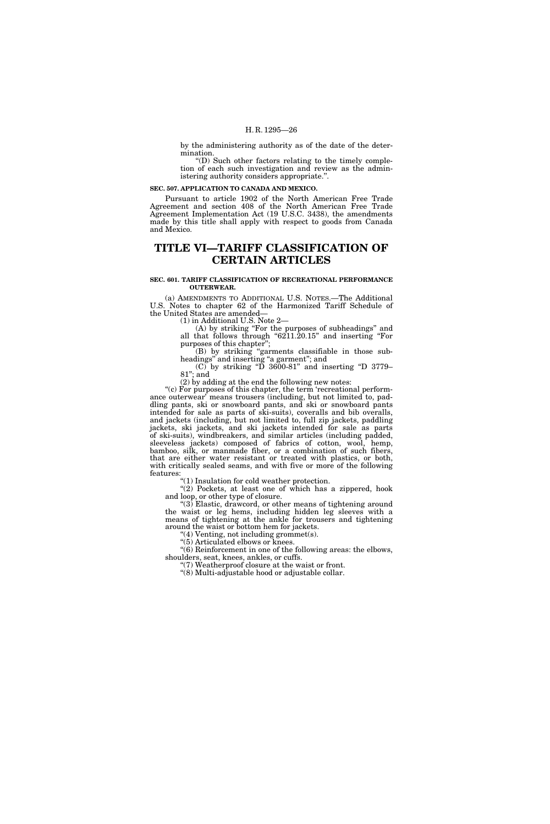by the administering authority as of the date of the determination.

''(D) Such other factors relating to the timely completion of each such investigation and review as the administering authority considers appropriate.''.

**SEC. 507. APPLICATION TO CANADA AND MEXICO.** 

Pursuant to article 1902 of the North American Free Trade Agreement and section 408 of the North American Free Trade Agreement Implementation Act (19 U.S.C. 3438), the amendments made by this title shall apply with respect to goods from Canada and Mexico.

# **TITLE VI—TARIFF CLASSIFICATION OF CERTAIN ARTICLES**

#### **SEC. 601. TARIFF CLASSIFICATION OF RECREATIONAL PERFORMANCE OUTERWEAR.**

(a) AMENDMENTS TO ADDITIONAL U.S. NOTES.—The Additional U.S. Notes to chapter 62 of the Harmonized Tariff Schedule of the United States are amended—

(1) in Additional U.S. Note 2—

(A) by striking ''For the purposes of subheadings'' and all that follows through "6211.20.15" and inserting "For purposes of this chapter'';

(B) by striking ''garments classifiable in those subheadings" and inserting "a garment"; and

 $(C)$  by striking "D 3600-81" and inserting "D 3779– 81''; and

(2) by adding at the end the following new notes:

''(c) For purposes of this chapter, the term 'recreational performance outerwear' means trousers (including, but not limited to, paddling pants, ski or snowboard pants, and ski or snowboard pants intended for sale as parts of ski-suits), coveralls and bib overalls, and jackets (including, but not limited to, full zip jackets, paddling jackets, ski jackets, and ski jackets intended for sale as parts of ski-suits), windbreakers, and similar articles (including padded, sleeveless jackets) composed of fabrics of cotton, wool, hemp, bamboo, silk, or manmade fiber, or a combination of such fibers, that are either water resistant or treated with plastics, or both, with critically sealed seams, and with five or more of the following features:

''(1) Insulation for cold weather protection.

 $(2)$  Pockets, at least one of which has a zippered, hook and loop, or other type of closure.

''(3) Elastic, drawcord, or other means of tightening around the waist or leg hems, including hidden leg sleeves with a means of tightening at the ankle for trousers and tightening around the waist or bottom hem for jackets.

 $'(4)$  Venting, not including grommet(s).

"(5) Articulated elbows or knees.

''(6) Reinforcement in one of the following areas: the elbows, shoulders, seat, knees, ankles, or cuffs.

''(7) Weatherproof closure at the waist or front. ''(8) Multi-adjustable hood or adjustable collar.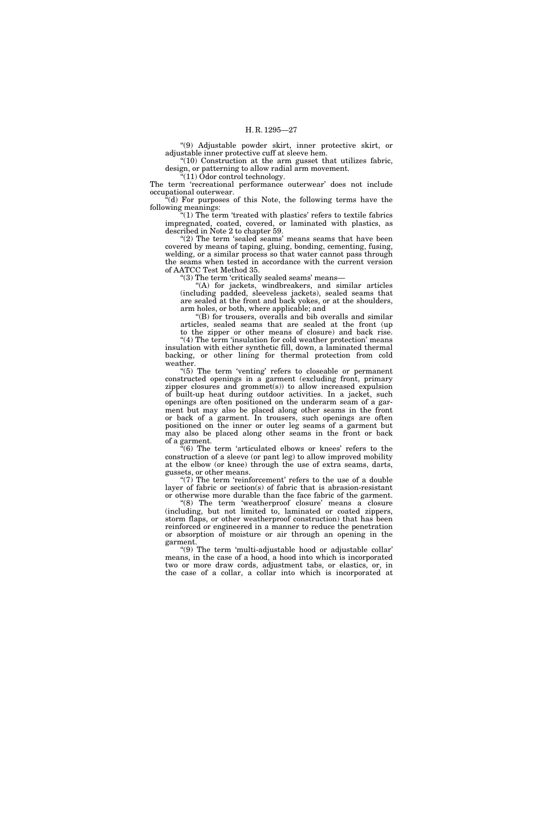''(9) Adjustable powder skirt, inner protective skirt, or adjustable inner protective cuff at sleeve hem.

"(10) Construction at the arm gusset that utilizes fabric, design, or patterning to allow radial arm movement.

 $\sqrt[36]{(11)}$  Odor control technology.

The term 'recreational performance outerwear' does not include occupational outerwear.

 $\mathbf{F}^{\mathsf{r}}(d)$  For purposes of this Note, the following terms have the following meanings:

" $(1)$  The term 'treated with plastics' refers to textile fabrics impregnated, coated, covered, or laminated with plastics, as described in Note 2 to chapter 59.

" $(2)$  The term 'sealed seams' means seams that have been covered by means of taping, gluing, bonding, cementing, fusing, welding, or a similar process so that water cannot pass through the seams when tested in accordance with the current version of AATCC Test Method 35.

''(3) The term 'critically sealed seams' means—

''(A) for jackets, windbreakers, and similar articles (including padded, sleeveless jackets), sealed seams that are sealed at the front and back yokes, or at the shoulders, arm holes, or both, where applicable; and

''(B) for trousers, overalls and bib overalls and similar articles, sealed seams that are sealed at the front (up

to the zipper or other means of closure) and back rise. "(4) The term 'insulation for cold weather protection' means insulation with either synthetic fill, down, a laminated thermal backing, or other lining for thermal protection from cold weather.

''(5) The term 'venting' refers to closeable or permanent constructed openings in a garment (excluding front, primary zipper closures and grommet(s)) to allow increased expulsion of built-up heat during outdoor activities. In a jacket, such openings are often positioned on the underarm seam of a garment but may also be placed along other seams in the front or back of a garment. In trousers, such openings are often positioned on the inner or outer leg seams of a garment but may also be placed along other seams in the front or back of a garment.

 $\mathbf{F}(6)$  The term 'articulated elbows or knees' refers to the construction of a sleeve (or pant leg) to allow improved mobility at the elbow (or knee) through the use of extra seams, darts, gussets, or other means.

"(7) The term 'reinforcement' refers to the use of a double layer of fabric or section(s) of fabric that is abrasion-resistant or otherwise more durable than the face fabric of the garment.

"(8) The term 'weatherproof closure' means a closure (including, but not limited to, laminated or coated zippers, storm flaps, or other weatherproof construction) that has been reinforced or engineered in a manner to reduce the penetration or absorption of moisture or air through an opening in the garment.

''(9) The term 'multi-adjustable hood or adjustable collar' means, in the case of a hood, a hood into which is incorporated two or more draw cords, adjustment tabs, or elastics, or, in the case of a collar, a collar into which is incorporated at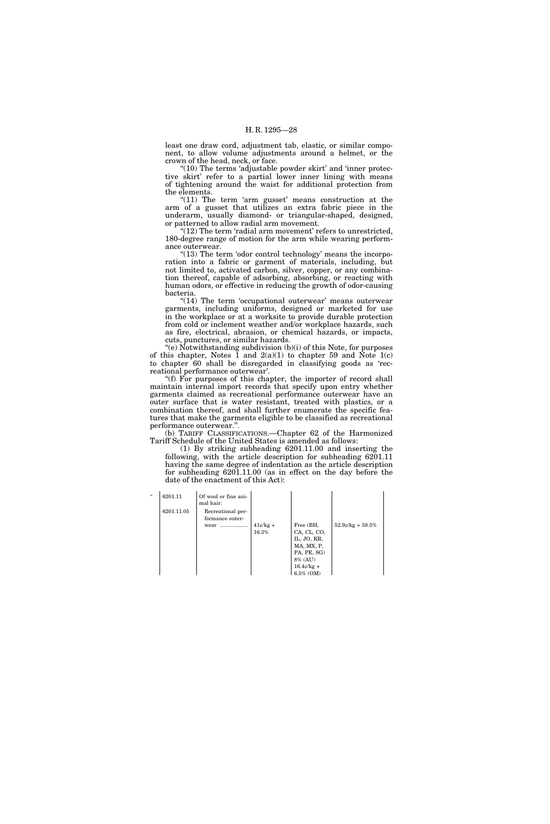least one draw cord, adjustment tab, elastic, or similar component, to allow volume adjustments around a helmet, or the crown of the head, neck, or face.

 $(10)$  The terms 'adjustable powder skirt' and 'inner protective skirt' refer to a partial lower inner lining with means of tightening around the waist for additional protection from the elements.

"(11) The term 'arm gusset' means construction at the arm of a gusset that utilizes an extra fabric piece in the underarm, usually diamond- or triangular-shaped, designed, or patterned to allow radial arm movement.

" $(12)$  The term 'radial arm movement' refers to unrestricted, 180-degree range of motion for the arm while wearing performance outerwear.

" $(13)$  The term 'odor control technology' means the incorporation into a fabric or garment of materials, including, but not limited to, activated carbon, silver, copper, or any combination thereof, capable of adsorbing, absorbing, or reacting with human odors, or effective in reducing the growth of odor-causing bacteria.

"(14) The term 'occupational outerwear' means outerwear garments, including uniforms, designed or marketed for use in the workplace or at a worksite to provide durable protection from cold or inclement weather and/or workplace hazards, such as fire, electrical, abrasion, or chemical hazards, or impacts, cuts, punctures, or similar hazards.

 $(e)$  Notwithstanding subdivision  $(b)(i)$  of this Note, for purposes of this chapter, Notes  $\bar{1}$  and  $2(a)(1)$  to chapter 59 and Note 1(c) to chapter 60 shall be disregarded in classifying goods as 'recreational performance outerwear'.

"(f) For purposes of this chapter, the importer of record shall maintain internal import records that specify upon entry whether garments claimed as recreational performance outerwear have an outer surface that is water resistant, treated with plastics, or a combination thereof, and shall further enumerate the specific features that make the garments eligible to be classified as recreational performance outerwear.''.

(b) TARIFF CLASSIFICATIONS.—Chapter 62 of the Harmonized Tariff Schedule of the United States is amended as follows:

(1) By striking subheading 6201.11.00 and inserting the following, with the article description for subheading 6201.11 having the same degree of indentation as the article description for subheading 6201.11.00 (as in effect on the day before the date of the enactment of this Act):

| $\epsilon\epsilon$ | 6201.11    | Of wool or fine ani-<br>mal hair:    |            |                  |                     |
|--------------------|------------|--------------------------------------|------------|------------------|---------------------|
|                    | 6201.11.05 | Recreational per-<br>formance outer- |            |                  |                     |
|                    |            | wear                                 | $41¢/kg +$ | Free (BH,        | $52.9$ e/kg + 58.5% |
|                    |            |                                      | 16.3%      | CA, CL, CO,      |                     |
|                    |            |                                      |            | IL, JO, KR,      |                     |
|                    |            |                                      |            | MA, MX, P,       |                     |
|                    |            |                                      |            | PA, PE, SG)      |                     |
|                    |            |                                      |            | 8% (AU)          |                     |
|                    |            |                                      |            | $16.4\ell$ /kg + |                     |
|                    |            |                                      |            | $6.5\%$ (OM)     |                     |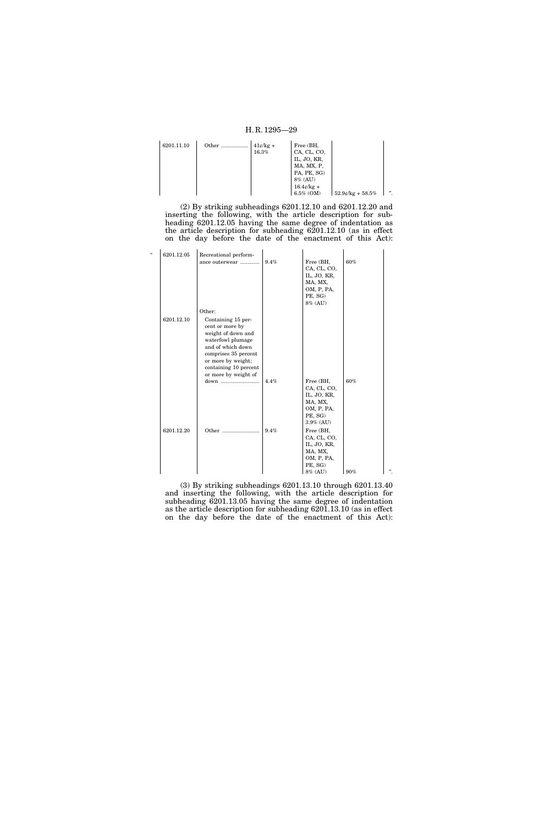| 6201.11.10 | Other | $41¢/kg +$<br>16.3% | Free (BH,<br>CA, CL, CO,<br>IL, JO, KR,<br>MA, MX, P,   |                     |   |
|------------|-------|---------------------|---------------------------------------------------------|---------------------|---|
|            |       |                     | PA, PE, SG)<br>8% (AU)<br>$16.4$ e/kg +<br>$6.5\%$ (OM) | $52.9$ e/kg + 58.5% | " |

(2) By striking subheadings 6201.12.10 and 6201.12.20 and inserting the following, with the article description for subheading 6201.12.05 having the same degree of indentation as the article description for subheading 6201.12.10 (as in effect on the day before the date of the enactment of this Act):

| $\epsilon$ | 6201.12.05 | Recreational perform-                 |      |                          |     |   |
|------------|------------|---------------------------------------|------|--------------------------|-----|---|
|            |            | ance outerwear                        | 9.4% | Free (BH,                | 60% |   |
|            |            |                                       |      | CA, CL, CO,              |     |   |
|            |            |                                       |      | IL, JO, KR,              |     |   |
|            |            |                                       |      | MA, MX,                  |     |   |
|            |            |                                       |      | OM, P, PA,<br>PE, SG)    |     |   |
|            |            |                                       |      | 8% (AU)                  |     |   |
|            |            | Other:                                |      |                          |     |   |
|            |            |                                       |      |                          |     |   |
|            | 6201.12.10 | Containing 15 per-                    |      |                          |     |   |
|            |            | cent or more by<br>weight of down and |      |                          |     |   |
|            |            | waterfowl plumage                     |      |                          |     |   |
|            |            | and of which down                     |      |                          |     |   |
|            |            | comprises 35 percent                  |      |                          |     |   |
|            |            | or more by weight;                    |      |                          |     |   |
|            |            | containing 10 percent                 |      |                          |     |   |
|            |            | or more by weight of                  |      |                          |     |   |
|            |            | down                                  | 4.4% | Free (BH,                | 60% |   |
|            |            |                                       |      | CA, CL, CO,              |     |   |
|            |            |                                       |      | IL, JO, KR,              |     |   |
|            |            |                                       |      | MA, MX,                  |     |   |
|            |            |                                       |      | OM, P, PA,               |     |   |
|            |            |                                       |      | PE, SG)<br>3.9% (AU)     |     |   |
|            |            |                                       |      |                          |     |   |
|            | 6201.12.20 |                                       | 9.4% | Free (BH,<br>CA, CL, CO, |     |   |
|            |            |                                       |      | IL, JO, KR,              |     |   |
|            |            |                                       |      | MA, MX,                  |     |   |
|            |            |                                       |      | OM, P, PA,               |     |   |
|            |            |                                       |      | PE, SG)                  |     |   |
|            |            |                                       |      | 8% (AU)                  | 90% | " |

(3) By striking subheadings 6201.13.10 through 6201.13.40 and inserting the following, with the article description for subheading 6201.13.05 having the same degree of indentation as the article description for subheading 6201.13.10 (as in effect on the day before the date of the enactment of this Act):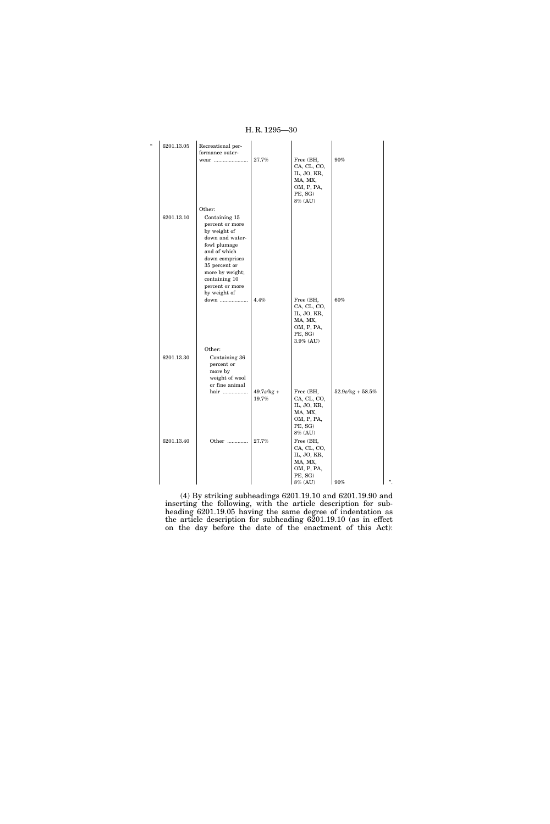| $\epsilon$ | 6201.13.05 | Recreational per-<br>formance outer-                                                                                                                                                                          |                                   |                                                                                          |                       |    |
|------------|------------|---------------------------------------------------------------------------------------------------------------------------------------------------------------------------------------------------------------|-----------------------------------|------------------------------------------------------------------------------------------|-----------------------|----|
|            |            | wear                                                                                                                                                                                                          | 27.7%                             | Free (BH,<br>CA, CL, CO,<br>IL, JO, KR,<br>MA, MX,<br>OM, P, PA,<br>PE, SG)<br>8% (AU)   | 90%                   |    |
|            |            | Other:                                                                                                                                                                                                        |                                   |                                                                                          |                       |    |
|            | 6201.13.10 | Containing 15<br>percent or more<br>by weight of<br>down and water-<br>fowl plumage<br>and of which<br>down comprises<br>35 percent or<br>more by weight;<br>containing 10<br>percent or more<br>by weight of |                                   |                                                                                          |                       |    |
|            |            | down                                                                                                                                                                                                          | 4.4%                              | Free (BH,<br>CA, CL, CO,<br>IL, JO, KR,<br>MA, MX,<br>OM, P, PA,<br>PE, SG)<br>3.9% (AU) | 60%                   |    |
|            |            | Other:                                                                                                                                                                                                        |                                   |                                                                                          |                       |    |
|            | 6201.13.30 | Containing 36<br>percent or<br>more by<br>weight of wool<br>or fine animal                                                                                                                                    |                                   |                                                                                          |                       |    |
|            |            | hair                                                                                                                                                                                                          | $49.7 \frac{\ell}{kg}$ +<br>19.7% | Free (BH,<br>CA, CL, CO,<br>IL, JO, KR,<br>MA, MX,<br>OM, P, PA,<br>PE, SG)<br>8% (AU)   | $52.9$ e/kg + $58.5%$ |    |
|            | 6201.13.40 |                                                                                                                                                                                                               | $27.7\%$                          | Free (BH,<br>CA, CL, CO,<br>IL, JO, KR,<br>MA, MX,<br>OM, P, PA,<br>PE, SG)<br>8% (AU)   | $\frac{90\%}{2}$      | ,, |

(4) By striking subheadings 6201.19.10 and 6201.19.90 and inserting the following, with the article description for subheading 6201.19.05 having the same degree of indentation as the article description for subheading 6201.19.10 (as in effect on the day before the date of the enactment of this Act):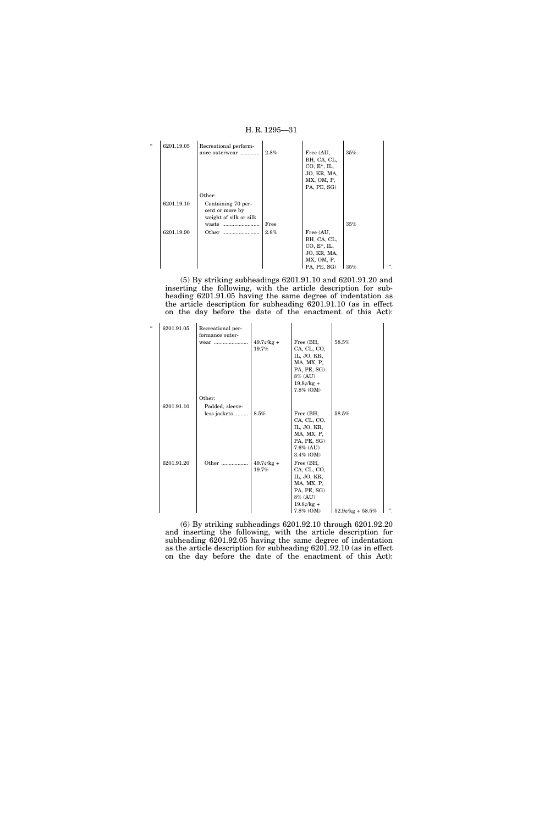

(5) By striking subheadings 6201.91.10 and 6201.91.20 and inserting the following, with the article description for subheading 6201.91.05 having the same degree of indentation as the article description for subheading 6201.91.10 (as in effect on the day before the date of the enactment of this Act):

| $\epsilon$ | 6201.91.05 | Recreational per-<br>formance outer- |                                        |                                                                                                              |                       |    |
|------------|------------|--------------------------------------|----------------------------------------|--------------------------------------------------------------------------------------------------------------|-----------------------|----|
|            |            | wear                                 | $49.7\ell$ /kg +<br>19.7%              | Free (BH,<br>CA, CL, CO,<br>IL, JO, KR,<br>MA, MX, P,<br>PA, PE, SG)<br>8% (AU)<br>$19.8¢/kg +$<br>7.8% (OM) | 58.5%                 |    |
|            |            | Other:                               |                                        |                                                                                                              |                       |    |
|            | 6201.91.10 | Padded, sleeve-                      |                                        |                                                                                                              |                       |    |
|            |            | less jackets                         | 8.5%                                   | Free (BH,                                                                                                    | 58.5%                 |    |
|            |            |                                      |                                        | CA, CL, CO,                                                                                                  |                       |    |
|            |            |                                      |                                        | IL, JO, KR,                                                                                                  |                       |    |
|            |            |                                      |                                        | MA, MX, P,<br>PA, PE, SG)                                                                                    |                       |    |
|            |            |                                      |                                        | $7.6\%$ (AU)                                                                                                 |                       |    |
|            |            |                                      |                                        | $3.4\%$ (OM)                                                                                                 |                       |    |
|            | 6201.91.20 | Other                                | $49.7 \frac{\cancel{c}}{\cancel{k}}$ + | Free (BH,                                                                                                    |                       |    |
|            |            |                                      | 19.7%                                  | CA, CL, CO,                                                                                                  |                       |    |
|            |            |                                      |                                        | IL, JO, KR,                                                                                                  |                       |    |
|            |            |                                      |                                        | MA, MX, P,                                                                                                   |                       |    |
|            |            |                                      |                                        | PA, PE, SG)                                                                                                  |                       |    |
|            |            |                                      |                                        | 8% (AU)<br>$19.8¢/kg +$                                                                                      |                       |    |
|            |            |                                      |                                        | $7.8\%$ (OM)                                                                                                 | $52.9$ e/kg + $58.5%$ | ". |

(6) By striking subheadings 6201.92.10 through 6201.92.20 and inserting the following, with the article description for subheading 6201.92.05 having the same degree of indentation as the article description for subheading 6201.92.10 (as in effect on the day before the date of the enactment of this Act):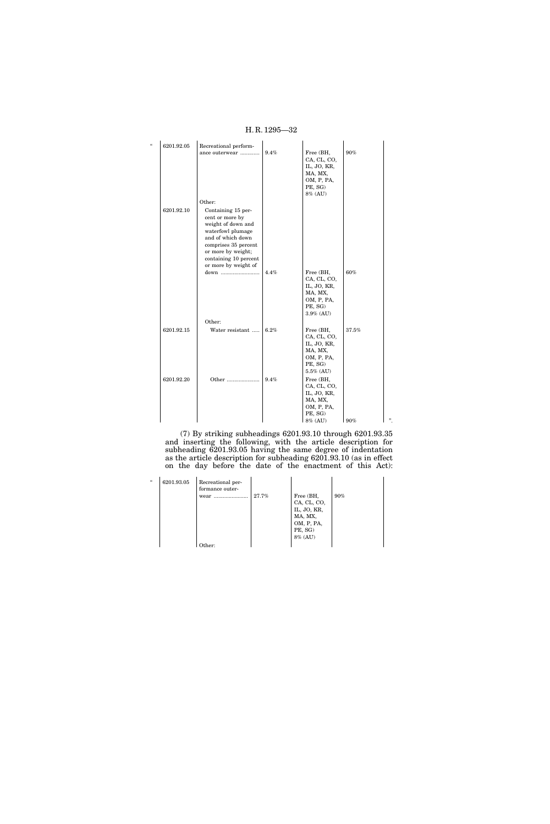| $\epsilon$ | 6201.92.05 | Recreational perform-                                                                                                                                                                                |      |                                                                                          |          |   |
|------------|------------|------------------------------------------------------------------------------------------------------------------------------------------------------------------------------------------------------|------|------------------------------------------------------------------------------------------|----------|---|
|            |            | ance outerwear                                                                                                                                                                                       | 9.4% | Free (BH,<br>CA, CL, CO,<br>IL, JO, KR,<br>MA, MX,<br>OM, P, PA,<br>PE, SG)<br>8% (AU)   | 90%      |   |
|            |            | Other:                                                                                                                                                                                               |      |                                                                                          |          |   |
|            | 6201.92.10 | Containing 15 per-<br>cent or more by<br>weight of down and<br>waterfowl plumage<br>and of which down<br>comprises 35 percent<br>or more by weight;<br>containing 10 percent<br>or more by weight of | 4.4% | Free (BH,<br>CA, CL, CO,<br>IL, JO, KR,                                                  | 60%      |   |
|            |            |                                                                                                                                                                                                      |      | MA, MX,<br>OM, P, PA,<br>PE, SG)<br>$3.9\%$ (AU)                                         |          |   |
|            |            | Other:                                                                                                                                                                                               |      |                                                                                          |          |   |
|            | 6201.92.15 | Water resistant                                                                                                                                                                                      | 6.2% | Free (BH,<br>CA, CL, CO,<br>IL, JO, KR,<br>MA, MX,<br>OM, P, PA,<br>PE, SG)<br>5.5% (AU) | $37.5\%$ |   |
|            | 6201.92.20 | Other                                                                                                                                                                                                | 9.4% | Free (BH,<br>CA, CL, CO,<br>IL, JO, KR,<br>MA, MX,<br>OM, P, PA,<br>PE, SG)<br>8% (AU)   | 90%      | " |

H. R. 1295—32

(7) By striking subheadings 6201.93.10 through 6201.93.35 and inserting the following, with the article description for subheading 6201.93.05 having the same degree of indentation as the article description for subheading 6201.93.10 (as in effect on the day before the date of the enactment of this Act):

| $\epsilon$ | 6201.93.05 | Recreational per-<br>formance outer-<br>wear | 27.7% | Free (BH,<br>CA, CL, CO,<br>IL, JO, KR,<br>MA, MX,<br>OM, P, PA,<br>PE, SG)<br>8% (AU) | $90\%$ |
|------------|------------|----------------------------------------------|-------|----------------------------------------------------------------------------------------|--------|
|            |            | ther:                                        |       |                                                                                        |        |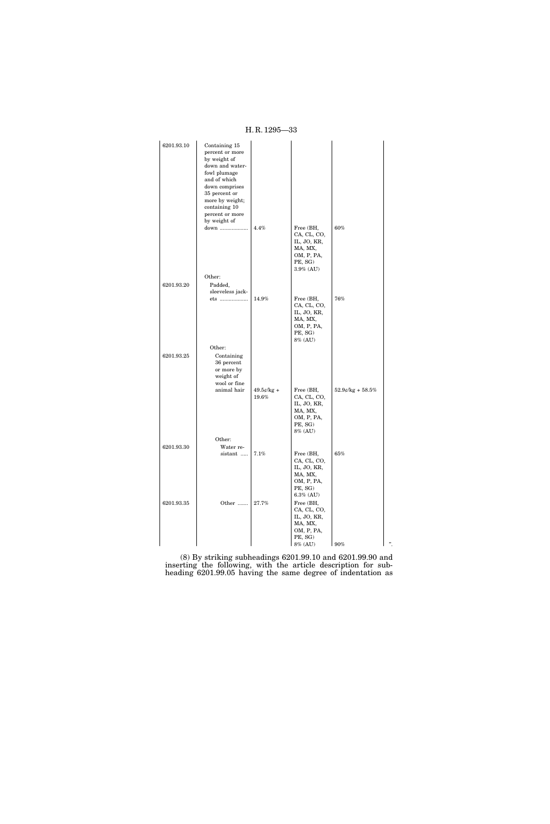H. R. 1295—33

| 6201.93.10 | Containing 15                  |                       |                            |                        |    |
|------------|--------------------------------|-----------------------|----------------------------|------------------------|----|
|            | percent or more                |                       |                            |                        |    |
|            | by weight of                   |                       |                            |                        |    |
|            | down and water-                |                       |                            |                        |    |
|            | fowl plumage                   |                       |                            |                        |    |
|            | and of which<br>down comprises |                       |                            |                        |    |
|            | 35 percent or                  |                       |                            |                        |    |
|            | more by weight;                |                       |                            |                        |    |
|            | containing 10                  |                       |                            |                        |    |
|            | percent or more                |                       |                            |                        |    |
|            | by weight of<br>down           | 4.4%                  | Free (BH,                  | 60%                    |    |
|            |                                |                       | CA, CL, CO,                |                        |    |
|            |                                |                       | IL, JO, KR,                |                        |    |
|            |                                |                       | MA, MX,                    |                        |    |
|            |                                |                       | OM, P, PA,                 |                        |    |
|            |                                |                       | PE, SG)<br>$3.9\%$ (AU)    |                        |    |
|            | Other:                         |                       |                            |                        |    |
| 6201.93.20 | Padded,                        |                       |                            |                        |    |
|            | sleeveless jack-               |                       |                            |                        |    |
|            | ets                            | 14.9%                 | Free (BH,                  | 76%                    |    |
|            |                                |                       | CA, CL, CO,<br>IL, JO, KR, |                        |    |
|            |                                |                       | MA, MX,                    |                        |    |
|            |                                |                       | OM, P, PA,                 |                        |    |
|            |                                |                       | PE, SG)                    |                        |    |
|            |                                |                       | 8% (AU)                    |                        |    |
|            | Other:                         |                       |                            |                        |    |
| 6201.93.25 | Containing<br>36 percent       |                       |                            |                        |    |
|            | or more by                     |                       |                            |                        |    |
|            | weight of                      |                       |                            |                        |    |
|            | wool or fine                   |                       |                            |                        |    |
|            | animal hair                    | $49.5¢/kg +$<br>19.6% | Free (BH,<br>CA, CL, CO,   | $52.9$ e/kg + $58.5\%$ |    |
|            |                                |                       | IL, JO, KR,                |                        |    |
|            |                                |                       | MA, MX,                    |                        |    |
|            |                                |                       | OM, P, PA,                 |                        |    |
|            |                                |                       | PE, SG)<br>8% (AU)         |                        |    |
|            | Other:                         |                       |                            |                        |    |
| 6201.93.30 | Water re-                      |                       |                            |                        |    |
|            | sistant                        | 7.1%                  | Free (BH,                  | 65%                    |    |
|            |                                |                       | CA, CL, CO,                |                        |    |
|            |                                |                       | IL, JO, KR,                |                        |    |
|            |                                |                       | MA, MX,<br>OM, P, PA,      |                        |    |
|            |                                |                       | PE, SG)                    |                        |    |
|            |                                |                       | $6.3\%$ (AU)               |                        |    |
| 6201.93.35 | Other                          | 27.7%                 | Free (BH,                  |                        |    |
|            |                                |                       | CA, CL, CO,<br>IL, JO, KR, |                        |    |
|            |                                |                       | MA, MX,                    |                        |    |
|            |                                |                       | OM, P, PA,                 |                        |    |
|            |                                |                       | PE, SG)                    |                        |    |
|            |                                |                       | 8% (AU)                    | 90%                    | ". |

(8) By striking subheadings 6201.99.10 and 6201.99.90 and inserting the following, with the article description for subheading 6201.99.05 having the same degree of indentation as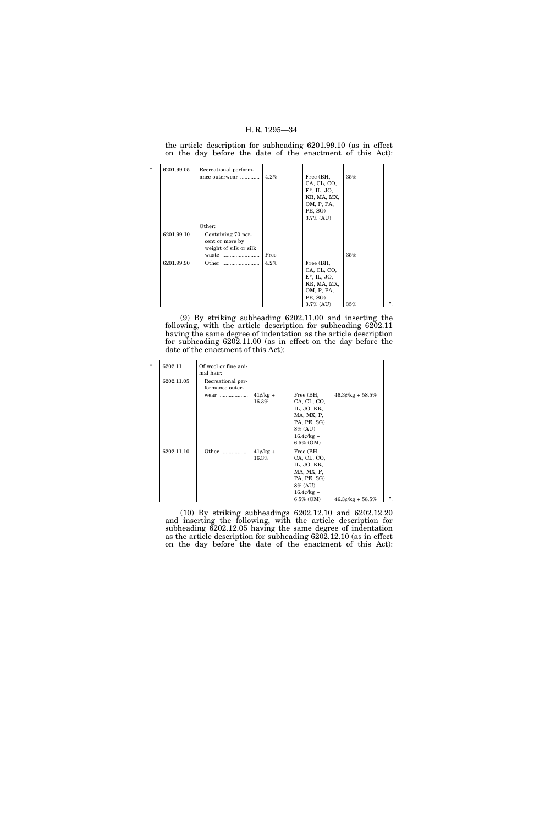the article description for subheading 6201.99.10 (as in effect on the day before the date of the enactment of this Act):

| $\epsilon$ | 6201.99.05 | Recreational perform-  |      |                 |     |   |
|------------|------------|------------------------|------|-----------------|-----|---|
|            |            | ance outerwear         | 4.2% | Free (BH,       | 35% |   |
|            |            |                        |      | CA, CL, CO,     |     |   |
|            |            |                        |      | $E^*$ , IL, JO, |     |   |
|            |            |                        |      | KR, MA, MX,     |     |   |
|            |            |                        |      | OM, P, PA,      |     |   |
|            |            |                        |      | PE, SG)         |     |   |
|            |            |                        |      | $3.7\%$ (AU)    |     |   |
|            |            | Other:                 |      |                 |     |   |
|            | 6201.99.10 | Containing 70 per-     |      |                 |     |   |
|            |            | cent or more by        |      |                 |     |   |
|            |            | weight of silk or silk |      |                 |     |   |
|            |            | waste                  | Free |                 | 35% |   |
|            | 6201.99.90 | Other                  | 4.2% | Free (BH,       |     |   |
|            |            |                        |      | CA, CL, CO,     |     |   |
|            |            |                        |      | $E^*$ , IL, JO, |     |   |
|            |            |                        |      | KR, MA, MX,     |     |   |
|            |            |                        |      | OM, P, PA,      |     |   |
|            |            |                        |      | PE, SG)         |     |   |
|            |            |                        |      | $3.7\%$ (AU)    | 35% | " |

(9) By striking subheading 6202.11.00 and inserting the following, with the article description for subheading 6202.11 having the same degree of indentation as the article description for subheading 6202.11.00 (as in effect on the day before the date of the enactment of this Act):

| $\epsilon\epsilon$ | 6202.11    | Of wool or fine ani-<br>mal hair:            |                     |                                                                                                                                  |                    |   |
|--------------------|------------|----------------------------------------------|---------------------|----------------------------------------------------------------------------------------------------------------------------------|--------------------|---|
|                    | 6202.11.05 | Recreational per-<br>formance outer-<br>wear | $41¢/kg +$<br>16.3% | Free (BH,<br>CA, CL, CO,<br>IL, JO, KR,<br>MA, MX, P,<br>PA, PE, SG)<br>8% (AU)<br>$16.4\ell$ /kg +                              | $46.3¢/kg + 58.5%$ |   |
|                    | 6202.11.10 | Other                                        | $41¢/kg +$<br>16.3% | $6.5\%$ (OM)<br>Free (BH,<br>CA, CL, CO,<br>IL, JO, KR,<br>MA, MX, P,<br>PA, PE, SG)<br>8% (AU)<br>$16.4\ell$ /kg +<br>6.5% (OM) | $46.3¢/kg + 58.5%$ | " |

(10) By striking subheadings 6202.12.10 and 6202.12.20 and inserting the following, with the article description for subheading 6202.12.05 having the same degree of indentation as the article description for subheading 6202.12.10 (as in effect on the day before the date of the enactment of this Act):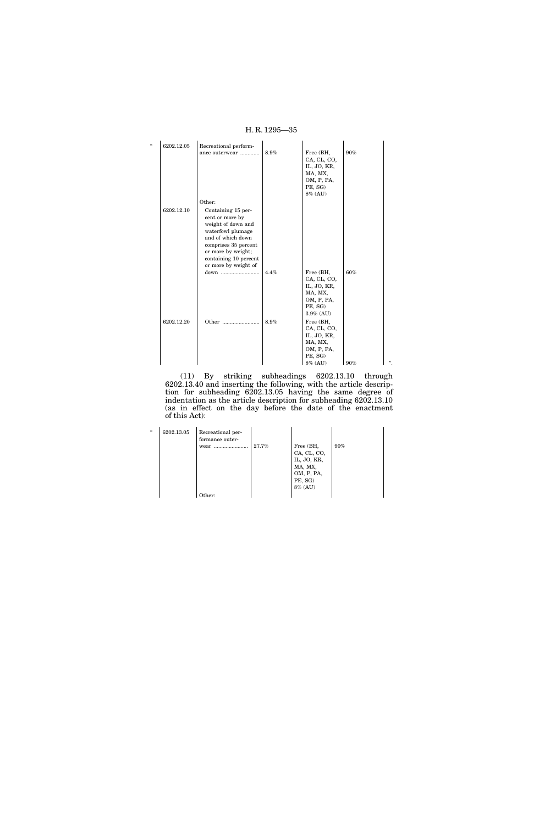| $\epsilon$ | 6202.12.05 | Recreational perform-                                                                                                                                                        |      |                                                    |     |   |
|------------|------------|------------------------------------------------------------------------------------------------------------------------------------------------------------------------------|------|----------------------------------------------------|-----|---|
|            |            | ance outerwear                                                                                                                                                               | 8.9% | Free (BH,<br>CA, CL, CO,<br>IL, JO, KR,<br>MA, MX, | 90% |   |
|            |            |                                                                                                                                                                              |      | OM, P, PA,<br>PE, SG)<br>8% (AU)                   |     |   |
|            |            | Other:                                                                                                                                                                       |      |                                                    |     |   |
|            | 6202.12.10 | Containing 15 per-<br>cent or more by<br>weight of down and<br>waterfowl plumage<br>and of which down<br>comprises 35 percent<br>or more by weight;<br>containing 10 percent |      |                                                    |     |   |
|            |            | or more by weight of<br>down                                                                                                                                                 | 4.4% | Free (BH,                                          | 60% |   |
|            |            |                                                                                                                                                                              |      | CA, CL, CO,                                        |     |   |
|            |            |                                                                                                                                                                              |      | IL, JO, KR,                                        |     |   |
|            |            |                                                                                                                                                                              |      | MA, MX,<br>OM, P, PA,                              |     |   |
|            |            |                                                                                                                                                                              |      | PE, SG)<br>3.9% (AU)                               |     |   |
|            | 6202.12.20 |                                                                                                                                                                              | 8.9% | Free (BH,<br>CA, CL, CO,<br>IL, JO, KR,            |     |   |
|            |            |                                                                                                                                                                              |      | MA, MX,<br>OM, P, PA,<br>PE, SG)                   |     |   |
|            |            |                                                                                                                                                                              |      | 8% (AU)                                            | 90% | " |

(11) By striking subheadings 6202.13.10 through 6202.13.40 and inserting the following, with the article description for subheading 6202.13.05 having the same degree of indentation as the article description for subheading 6202.13.10 (as in effect on the day before the date of the enactment of this Act):

| $\epsilon$ | 6202.13.05 | Recreational per-<br>formance outer-<br>wear | 27.7% | Free (BH,<br>CA, CL, CO,<br>IL, JO, KR,<br>MA, MX,<br>OM, P, PA,<br>PE, SG)<br>8% (AU) | $90\%$ |
|------------|------------|----------------------------------------------|-------|----------------------------------------------------------------------------------------|--------|
|            |            | Other:                                       |       |                                                                                        |        |

# H. R. 1295—35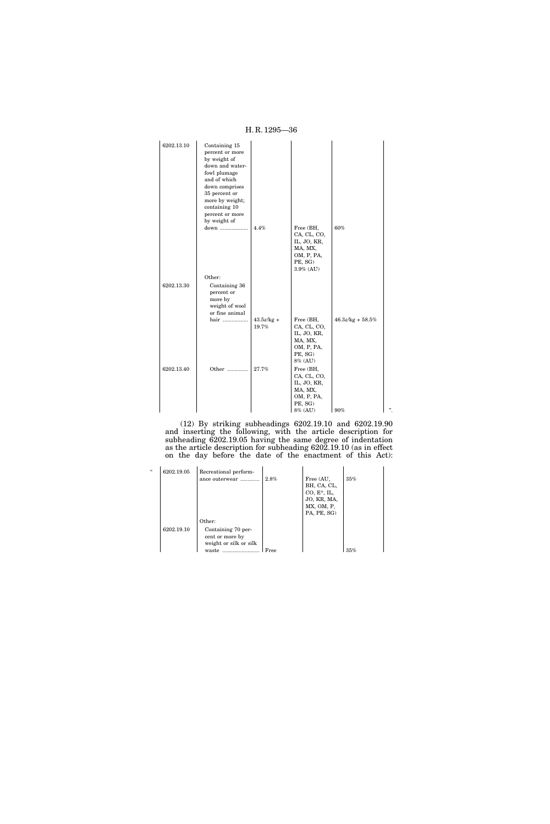6202.13.10 Containing 15 percent or more by weight of down and waterfowl plumage and of which down comprises 35 percent or more by weight; containing 10 percent or more by weight of down ................... 4.4% Free (BH, CA, CL, CO, IL, JO, KR, MA, MX, OM, P, PA, PE, SG) 3.9% (AU) 60% Other: 6202.13.30 Containing 36 percent or more by weight of wool or fine animal hair ................. 43.5¢/kg + 19.7% Free (BH, CA, CL, CO, IL, JO, KR, MA, MX, OM, P, PA, PE, SG)  $8\%$  (AU)  $46.3\ensuremath{\mathnormal{\ell}}/\ensuremath{\mathrm{kg}} + 58.5\%$ 6202.13.40 Other .............. 27.7% Free (BH, CA, CL, CO, IL, JO, KR, MA, MX, OM, P, PA, PE, SG)  $8\%$  (AU)  $1\,90\%$   $1\,$ ".

(12) By striking subheadings 6202.19.10 and 6202.19.90 and inserting the following, with the article description for subheading 6202.19.05 having the same degree of indentation as the article description for subheading 6202.19.10 (as in effect on the day before the date of the enactment of this Act):

| $\epsilon$ |            |                                                                 |      |                                                           |     |
|------------|------------|-----------------------------------------------------------------|------|-----------------------------------------------------------|-----|
|            | 6202.19.05 | Recreational perform-<br>ance outerwear                         | 2.8% | Free (AU,<br>BH, CA, CL,<br>$CO, E^*, IL,$<br>JO, KR, MA, | 35% |
|            |            |                                                                 |      | MX, OM, P,                                                |     |
|            |            |                                                                 |      | PA, PE, SG)                                               |     |
|            |            | Other:                                                          |      |                                                           |     |
|            | 6202.19.10 | Containing 70 per-<br>cent or more by<br>weight or silk or silk |      |                                                           |     |
|            |            | waste                                                           | Free |                                                           | 35% |

H. R. 1295—36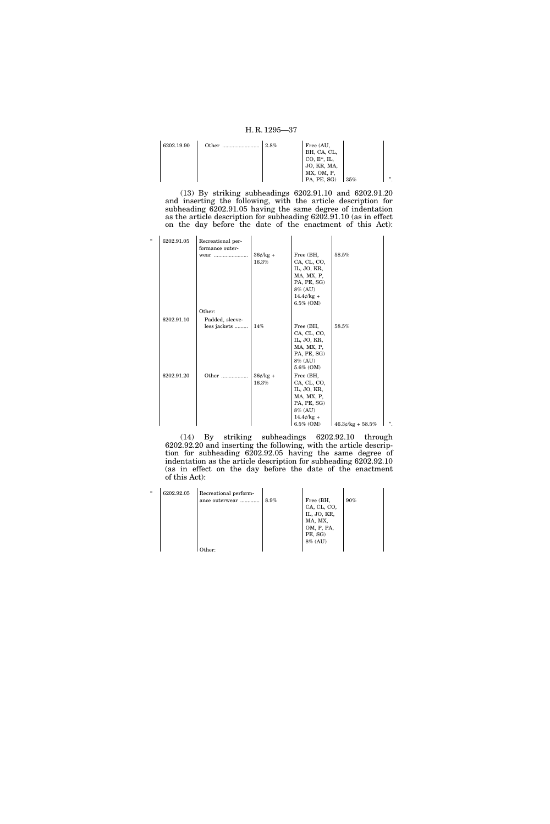| 6202.19.90 | Other | 2.8% | Free (AU,      |     |   |
|------------|-------|------|----------------|-----|---|
|            |       |      | BH, CA, CL,    |     |   |
|            |       |      | $CO, E^*, IL,$ |     |   |
|            |       |      | JO, KR, MA,    |     |   |
|            |       |      | MX, OM, P,     |     |   |
|            |       |      | PA, PE, SG)    | 35% | " |

(13) By striking subheadings 6202.91.10 and 6202.91.20 and inserting the following, with the article description for subheading 6202.91.05 having the same degree of indentation as the article description for subheading 6202.91.10 (as in effect on the day before the date of the enactment of this Act):

| $\epsilon$ | 6202.91.05 | Recreational per-<br>formance outer- |                     |                                                                                                                     |                    |   |
|------------|------------|--------------------------------------|---------------------|---------------------------------------------------------------------------------------------------------------------|--------------------|---|
|            |            | wear                                 | $36¢/kg +$<br>16.3% | Free (BH,<br>CA, CL, CO,<br>IL, JO, KR,<br>MA, MX, P,<br>PA, PE, SG)<br>8% (AU)<br>$14.4¢/kg +$<br>$6.5\%$ (OM)     | 58.5%              |   |
|            |            | Other:                               |                     |                                                                                                                     |                    |   |
|            | 6202.91.10 | Padded, sleeve-                      |                     |                                                                                                                     |                    |   |
|            |            | less jackets                         | $14\%$              | Free (BH,<br>CA, CL, CO,<br>IL, JO, KR,<br>MA, MX, P,<br>PA, PE, SG)<br>8% (AU)<br>5.6% (OM)                        | 58.5%              |   |
|            | 6202.91.20 | Other                                | $36¢/kg +$<br>16.3% | Free (BH,<br>CA, CL, CO,<br>IL, JO, KR,<br>MA, MX, P,<br>PA, PE, SG)<br>8% (AU)<br>$14.4\ell$ /kg +<br>$6.5\%$ (OM) | $46.3¢/kg + 58.5%$ | " |

(14) By striking subheadings 6202.92.10 through 6202.92.20 and inserting the following, with the article description for subheading 6202.92.05 having the same degree of indentation as the article description for subheading 6202.92.10 (as in effect on the day before the date of the enactment of this Act):

| $\epsilon$ | 6202.92.05 | Recreational perform-<br>ance outerwear | 8.9% | Free (BH,<br>CA, CL, CO,<br>IL, JO, KR,<br>MA, MX,<br>OM, P, PA,<br>PE, SG)<br>$8\%$ (AU) | $90\%$ |
|------------|------------|-----------------------------------------|------|-------------------------------------------------------------------------------------------|--------|
|            |            | )ther:                                  |      |                                                                                           |        |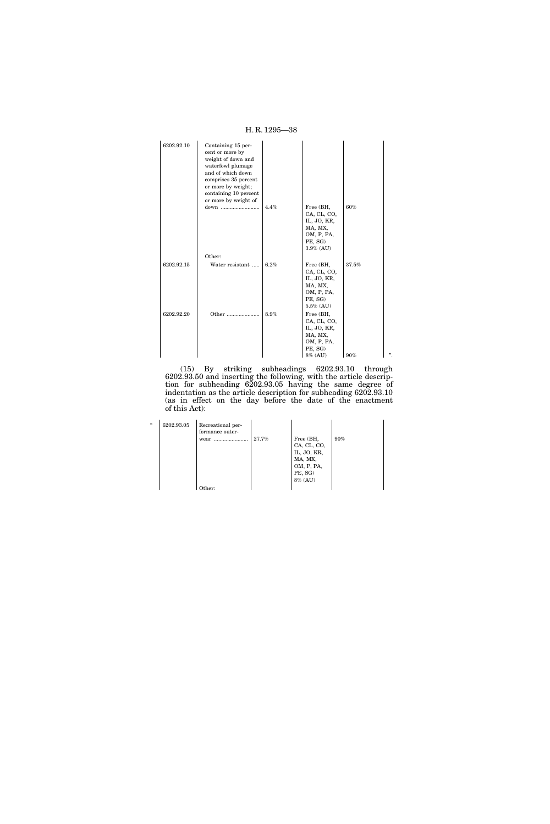| 6202.92.10 | Containing 15 per-<br>cent or more by<br>weight of down and<br>waterfowl plumage<br>and of which down<br>comprises 35 percent<br>or more by weight;<br>containing 10 percent<br>or more by weight of |      |                                                                                             |       |        |
|------------|------------------------------------------------------------------------------------------------------------------------------------------------------------------------------------------------------|------|---------------------------------------------------------------------------------------------|-------|--------|
|            | down                                                                                                                                                                                                 | 4.4% | Free (BH,<br>CA, CL, CO,<br>IL, JO, KR,<br>MA, MX,<br>OM, P, PA,<br>PE, SG)<br>$3.9\%$ (AU) | 60%   |        |
|            | Other:                                                                                                                                                                                               |      |                                                                                             |       |        |
| 6202.92.15 | Water resistant                                                                                                                                                                                      | 6.2% | Free (BH,<br>CA, CL, CO,<br>IL, JO, KR,<br>MA, MX,<br>OM, P, PA,<br>PE, SG)<br>$5.5\%$ (AU) | 37.5% |        |
| 6202.92.20 | Other                                                                                                                                                                                                | 8.9% | Free (BH,<br>CA, CL, CO,<br>IL, JO, KR,<br>MA, MX,<br>OM, P, PA,<br>PE, SG)<br>8% (AU)      | 90%   | , 2, 3 |

(15) By striking subheadings 6202.93.10 through 6202.93.50 and inserting the following, with the article description for subheading 6202.93.05 having the same degree of indentation as the article description for subheading 6202.93.10 (as in effect on the day before the date of the enactment of this Act):

| $\epsilon$ | 6202.93.05 | Recreational per-<br>formance outer-<br>wear<br><br>Other: | 27.7% | Free (BH,<br>CA, CL, CO,<br>IL, JO, KR,<br>MA, MX,<br>OM, P, PA,<br>PE, SG)<br>8% (AU) | $90\%$ |
|------------|------------|------------------------------------------------------------|-------|----------------------------------------------------------------------------------------|--------|
|------------|------------|------------------------------------------------------------|-------|----------------------------------------------------------------------------------------|--------|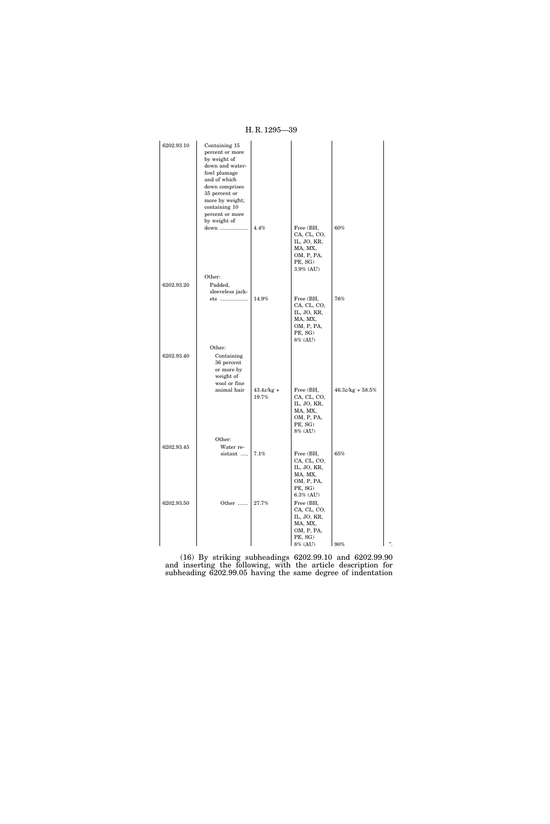| 6202.93.10 | Containing 15<br>percent or more<br>by weight of<br>down and water-<br>fowl plumage<br>and of which<br>down comprises<br>35 percent or<br>more by weight; |                        |                                                                                                        |                     |   |
|------------|-----------------------------------------------------------------------------------------------------------------------------------------------------------|------------------------|--------------------------------------------------------------------------------------------------------|---------------------|---|
|            | containing 10<br>percent or more                                                                                                                          |                        |                                                                                                        |                     |   |
|            | by weight of<br>down                                                                                                                                      | 4.4%                   | Free (BH,<br>CA, CL, CO,<br>IL, JO, KR,                                                                | 60%                 |   |
|            |                                                                                                                                                           |                        | MA, MX,<br>OM, P, PA,<br>PE, SG)<br>$3.9\%$ (AU)                                                       |                     |   |
|            | Other:                                                                                                                                                    |                        |                                                                                                        |                     |   |
| 6202.93.20 | Padded,<br>sleeveless jack-<br>ets                                                                                                                        | 14.9%                  | Free (BH,                                                                                              | 76%                 |   |
|            |                                                                                                                                                           |                        | CA, CL, CO,<br>IL, JO, KR,<br>MA, MX,<br>OM, P, PA,<br>PE, SG)<br>8% (AU)                              |                     |   |
| 6202.93.40 | Other:<br>Containing<br>36 percent<br>or more by<br>weight of<br>wool or fine                                                                             |                        |                                                                                                        |                     |   |
|            | animal hair                                                                                                                                               | $43.4$ e/kg +<br>19.7% | Free (BH,<br>CA, CL, CO,<br>IL, JO, KR,<br>MA, MX,<br>OM, P, PA,<br>PE, SG)<br>8% (AU)                 | $46.3$ ¢/kg + 58.5% |   |
|            | Other:                                                                                                                                                    |                        |                                                                                                        |                     |   |
| 6202.93.45 | Water re-<br>sistant                                                                                                                                      | 7.1%                   | Free (BH,<br>CA, CL, CO,<br>IL, JO, KR,<br>MA, MX,<br>OM, P, PA,                                       | 65%                 |   |
| 6202.93.50 | Other                                                                                                                                                     | 27.7%                  | PE, SG)<br>$6.3\%$ (AU)<br>Free (BH,<br>CA, CL, CO,<br>IL, JO, KR,<br>MA, MX,<br>OM, P, PA,<br>PE, SG) |                     |   |
|            |                                                                                                                                                           |                        | 8% (AU)                                                                                                | 90%                 | " |

(16) By striking subheadings 6202.99.10 and 6202.99.90 and inserting the following, with the article description for subheading 6202.99.05 having the same degree of indentation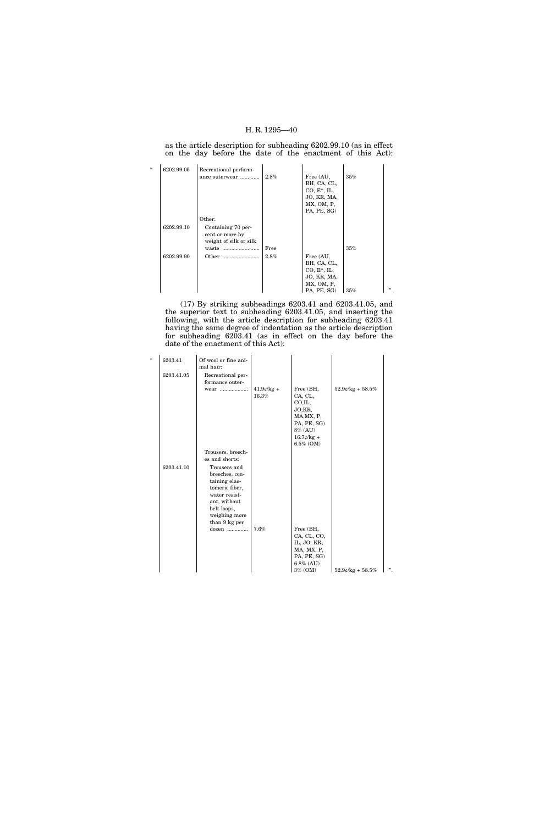as the article description for subheading 6202.99.10 (as in effect on the day before the date of the enactment of this Act):

| $\epsilon$ | 6202.99.05 | Recreational perform-  |      |                |     |   |
|------------|------------|------------------------|------|----------------|-----|---|
|            |            | ance outerwear         | 2.8% | Free (AU,      | 35% |   |
|            |            |                        |      | BH, CA, CL,    |     |   |
|            |            |                        |      | $CO, E^*, IL,$ |     |   |
|            |            |                        |      | JO, KR, MA,    |     |   |
|            |            |                        |      | MX, OM, P,     |     |   |
|            |            |                        |      | PA, PE, SG)    |     |   |
|            |            | Other:                 |      |                |     |   |
|            | 6202.99.10 | Containing 70 per-     |      |                |     |   |
|            |            | cent or more by        |      |                |     |   |
|            |            | weight of silk or silk |      |                |     |   |
|            |            | waste                  | Free |                | 35% |   |
|            | 6202.99.90 |                        | 2.8% | Free (AU,      |     |   |
|            |            |                        |      | BH, CA, CL,    |     |   |
|            |            |                        |      | $CO, E^*, IL,$ |     |   |
|            |            |                        |      | JO, KR, MA,    |     |   |
|            |            |                        |      | MX, OM, P,     |     |   |
|            |            |                        |      | PA, PE, SG)    | 35% | " |

(17) By striking subheadings 6203.41 and 6203.41.05, and the superior text to subheading 6203.41.05, and inserting the following, with the article description for subheading 6203.41 having the same degree of indentation as the article description for subheading 6203.41 (as in effect on the day before the date of the enactment of this Act):

| $\epsilon\epsilon$ | 6203.41<br>6203.41.05 | Of wool or fine ani-<br>mal hair:<br>Recreational per-                                                                                              |                        |                                                                                                                   |                       |    |
|--------------------|-----------------------|-----------------------------------------------------------------------------------------------------------------------------------------------------|------------------------|-------------------------------------------------------------------------------------------------------------------|-----------------------|----|
|                    |                       | formance outer-<br>wear                                                                                                                             | $41.9$ c/kg +<br>16.3% | Free (BH,<br>CA, CL,<br>CO.IL,<br>JO,KR,<br>MA, MX, P,<br>PA, PE, SG)<br>8% (AU)<br>$16.7\ell$ /kg +<br>6.5% (OM) | $52.9$ e/kg + $58.5%$ |    |
|                    |                       | Trousers, breech-<br>es and shorts:                                                                                                                 |                        |                                                                                                                   |                       |    |
|                    | 6203.41.10            | Trousers and<br>breeches, con-<br>taining elas-<br>tomeric fiber,<br>water resist-<br>ant, without<br>belt loops,<br>weighing more<br>than 9 kg per |                        |                                                                                                                   |                       |    |
|                    |                       | dozen                                                                                                                                               | 7.6%                   | Free (BH,<br>CA, CL, CO,<br>IL, JO, KR,<br>MA, MX, P,<br>PA, PE, SG)<br>$6.8\%$ (AU)<br>3% (OM)                   | $52.9$ e/kg + $58.5%$ | ,, |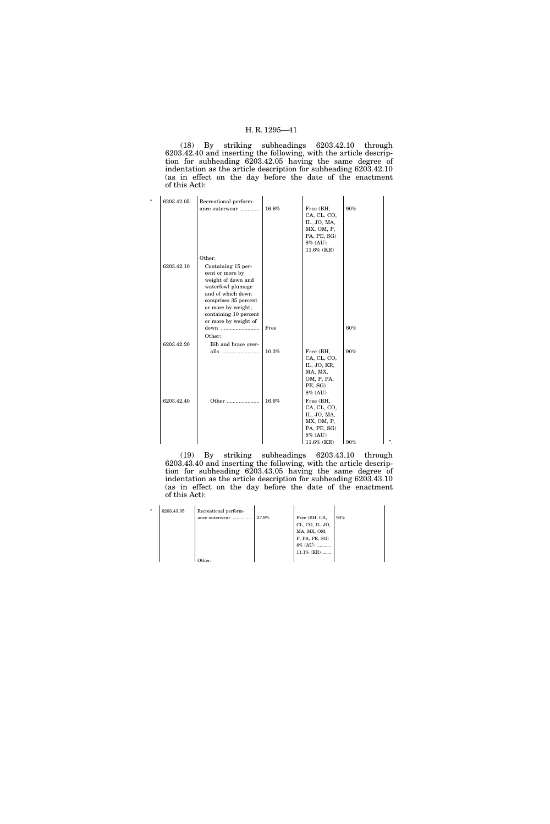(18) By striking subheadings 6203.42.10 through 6203.42.40 and inserting the following, with the article description for subheading 6203.42.05 having the same degree of indentation as the article description for subheading 6203.42.10 (as in effect on the day before the date of the enactment of this Act):

| $\epsilon$ | 6203.42.05 | Recreational perform-<br>ance outerwear                                                                                                                                                              | 16.6%    | Free (BH,<br>CA, CL, CO,<br>IL, JO, MA,<br>MX, OM, P,<br>PA, PE, SG)<br>8% (AU)<br>11.6% (KR) | 90% |  |
|------------|------------|------------------------------------------------------------------------------------------------------------------------------------------------------------------------------------------------------|----------|-----------------------------------------------------------------------------------------------|-----|--|
|            |            | Other:                                                                                                                                                                                               |          |                                                                                               |     |  |
|            | 6203.42.10 | Containing 15 per-<br>cent or more by<br>weight of down and<br>waterfowl plumage<br>and of which down<br>comprises 35 percent<br>or more by weight;<br>containing 10 percent<br>or more by weight of |          |                                                                                               |     |  |
|            |            | down                                                                                                                                                                                                 | Free     |                                                                                               | 60% |  |
|            |            | Other:                                                                                                                                                                                               |          |                                                                                               |     |  |
|            | 6203.42.20 | Bib and brace over-                                                                                                                                                                                  |          |                                                                                               |     |  |
|            |            | alls                                                                                                                                                                                                 | $10.3\%$ | Free (BH,<br>CA, CL, CO,<br>IL, JO, KR,<br>MA, MX,<br>OM, P, PA,<br>PE, SG)<br>8% (AU)        | 90% |  |
|            | 6203.42.40 | Other                                                                                                                                                                                                | 16.6%    | Free (BH,<br>CA, CL, CO,<br>IL, JO, MA,<br>MX, OM, P,<br>PA, PE, SG)<br>8% (AU)<br>11.6% (KR) | 90% |  |

(19) By striking subheadings 6203.43.10 through 6203.43.40 and inserting the following, with the article description for subheading 6203.43.05 having the same degree of indentation as the article description for subheading 6203.43.10 (as in effect on the day before the date of the enactment of this Act):

| u | 6203.43.05 | Recreational perform- |       |                 |     |
|---|------------|-----------------------|-------|-----------------|-----|
|   |            | ance outerwear        | 27.9% | Free (BH, CA,   | 90% |
|   |            |                       |       | CL, CO, IL, JO, |     |
|   |            |                       |       | MA, MX, OM,     |     |
|   |            |                       |       | P, PA, PE, SG)  |     |
|   |            |                       |       | 8% (AU)<br>     |     |
|   |            |                       |       | $11.1\%$ (KR)   |     |
|   |            | )ther:                |       |                 |     |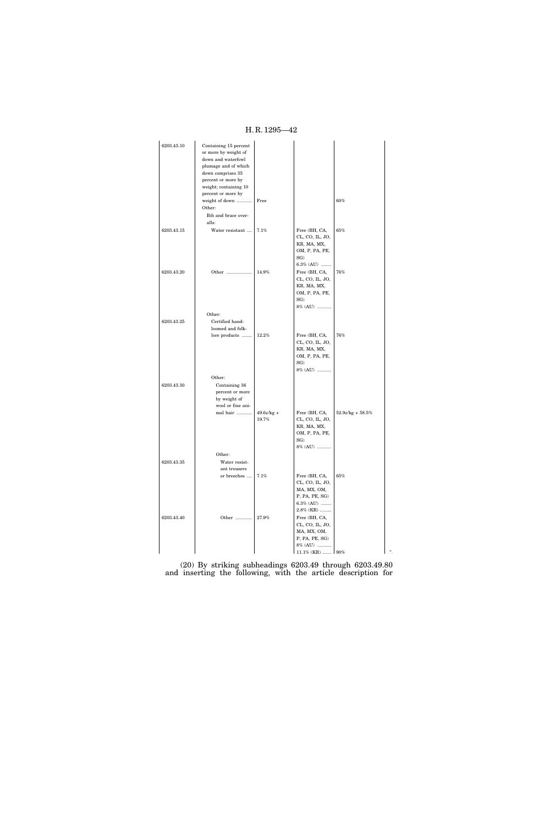H. R. 1295—42

| 6203.43.10 | Containing 15 percent<br>or more by weight of<br>down and waterfowl<br>plumage and of which<br>down comprises 35<br>percent or more by<br>weight; containing 10<br>percent or more by<br>weight of down<br>Other:<br>Bib and brace over-<br>alls: | Free                   |                                                                                                                                    | 60%                   |        |
|------------|---------------------------------------------------------------------------------------------------------------------------------------------------------------------------------------------------------------------------------------------------|------------------------|------------------------------------------------------------------------------------------------------------------------------------|-----------------------|--------|
| 6203.43.15 | Water resistant                                                                                                                                                                                                                                   | 7.1%                   | Free (BH, CA,<br>CL, CO, IL, JO,<br>KR, MA, MX,<br>OM, P, PA, PE,<br>$SG$ )<br>$6.3\%$ (AU)                                        | 65%                   |        |
| 6203.43.20 | Other<br>Other:                                                                                                                                                                                                                                   | 14.9%                  | Free (BH, CA,<br>CL, CO, IL, JO,<br>KR, MA, MX,<br>OM, P, PA, PE,<br>$SG$ )<br>8% (AU)                                             | 76%                   |        |
| 6203.43.25 | Certified hand-<br>loomed and folk-<br>lore products                                                                                                                                                                                              | 12.2%                  | Free (BH, CA,<br>CL, CO, IL, JO,<br>KR, MA, MX,<br>OM, P, PA, PE,<br>$SG$ )<br>8% (AU)                                             | 76%                   |        |
| 6203.43.30 | Other:<br>Containing 36<br>percent or more<br>by weight of<br>wool or fine ani-                                                                                                                                                                   |                        |                                                                                                                                    |                       |        |
|            | mal hair<br>Other:                                                                                                                                                                                                                                | $49.6$ ¢/kg +<br>19.7% | Free (BH, CA,<br>CL, CO, IL, JO,<br>KR, MA, MX,<br>OM, P, PA, PE,<br>SG)<br>$8\%$ ${\rm (AU)}$ ${}_{\cdots \cdots \cdots \cdots }$ | $52.9$ e/kg + $58.5%$ |        |
| 6203.43.35 | Water resist-<br>ant trousers<br>or breeches $\dots$ 7.1%                                                                                                                                                                                         |                        | Free (BH, CA,<br>CL, CO, IL, JO,<br>MA, MX, OM,<br>P, PA, PE, SG)<br>6.3% (AU)<br>$2.8\%$ (KR)                                     | 65%                   |        |
| 6203.43.40 | Other                                                                                                                                                                                                                                             | $27.9\%$               | Free (BH, CA,<br>CL, CO, IL, JO,<br>MA, MX, OM,<br>P, PA, PE, SG)<br>8% (AU)<br>$11.1\%$ (KR)  90%                                 |                       | $, \,$ |
|            |                                                                                                                                                                                                                                                   |                        |                                                                                                                                    |                       |        |

(20) By striking subheadings 6203.49 through 6203.49.80 and inserting the following, with the article description for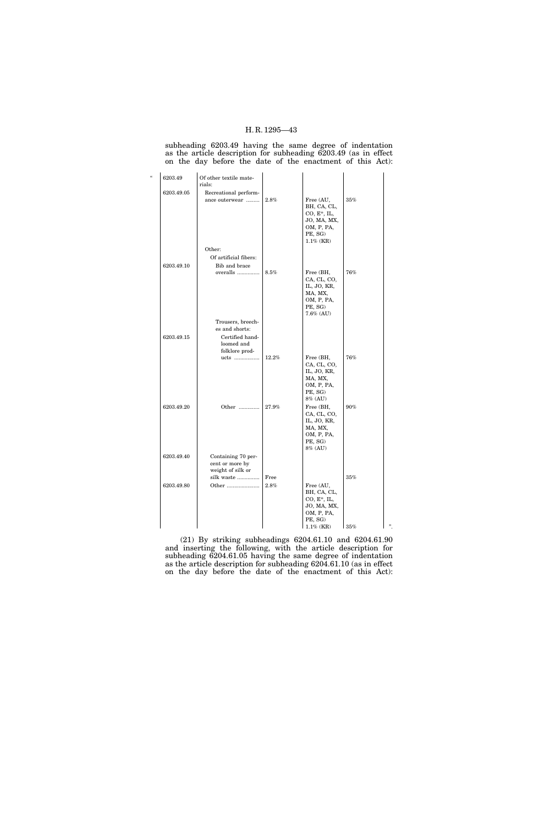subheading 6203.49 having the same degree of indentation as the article description for subheading 6203.49 (as in effect on the day before the date of the enactment of this Act):

| $\epsilon$ | 6203.49    | Of other textile mate-<br>rials:                                  |              |                                                                                                    |             |   |
|------------|------------|-------------------------------------------------------------------|--------------|----------------------------------------------------------------------------------------------------|-------------|---|
|            | 6203.49.05 | Recreational perform-<br>ance outerwear                           | 2.8%         | Free (AU,<br>BH, CA, CL,<br>$CO, E^*, IL,$<br>JO, MA, MX,<br>OM, P, PA,<br>PE, SG)<br>$1.1\%$ (KR) | 35%         |   |
|            |            | Other:<br>Of artificial fibers:                                   |              |                                                                                                    |             |   |
|            | 6203.49.10 | Bib and brace                                                     |              |                                                                                                    |             |   |
|            |            | overalls                                                          | 8.5%         | Free (BH,<br>CA, CL, CO,<br>IL, JO, KR,<br>MA, MX,<br>OM, P, PA,<br>PE, SG)<br>7.6% (AU)           | 76%         |   |
|            |            | Trousers, breech-                                                 |              |                                                                                                    |             |   |
|            | 6203.49.15 | es and shorts:<br>Certified hand-<br>loomed and<br>folklore prod- |              |                                                                                                    |             |   |
|            |            | ucts                                                              | 12.2%        | Free (BH,<br>CA, CL, CO,<br>IL, JO, KR,<br>MA, MX,<br>OM, P, PA,<br>PE, SG)<br>8% (AU)             | 76%         |   |
|            | 6203.49.20 | Other                                                             | $27.9\%$     | Free (BH,<br>CA, CL, CO,<br>IL, JO, KR,<br>MA, MX,<br>OM, P, PA,<br>PE, SG)<br>8% (AU)             | 90%         |   |
|            | 6203.49.40 | Containing 70 per-<br>cent or more by<br>weight of silk or        |              |                                                                                                    |             |   |
|            | 6203.49.80 | silk waste<br>Other                                               | Free<br>2.8% | Free (AU,<br>BH, CA, CL,<br>$CO, E^*, IL,$<br>JO, MA, MX,<br>OM, P, PA,<br>PE, SG)<br>$1.1\%$ (KR) | 35%<br>135% | " |
|            |            |                                                                   |              |                                                                                                    |             |   |

(21) By striking subheadings 6204.61.10 and 6204.61.90 and inserting the following, with the article description for subheading 6204.61.05 having the same degree of indentation as the article description for subheading 6204.61.10 (as in effect on the day before the date of the enactment of this Act):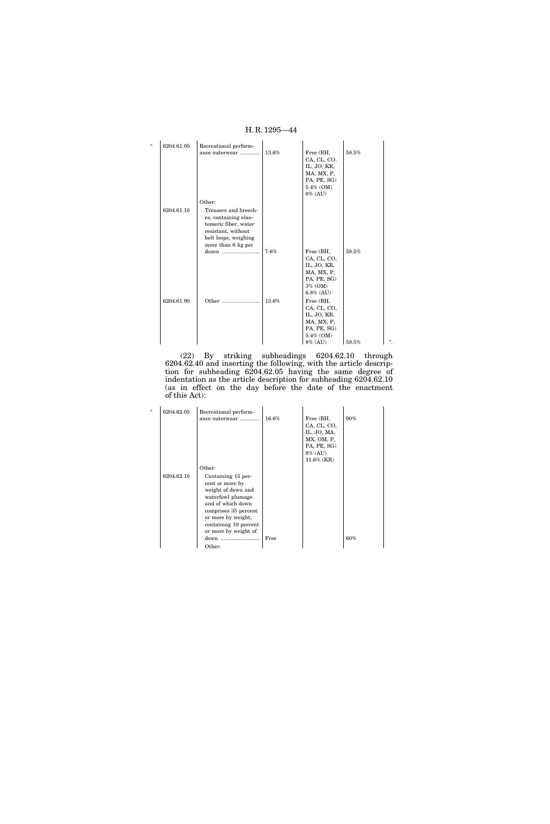| 6204.61.05 | Recreational perform-                                                                                                                    |       |                                                                                                 |       |
|------------|------------------------------------------------------------------------------------------------------------------------------------------|-------|-------------------------------------------------------------------------------------------------|-------|
|            | ance outerwear                                                                                                                           | 13.6% | Free (BH,<br>CA, CL, CO,<br>IL, JO, KR,<br>MA, MX, P,<br>PA, PE, SG)<br>5.4% (OM)<br>8% (AU)    | 58.5% |
|            | Other:                                                                                                                                   |       |                                                                                                 |       |
| 6204.61.10 | Trousers and breech-<br>es, containing elas-<br>tomeric fiber, water<br>resistant, without<br>belt loops, weighing<br>more than 6 kg per |       |                                                                                                 |       |
|            |                                                                                                                                          | 7.6%  | Free (BH,<br>CA, CL, CO,<br>IL, JO, KR,<br>MA, MX, P,<br>PA, PE, SG)<br>3% (OM)<br>$6.8\%$ (AU) | 58.5% |
| 6204.61.90 | Other                                                                                                                                    | 13.6% | Free (BH,<br>CA, CL, CO,<br>IL, JO, KR,<br>MA, MX, P,<br>PA, PE, SG)<br>5.4% (OM)<br>8% (AU)    | 58.5% |

(22) By striking subheadings 6204.62.10 through 6204.62.40 and inserting the following, with the article description for subheading 6204.62.05 having the same degree of indentation as the article description for subheading 6204.62.10 (as in effect on the day before the date of the enactment of this Act):

| $\epsilon$ | 6204.62.05 | Recreational perform-<br>ance outerwear                                                                                                                                                                                  | 16.6% | Free (BH,<br>CA, CL, CO,<br>IL, JO, MA,<br>MX, OM, P,<br>PA, PE, SG)<br>8% (AU)<br>$11.6\%$ (KR) | $90\%$ |
|------------|------------|--------------------------------------------------------------------------------------------------------------------------------------------------------------------------------------------------------------------------|-------|--------------------------------------------------------------------------------------------------|--------|
|            | 6204.62.10 | Other:<br>Containing 15 per-<br>cent or more by<br>weight of down and<br>waterfowl plumage<br>and of which down<br>comprises 35 percent<br>or more by weight;<br>containing 10 percent<br>or more by weight of<br>Other: | Free  |                                                                                                  | 60%    |

# H. R. 1295—44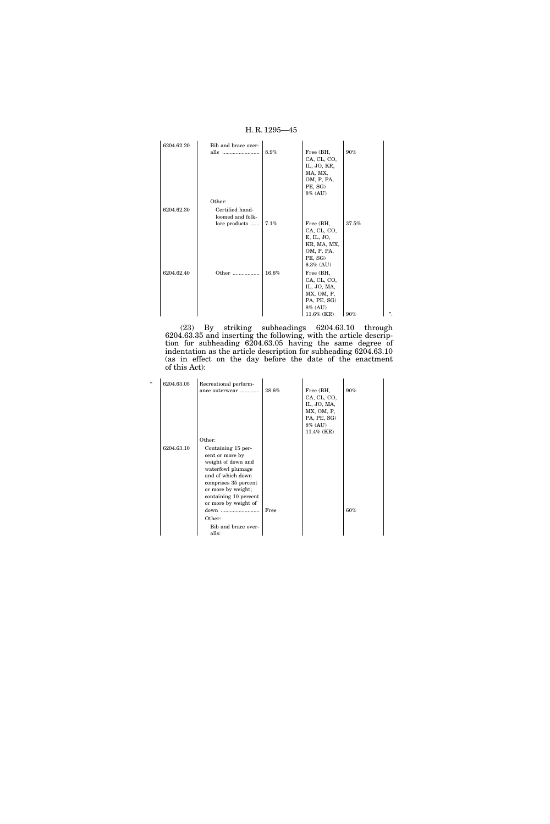|            |                                               | H.R. 1295—45 |                                                                                                  |       |        |
|------------|-----------------------------------------------|--------------|--------------------------------------------------------------------------------------------------|-------|--------|
| 6204.62.20 | Bib and brace over-<br>alls                   | 8.9%         | Free (BH,<br>CA, CL, CO,<br>IL, JO, KR,<br>MA, MX,<br>OM, P, PA,<br>PE, SG)<br>8% (AU)           | 90%   |        |
| 6204.62.30 | Other:<br>Certified hand-<br>loomed and folk- |              |                                                                                                  |       |        |
|            | lore products                                 | 7.1%         | Free (BH,<br>CA, CL, CO,<br>E, IL, JO,<br>KR, MA, MX,<br>OM, P, PA,<br>PE, SG)<br>$6.3\%$ (AU)   | 37.5% |        |
| 6204.62.40 | Other                                         | 16.6%        | Free (BH,<br>CA, CL, CO,<br>IL, JO, MA,<br>MX, OM, P,<br>PA, PE, SG)<br>8% (AU)<br>$11.6\%$ (KR) | 90%   | , 2, 3 |

(23) By striking subheadings 6204.63.10 through 6204.63.35 and inserting the following, with the article description for subheading 6204.63.05 having the same degree of indentation as the article description for subheading 6204.63.10 (as in effect on the day before the date of the enactment of this Act):

| $\epsilon$ | 6204.63.05 | Recreational perform-<br>ance outerwear                                                                                                                                        | 28.6% | Free (BH,<br>CA, CL, CO,<br>IL, JO, MA,<br>MX, OM, P,<br>PA, PE, SG)<br>8% (AU)<br>$11.4\%$ (KR) | $90\%$ |
|------------|------------|--------------------------------------------------------------------------------------------------------------------------------------------------------------------------------|-------|--------------------------------------------------------------------------------------------------|--------|
|            | 6204.63.10 | Other:<br>Containing 15 per-                                                                                                                                                   |       |                                                                                                  |        |
|            |            | cent or more by<br>weight of down and<br>waterfowl plumage<br>and of which down<br>comprises 35 percent<br>or more by weight;<br>containing 10 percent<br>or more by weight of | Free  |                                                                                                  | $60\%$ |
|            |            | Other:<br>Bib and brace over-                                                                                                                                                  |       |                                                                                                  |        |
|            |            | alls:                                                                                                                                                                          |       |                                                                                                  |        |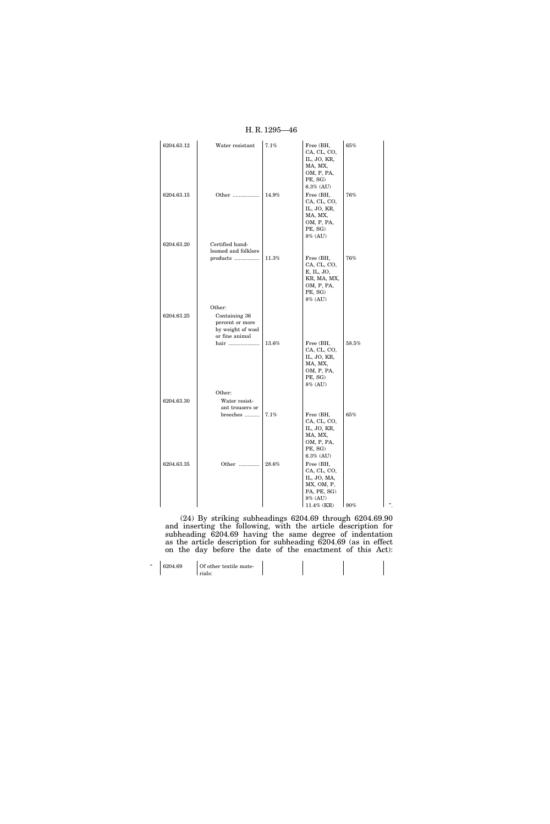| 6204.63.12 | Water resistant     | 7.1%     | Free (BH,<br>CA, CL, CO,   | 65%   |    |
|------------|---------------------|----------|----------------------------|-------|----|
|            |                     |          | IL, JO, KR,                |       |    |
|            |                     |          | MA, MX,                    |       |    |
|            |                     |          | OM, P, PA,                 |       |    |
|            |                     |          | PE, SG)                    |       |    |
|            |                     |          | $6.3\%$ (AU)               |       |    |
| 6204.63.15 | Other               | $14.9\%$ | Free (BH,                  | 76%   |    |
|            |                     |          | CA, CL, CO,                |       |    |
|            |                     |          | IL, JO, KR,                |       |    |
|            |                     |          | MA, MX,                    |       |    |
|            |                     |          | OM, P, PA,<br>PE, SG)      |       |    |
|            |                     |          | 8% (AU)                    |       |    |
| 6204.63.20 | Certified hand-     |          |                            |       |    |
|            | loomed and folklore |          |                            |       |    |
|            | products            | 11.3%    | Free (BH,                  | 76%   |    |
|            |                     |          | CA, CL, CO,                |       |    |
|            |                     |          | E, IL, JO,                 |       |    |
|            |                     |          | KR, MA, MX,                |       |    |
|            |                     |          | OM, P, PA,<br>PE, SG)      |       |    |
|            |                     |          | 8% (AU)                    |       |    |
|            | Other:              |          |                            |       |    |
| 6204.63.25 | Containing 36       |          |                            |       |    |
|            | percent or more     |          |                            |       |    |
|            | by weight of wool   |          |                            |       |    |
|            | or fine animal      |          |                            |       |    |
|            | hair                | 13.6%    | Free (BH,                  | 58.5% |    |
|            |                     |          | CA, CL, CO,<br>IL, JO, KR, |       |    |
|            |                     |          | MA, MX,                    |       |    |
|            |                     |          | OM, P, PA,                 |       |    |
|            |                     |          | PE, SG)                    |       |    |
|            |                     |          | 8% (AU)                    |       |    |
|            | Other:              |          |                            |       |    |
| 6204.63.30 | Water resist-       |          |                            |       |    |
|            | ant trousers or     |          |                            |       |    |
|            | breeches            | 7.1%     | Free (BH,                  | 65%   |    |
|            |                     |          | CA, CL, CO,<br>IL, JO, KR, |       |    |
|            |                     |          | MA, MX,                    |       |    |
|            |                     |          | OM, P, PA,                 |       |    |
|            |                     |          | PE, SG)                    |       |    |
|            |                     |          | $6.3\%$ (AU)               |       |    |
| 6204.63.35 | Other               | 28.6%    | Free (BH,                  |       |    |
|            |                     |          | CA, CL, CO,                |       |    |
|            |                     |          | IL, JO, MA,<br>MX, OM, P,  |       |    |
|            |                     |          | PA, PE, SG)                |       |    |
|            |                     |          | 8% (AU)                    |       |    |
|            |                     |          | $11.4\%$ (KR)              | 90%   | ,, |

(24) By striking subheadings 6204.69 through 6204.69.90 and inserting the following, with the article description for subheading 6204.69 having the same degree of indentation as the article description for subheading 6204.69 (as in effect on the day before the date of the enactment of this Act):

| 6204.69 | Of other textile mate- |  |  |
|---------|------------------------|--|--|
|         | rials:                 |  |  |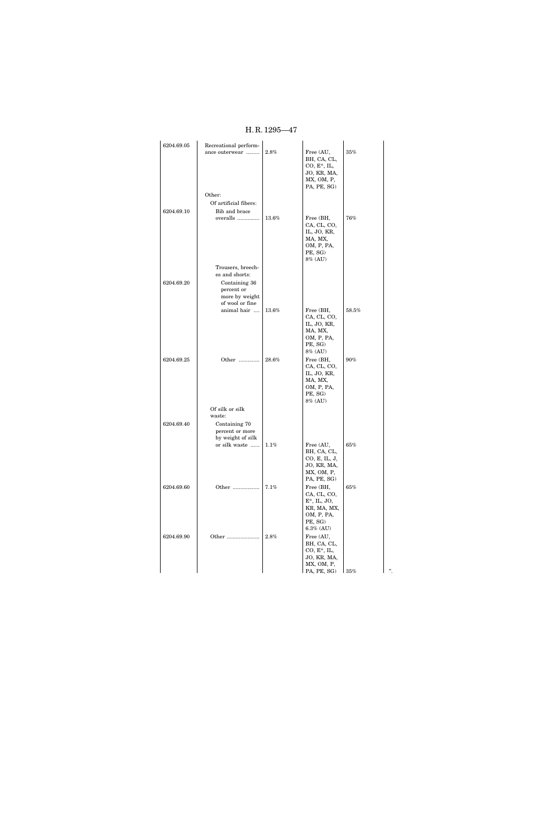| 6204.69.05 | Recreational perform-<br>ance outerwear | 2.8%  | Free (AU,<br>BH, CA, CL,<br>$CO, E^*, IL,$<br>JO, KR, MA,<br>MX, OM, P,<br>PA, PE, SG) | 35%    |    |
|------------|-----------------------------------------|-------|----------------------------------------------------------------------------------------|--------|----|
|            | Other:                                  |       |                                                                                        |        |    |
|            | Of artificial fibers:                   |       |                                                                                        |        |    |
| 6204.69.10 | Bib and brace                           |       |                                                                                        |        |    |
|            | overalls                                | 13.6% | Free (BH,                                                                              | 76%    |    |
|            |                                         |       | CA, CL, CO,<br>IL, JO, KR,                                                             |        |    |
|            |                                         |       | MA, MX,                                                                                |        |    |
|            |                                         |       | OM, P, PA,                                                                             |        |    |
|            |                                         |       | PE, SG)<br>8% (AU)                                                                     |        |    |
|            | Trousers, breech-                       |       |                                                                                        |        |    |
|            | es and shorts:                          |       |                                                                                        |        |    |
| 6204.69.20 | Containing 36                           |       |                                                                                        |        |    |
|            | percent or<br>more by weight            |       |                                                                                        |        |    |
|            | of wool or fine                         |       |                                                                                        |        |    |
|            | animal hair                             | 13.6% | Free (BH,                                                                              | 58.5%  |    |
|            |                                         |       | CA, CL, CO,<br>IL, JO, KR,                                                             |        |    |
|            |                                         |       | MA, MX,                                                                                |        |    |
|            |                                         |       | OM, P, PA,                                                                             |        |    |
|            |                                         |       | PE, SG)<br>8% (AU)                                                                     |        |    |
| 6204.69.25 | Other                                   | 28.6% | Free (BH,                                                                              | 90%    |    |
|            |                                         |       | CA, CL, CO,                                                                            |        |    |
|            |                                         |       | IL, JO, KR,<br>MA, MX,                                                                 |        |    |
|            |                                         |       | OM, P, PA,                                                                             |        |    |
|            |                                         |       | PE, SG)<br>8% (AU)                                                                     |        |    |
|            | Of silk or silk                         |       |                                                                                        |        |    |
|            | waste:                                  |       |                                                                                        |        |    |
| 6204.69.40 | Containing 70                           |       |                                                                                        |        |    |
|            | percent or more<br>by weight of silk    |       |                                                                                        |        |    |
|            | or silk waste                           | 1.1%  | Free (AU,                                                                              | 65%    |    |
|            |                                         |       | BH, CA, CL,                                                                            |        |    |
|            |                                         |       | CO, E, IL, J,<br>JO, KR, MA,                                                           |        |    |
|            |                                         |       | MX, OM, P,                                                                             |        |    |
|            |                                         |       | PA, PE, SG)                                                                            |        |    |
| 6204.69.60 | Other                                   | 7.1%  | Free (BH,<br>CA, CL, CO,                                                               | $65\%$ |    |
|            |                                         |       | $\mathcal{E}^*,$ IL, JO,                                                               |        |    |
|            |                                         |       | KR, MA, MX,                                                                            |        |    |
|            |                                         |       | OM, P, PA,<br>PE, SG)                                                                  |        |    |
|            |                                         |       | $6.3\%$ (AU)                                                                           |        |    |
| 6204.69.90 | Other                                   | 2.8%  | Free (AU,                                                                              |        |    |
|            |                                         |       | BH, CA, CL,<br>$CO, E^*, IL,$                                                          |        |    |
|            |                                         |       | JO, KR, MA,                                                                            |        |    |
|            |                                         |       | MX, OM, P,                                                                             |        |    |
|            |                                         |       | PA, PE, SG)                                                                            | 35%    | ". |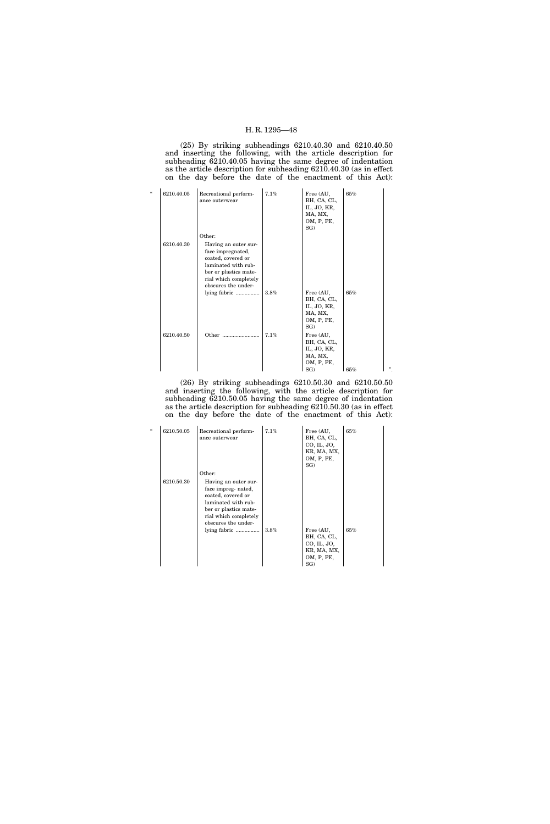(25) By striking subheadings 6210.40.30 and 6210.40.50 and inserting the following, with the article description for subheading 6210.40.05 having the same degree of indentation as the article description for subheading 6210.40.30 (as in effect on the day before the date of the enactment of this Act):

| $\epsilon$ | 6210.40.05 | Recreational perform-<br>ance outerwear                                                                                                                                   | 7.1% | Free (AU,<br>BH, CA, CL,<br>IL, JO, KR,<br>MA, MX,<br>OM, P, PE,<br>SG) | 65% |     |
|------------|------------|---------------------------------------------------------------------------------------------------------------------------------------------------------------------------|------|-------------------------------------------------------------------------|-----|-----|
|            | 6210.40.30 | Other:<br>Having an outer sur-<br>face impregnated,<br>coated, covered or<br>laminated with rub-<br>ber or plastics mate-<br>rial which completely<br>obscures the under- |      |                                                                         |     |     |
|            |            | lying fabric                                                                                                                                                              | 3.8% | Free (AU,<br>BH, CA, CL,<br>IL, JO, KR,<br>MA, MX,<br>OM, P, PE,<br>SG) | 65% |     |
|            | 6210.40.50 | Other                                                                                                                                                                     | 7.1% | Free (AU,<br>BH, CA, CL,<br>IL, JO, KR,<br>MA, MX,<br>OM, P, PE,<br>SG) | 65% | , , |

(26) By striking subheadings 6210.50.30 and 6210.50.50 and inserting the following, with the article description for subheading 6210.50.05 having the same degree of indentation as the article description for subheading 6210.50.30 (as in effect on the day before the date of the enactment of this Act):

| $\epsilon$ | 6210.50.05 | Recreational perform-<br>ance outerwear                                                                                                                                                     | 7.1% | Free (AU,<br>BH, CA, CL,<br>CO, IL, JO,<br>KR, MA, MX,<br>OM, P, PE,<br>SG) | 65% |
|------------|------------|---------------------------------------------------------------------------------------------------------------------------------------------------------------------------------------------|------|-----------------------------------------------------------------------------|-----|
|            | 6210.50.30 | Other:<br>Having an outer sur-<br>face impreg- nated,<br>coated, covered or<br>laminated with rub-<br>ber or plastics mate-<br>rial which completely<br>obscures the under-<br>lying fabric | 3.8% | Free (AU,<br>BH, CA, CL,<br>CO, IL, JO,<br>KR, MA, MX,<br>OM, P, PE,<br>SG  | 65% |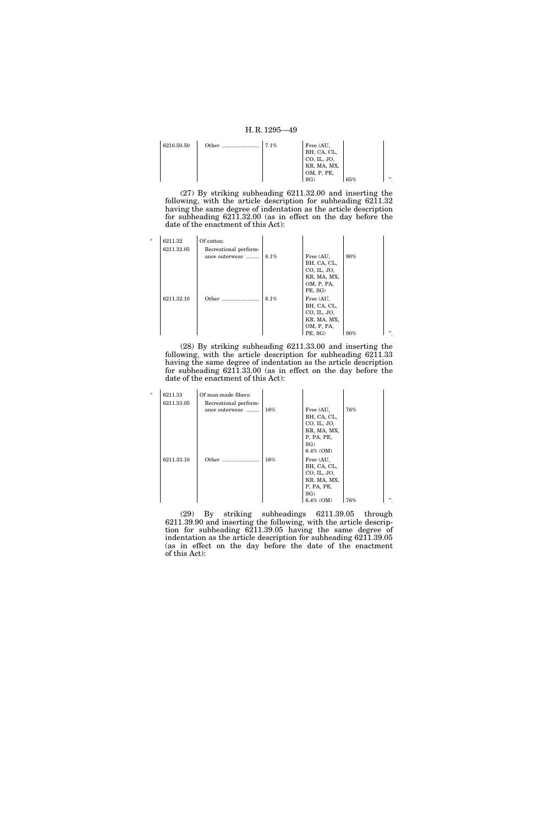| 6210.50.50 | Other | 7.1% | Free (AU,   |     |   |
|------------|-------|------|-------------|-----|---|
|            |       |      | BH, CA, CL, |     |   |
|            |       |      | CO, IL, JO, |     |   |
|            |       |      | KR, MA, MX, |     |   |
|            |       |      | OM, P, PE,  |     |   |
|            |       |      |             | 65% | " |

(27) By striking subheading 6211.32.00 and inserting the following, with the article description for subheading  $62\overline{1}1.32$ having the same degree of indentation as the article description for subheading 6211.32.00 (as in effect on the day before the date of the enactment of this Act):

| $\epsilon$ | 6211.32<br>6211.32.05 | Of cotton:<br>Recreational perform- |      |                                                                                 |        |     |
|------------|-----------------------|-------------------------------------|------|---------------------------------------------------------------------------------|--------|-----|
|            |                       | ance outerwear                      | 8.1% | Free (AU,<br>BH, CA, CL,<br>CO, IL, JO,<br>KR, MA, MX,<br>OM, P, PA,<br>PE, SG) | $90\%$ |     |
|            | 6211.32.10            | Other<br>.                          | 8.1% | Free (AU,<br>BH, CA, CL,<br>CO, IL, JO,<br>KR, MA, MX,<br>OM, P, PA,<br>PE, SG) | 90%    | , , |

(28) By striking subheading 6211.33.00 and inserting the following, with the article description for subheading 6211.33 having the same degree of indentation as the article description for subheading 6211.33.00 (as in effect on the day before the date of the enactment of this Act):

| $\epsilon$ | 6211.33    | Of man-made fibers:   |        |              |     |        |
|------------|------------|-----------------------|--------|--------------|-----|--------|
|            | 6211.33.05 | Recreational perform- |        |              |     |        |
|            |            | ance outerwear        | $16\%$ | Free (AU,    | 76% |        |
|            |            |                       |        | BH, CA, CL,  |     |        |
|            |            |                       |        | CO, IL, JO,  |     |        |
|            |            |                       |        | KR, MA, MX,  |     |        |
|            |            |                       |        | P, PA, PE,   |     |        |
|            |            |                       |        | SG)          |     |        |
|            |            |                       |        | $6.4\%$ (OM) |     |        |
|            | 6211.33.10 | Other                 | 16%    | Free (AU,    |     |        |
|            |            |                       |        | BH, CA, CL,  |     |        |
|            |            |                       |        | CO, IL, JO,  |     |        |
|            |            |                       |        | KR, MA, MX,  |     |        |
|            |            |                       |        | P, PA, PE,   |     |        |
|            |            |                       |        | SG           |     |        |
|            |            |                       |        | $6.4\%$ (OM) | 76% | , 2, 3 |

(29) By striking subheadings 6211.39.05 through 6211.39.90 and inserting the following, with the article description for subheading 6211.39.05 having the same degree of indentation as the article description for subheading 6211.39.05 (as in effect on the day before the date of the enactment of this Act):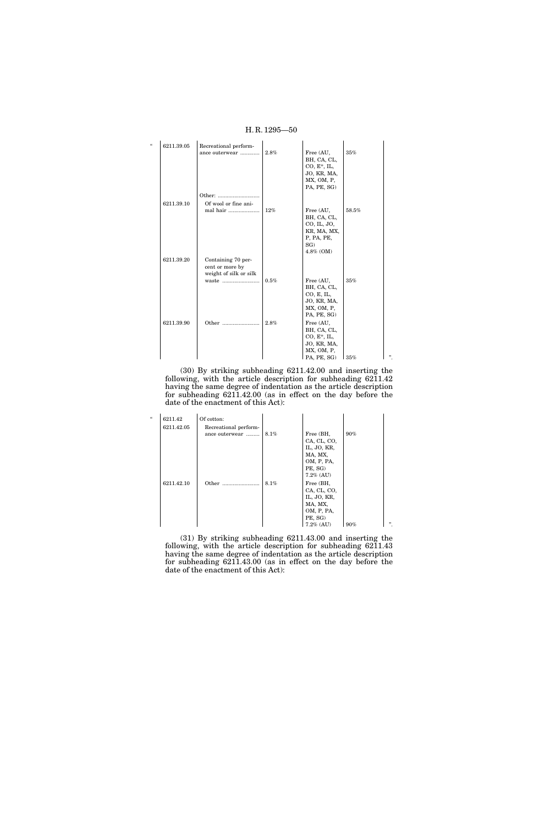| $\epsilon$ | 6211.39.05 | Recreational perform-  |      |                |       |   |
|------------|------------|------------------------|------|----------------|-------|---|
|            |            | ance outerwear         | 2.8% | Free (AU,      | 35%   |   |
|            |            |                        |      | BH, CA, CL,    |       |   |
|            |            |                        |      | $CO, E^*, IL,$ |       |   |
|            |            |                        |      | JO, KR, MA,    |       |   |
|            |            |                        |      | MX, OM, P,     |       |   |
|            |            |                        |      | PA, PE, SG)    |       |   |
|            |            |                        |      |                |       |   |
|            | 6211.39.10 | Of wool or fine ani-   |      |                |       |   |
|            |            | mal hair               | 12%  | Free (AU,      | 58.5% |   |
|            |            |                        |      | BH, CA, CL,    |       |   |
|            |            |                        |      | CO, IL, JO,    |       |   |
|            |            |                        |      | KR, MA, MX,    |       |   |
|            |            |                        |      | P, PA, PE,     |       |   |
|            |            |                        |      | $SG$ )         |       |   |
|            |            |                        |      | 4.8% (OM)      |       |   |
|            | 6211.39.20 | Containing 70 per-     |      |                |       |   |
|            |            | cent or more by        |      |                |       |   |
|            |            | weight of silk or silk |      |                |       |   |
|            |            | waste                  | 0.5% | Free (AU,      | 35%   |   |
|            |            |                        |      | BH, CA, CL,    |       |   |
|            |            |                        |      | CO, E, IL,     |       |   |
|            |            |                        |      | JO, KR, MA,    |       |   |
|            |            |                        |      | MX, OM, P,     |       |   |
|            |            |                        |      | PA, PE, SG)    |       |   |
|            | 6211.39.90 | Other                  | 2.8% | Free (AU,      |       |   |
|            |            |                        |      | BH, CA, CL,    |       |   |
|            |            |                        |      | $CO, E^*, IL,$ |       |   |
|            |            |                        |      | JO, KR, MA,    |       |   |
|            |            |                        |      | MX, OM, P,     | 35%   | " |
|            |            |                        |      | PA, PE, SG)    |       |   |

(30) By striking subheading 6211.42.00 and inserting the following, with the article description for subheading 6211.42 having the same degree of indentation as the article description for subheading 6211.42.00 (as in effect on the day before the date of the enactment of this Act):

| $\epsilon$ | 6211.42    | Of cotton:            |      |              |        |        |
|------------|------------|-----------------------|------|--------------|--------|--------|
|            | 6211.42.05 | Recreational perform- |      |              |        |        |
|            |            | ance outerwear        | 8.1% | Free (BH,    | $90\%$ |        |
|            |            |                       |      | CA, CL, CO,  |        |        |
|            |            |                       |      | IL, JO, KR,  |        |        |
|            |            |                       |      | MA, MX,      |        |        |
|            |            |                       |      | OM, P, PA,   |        |        |
|            |            |                       |      | PE, SG)      |        |        |
|            |            |                       |      | $7.2\%$ (AU) |        |        |
|            | 6211.42.10 | Other                 | 8.1% | Free (BH,    |        |        |
|            |            |                       |      | CA, CL, CO,  |        |        |
|            |            |                       |      | IL, JO, KR,  |        |        |
|            |            |                       |      | MA, MX,      |        |        |
|            |            |                       |      | OM, P, PA,   |        |        |
|            |            |                       |      | PE, SG)      |        |        |
|            |            |                       |      | $7.2\%$ (AU) | $90\%$ | , 2, 3 |

(31) By striking subheading 6211.43.00 and inserting the following, with the article description for subheading 6211.43 having the same degree of indentation as the article description for subheading 6211.43.00 (as in effect on the day before the date of the enactment of this Act):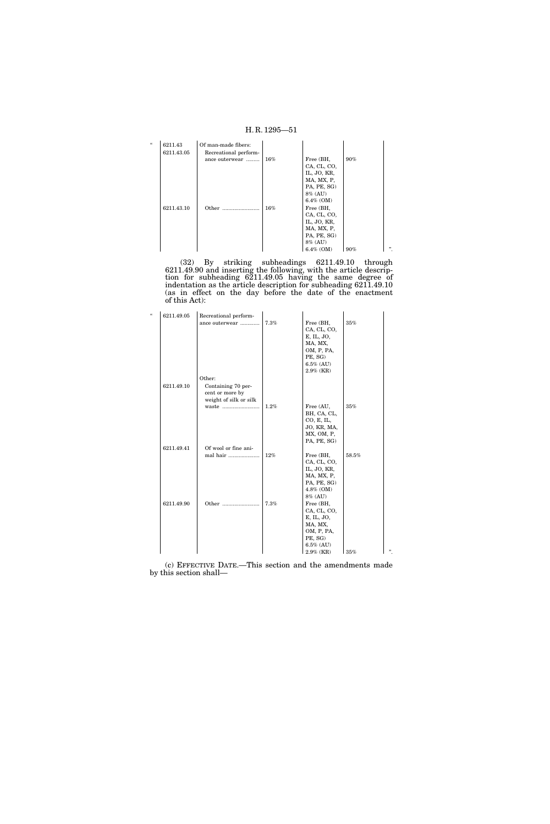| $\epsilon$ | 6211.43    | Of man-made fibers:   |        |              |        |        |
|------------|------------|-----------------------|--------|--------------|--------|--------|
|            | 6211.43.05 | Recreational perform- |        |              |        |        |
|            |            | ance outerwear        | $16\%$ | Free (BH,    | $90\%$ |        |
|            |            |                       |        | CA, CL, CO,  |        |        |
|            |            |                       |        | IL, JO, KR,  |        |        |
|            |            |                       |        | MA, MX, P,   |        |        |
|            |            |                       |        | PA, PE, SG)  |        |        |
|            |            |                       |        | 8% (AU)      |        |        |
|            |            |                       |        | $6.4\%$ (OM) |        |        |
|            | 6211.43.10 | Other                 | $16\%$ | Free (BH,    |        |        |
|            |            |                       |        | CA, CL, CO,  |        |        |
|            |            |                       |        | IL, JO, KR,  |        |        |
|            |            |                       |        | MA, MX, P,   |        |        |
|            |            |                       |        | PA, PE, SG)  |        |        |
|            |            |                       |        | 8% (AU)      |        |        |
|            |            |                       |        | $6.4\%$ (OM) | 90%    | , 2, 3 |

(32) By striking subheadings 6211.49.10 through 6211.49.90 and inserting the following, with the article description for subheading 6211.49.05 having the same degree of indentation as the article description for subheading 6211.49.10 (as in effect on the day before the date of the enactment of this Act):

| $\epsilon$ | 6211.49.05 | Recreational perform-  |      |                       |       |   |
|------------|------------|------------------------|------|-----------------------|-------|---|
|            |            | ance outerwear         | 7.3% | Free (BH,             | 35%   |   |
|            |            |                        |      | CA, CL, CO,           |       |   |
|            |            |                        |      | E, IL, JO,            |       |   |
|            |            |                        |      | MA, MX,               |       |   |
|            |            |                        |      | OM, P, PA,            |       |   |
|            |            |                        |      | PE, SG)               |       |   |
|            |            |                        |      | $6.5\%$ (AU)          |       |   |
|            |            |                        |      | $2.9\%$ (KR)          |       |   |
|            |            | Other:                 |      |                       |       |   |
|            | 6211.49.10 | Containing 70 per-     |      |                       |       |   |
|            |            | cent or more by        |      |                       |       |   |
|            |            | weight of silk or silk |      |                       |       |   |
|            |            | waste                  | 1.2% | Free (AU,             | 35%   |   |
|            |            |                        |      | BH, CA, CL,           |       |   |
|            |            |                        |      | CO, E, IL,            |       |   |
|            |            |                        |      | JO, KR, MA,           |       |   |
|            |            |                        |      | MX, OM, P,            |       |   |
|            |            |                        |      | PA, PE, SG)           |       |   |
|            | 6211.49.41 | Of wool or fine ani-   |      |                       |       |   |
|            |            | mal hair               | 12%  | Free (BH,             | 58.5% |   |
|            |            |                        |      | CA, CL, CO,           |       |   |
|            |            |                        |      | IL, JO, KR,           |       |   |
|            |            |                        |      | MA, MX, P,            |       |   |
|            |            |                        |      | PA, PE, SG)           |       |   |
|            |            |                        |      | 4.8% (OM)             |       |   |
|            |            |                        |      | 8% (AU)               |       |   |
|            | 6211.49.90 | Other                  | 7.3% | Free (BH,             |       |   |
|            |            |                        |      | CA, CL, CO,           |       |   |
|            |            |                        |      | E, IL, JO,            |       |   |
|            |            |                        |      | MA, MX,               |       |   |
|            |            |                        |      | OM, P, PA,<br>PE, SG) |       |   |
|            |            |                        |      | $6.5\%$ (AU)          |       |   |
|            |            |                        |      | $2.9\%$ (KR)          | 35%   | " |
|            |            |                        |      |                       |       |   |

(c) EFFECTIVE DATE.—This section and the amendments made by this section shall—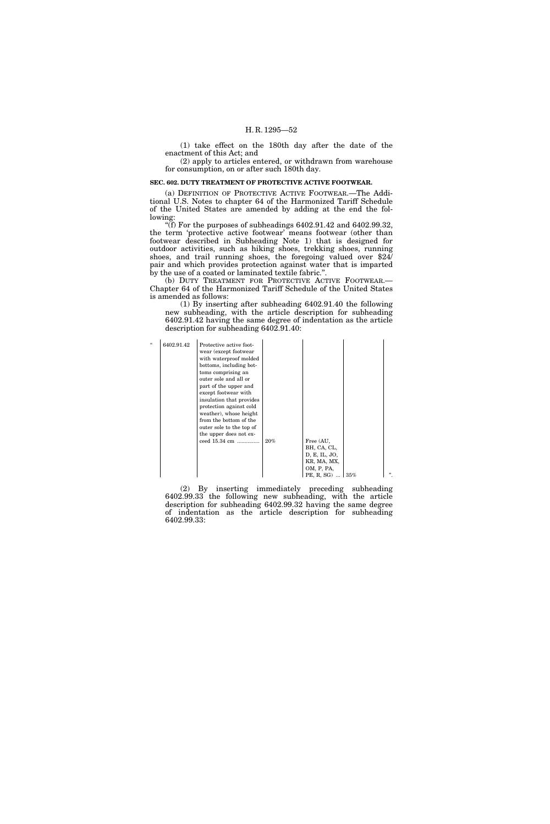(1) take effect on the 180th day after the date of the enactment of this Act; and

(2) apply to articles entered, or withdrawn from warehouse for consumption, on or after such 180th day.

#### **SEC. 602. DUTY TREATMENT OF PROTECTIVE ACTIVE FOOTWEAR.**

(a) DEFINITION OF PROTECTIVE ACTIVE FOOTWEAR.—The Additional U.S. Notes to chapter 64 of the Harmonized Tariff Schedule of the United States are amended by adding at the end the following:

"(f) For the purposes of subheadings  $6402.91.42$  and  $6402.99.32$ , the term 'protective active footwear' means footwear (other than footwear described in Subheading Note 1) that is designed for outdoor activities, such as hiking shoes, trekking shoes, running shoes, and trail running shoes, the foregoing valued over \$24/ pair and which provides protection against water that is imparted by the use of a coated or laminated textile fabric.''.

(b) DUTY TREATMENT FOR PROTECTIVE ACTIVE FOOTWEAR.— Chapter 64 of the Harmonized Tariff Schedule of the United States is amended as follows:

(1) By inserting after subheading 6402.91.40 the following new subheading, with the article description for subheading 6402.91.42 having the same degree of indentation as the article description for subheading 6402.91.40:

| $\mathcal{U}$<br>6402.91.42<br>Protective active foot-<br>wear (except footwear)<br>with waterproof molded<br>bottoms, including bot-<br>toms comprising an<br>outer sole and all or<br>part of the upper and<br>except footwear with<br>insulation that provides<br>protection against cold<br>weather), whose height<br>from the bottom of the<br>outer sole to the top of<br>the upper does not ex-<br>ceed 15.34 cm<br>Free (AU,<br>$20\%$<br>BH, CA, CL,<br>D, E, IL, JO,<br>KR, MA, MX,<br>OM, P, PA,<br>PE, R, SG) $\vert$ 35% | " |
|---------------------------------------------------------------------------------------------------------------------------------------------------------------------------------------------------------------------------------------------------------------------------------------------------------------------------------------------------------------------------------------------------------------------------------------------------------------------------------------------------------------------------------------|---|
|---------------------------------------------------------------------------------------------------------------------------------------------------------------------------------------------------------------------------------------------------------------------------------------------------------------------------------------------------------------------------------------------------------------------------------------------------------------------------------------------------------------------------------------|---|

(2) By inserting immediately preceding subheading 6402.99.33 the following new subheading, with the article description for subheading 6402.99.32 having the same degree of indentation as the article description for subheading 6402.99.33: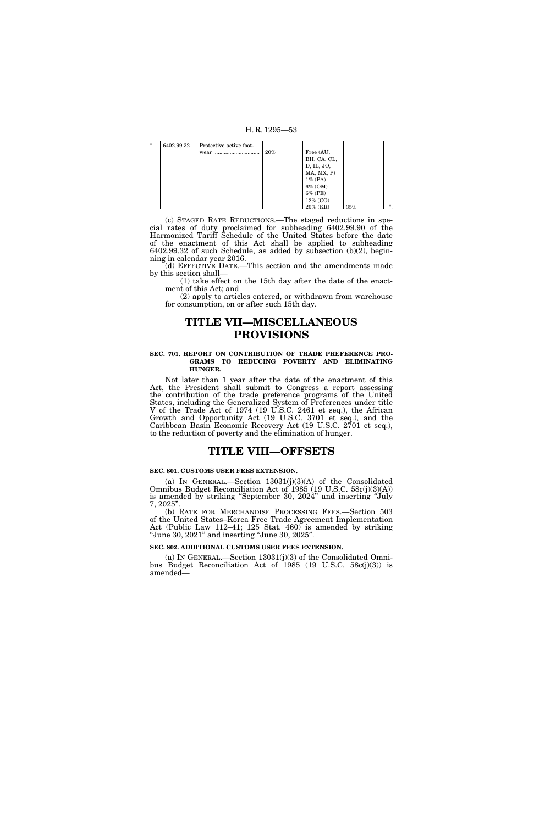| H.R. $1295 - 53$ |  |
|------------------|--|
|------------------|--|

| $\epsilon$ | 6402.99.32 | Protective active foot- |        |                     |     |   |
|------------|------------|-------------------------|--------|---------------------|-----|---|
|            |            | wear                    | $20\%$ | Free (AU,           |     |   |
|            |            |                         |        | BH, CA, CL,         |     |   |
|            |            |                         |        | D, IL, JO,          |     |   |
|            |            |                         |        | $MA$ , $MX$ , $P$ ) |     |   |
|            |            |                         |        | $1\%$ (PA)          |     |   |
|            |            |                         |        | 6% (OM)             |     |   |
|            |            |                         |        | 6% (PE)             |     |   |
|            |            |                         |        | $12\%$ (CO)         |     |   |
|            |            |                         |        | $20\%$ (KR)         | 35% | " |

(c) STAGED RATE REDUCTIONS.—The staged reductions in special rates of duty proclaimed for subheading 6402.99.90 of the Harmonized Tariff Schedule of the United States before the date of the enactment of this Act shall be applied to subheading 6402.99.32 of such Schedule, as added by subsection (b)(2), beginning in calendar year 2016.

(d) EFFECTIVE DATE.—This section and the amendments made by this section shall—

(1) take effect on the 15th day after the date of the enactment of this Act; and

(2) apply to articles entered, or withdrawn from warehouse for consumption, on or after such 15th day.

# **TITLE VII—MISCELLANEOUS PROVISIONS**

#### **SEC. 701. REPORT ON CONTRIBUTION OF TRADE PREFERENCE PRO-GRAMS TO REDUCING POVERTY AND ELIMINATING HUNGER.**

Not later than 1 year after the date of the enactment of this Act, the President shall submit to Congress a report assessing the contribution of the trade preference programs of the United States, including the Generalized System of Preferences under title V of the Trade Act of 1974 (19 U.S.C. 2461 et seq.), the African Growth and Opportunity Act (19 U.S.C. 3701 et seq.), and the Caribbean Basin Economic Recovery Act (19 U.S.C. 2701 et seq.), to the reduction of poverty and the elimination of hunger.

# **TITLE VIII—OFFSETS**

#### **SEC. 801. CUSTOMS USER FEES EXTENSION.**

(a) IN GENERAL.—Section 13031(j)(3)(A) of the Consolidated Omnibus Budget Reconciliation Act of 1985 (19 U.S.C. 58c(j)(3)(A)) is amended by striking "September 30, 2024" and inserting "July 7, 2025''.

(b) RATE FOR MERCHANDISE PROCESSING FEES.—Section 503 of the United States–Korea Free Trade Agreement Implementation Act (Public Law 112–41; 125 Stat. 460) is amended by striking ''June 30, 2021'' and inserting ''June 30, 2025''.

#### **SEC. 802. ADDITIONAL CUSTOMS USER FEES EXTENSION.**

(a) IN GENERAL.—Section 13031(j)(3) of the Consolidated Omnibus Budget Reconciliation Act of 1985 (19 U.S.C. 58c(j)(3)) is amended—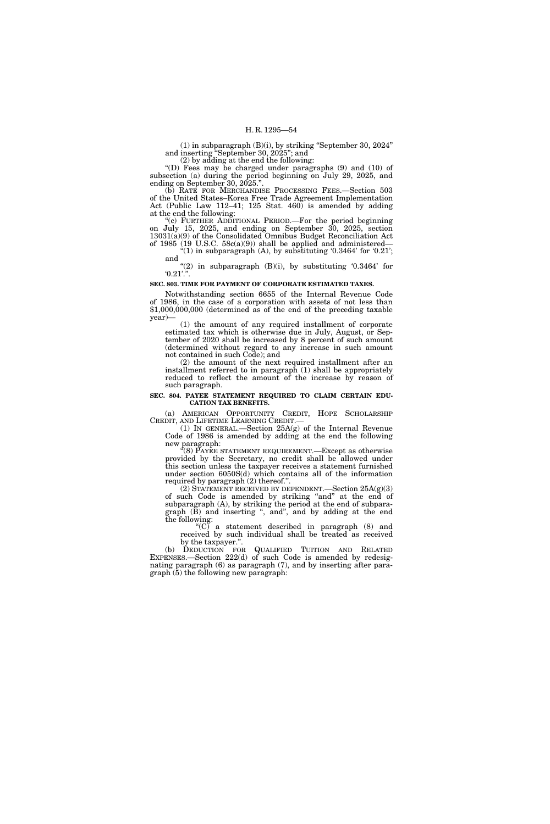(1) in subparagraph (B)(i), by striking ''September 30, 2024'' and inserting ''September 30, 2025''; and

(2) by adding at the end the following:

''(D) Fees may be charged under paragraphs (9) and (10) of subsection (a) during the period beginning on July 29, 2025, and ending on September 30, 2025.''.

(b) RATE FOR MERCHANDISE PROCESSING FEES.—Section 503 of the United States–Korea Free Trade Agreement Implementation Act (Public Law 112–41; 125 Stat. 460) is amended by adding at the end the following:

''(c) FURTHER ADDITIONAL PERIOD.—For the period beginning on July 15, 2025, and ending on September 30, 2025, section 13031(a)(9) of the Consolidated Omnibus Budget Reconciliation Act of 1985 (19 U.S.C. 58c(a)(9)) shall be applied and administered—

 $(1)$  in subparagraph (A), by substituting  $0.3464$  for  $0.21$ ; and

" $(2)$  in subparagraph  $(B)(i)$ , by substituting  $'0.3464'$  for  $0.21$ ."

#### **SEC. 803. TIME FOR PAYMENT OF CORPORATE ESTIMATED TAXES.**

Notwithstanding section 6655 of the Internal Revenue Code of 1986, in the case of a corporation with assets of not less than \$1,000,000,000 (determined as of the end of the preceding taxable year)—

(1) the amount of any required installment of corporate estimated tax which is otherwise due in July, August, or September of 2020 shall be increased by 8 percent of such amount (determined without regard to any increase in such amount not contained in such Code); and

(2) the amount of the next required installment after an installment referred to in paragraph (1) shall be appropriately reduced to reflect the amount of the increase by reason of such paragraph.

#### **SEC. 804. PAYEE STATEMENT REQUIRED TO CLAIM CERTAIN EDU-CATION TAX BENEFITS.**

(a) AMERICAN OPPORTUNITY CREDIT, HOPE SCHOLARSHIP

(1) IN GENERAL.—Section  $25A(g)$  of the Internal Revenue Code of 1986 is amended by adding at the end the following new paragraph:

"(8) PAYEE STATEMENT REQUIREMENT.—Except as otherwise provided by the Secretary, no credit shall be allowed under this section unless the taxpayer receives a statement furnished under section 6050S(d) which contains all of the information required by paragraph (2) thereof.''.

(2) STATEMENT RECEIVED BY DEPENDENT.—Section 25A(g)(3) of such Code is amended by striking "and" at the end of subparagraph (A), by striking the period at the end of subparagraph (B) and inserting '', and'', and by adding at the end the following:

" $(C)$  a statement described in paragraph  $(8)$  and received by such individual shall be treated as received by the taxpayer.''.

(b) DEDUCTION FOR QUALIFIED TUITION AND RELATED EXPENSES.—Section 222(d) of such Code is amended by redesignating paragraph (6) as paragraph (7), and by inserting after para $graph (5)$  the following new paragraph: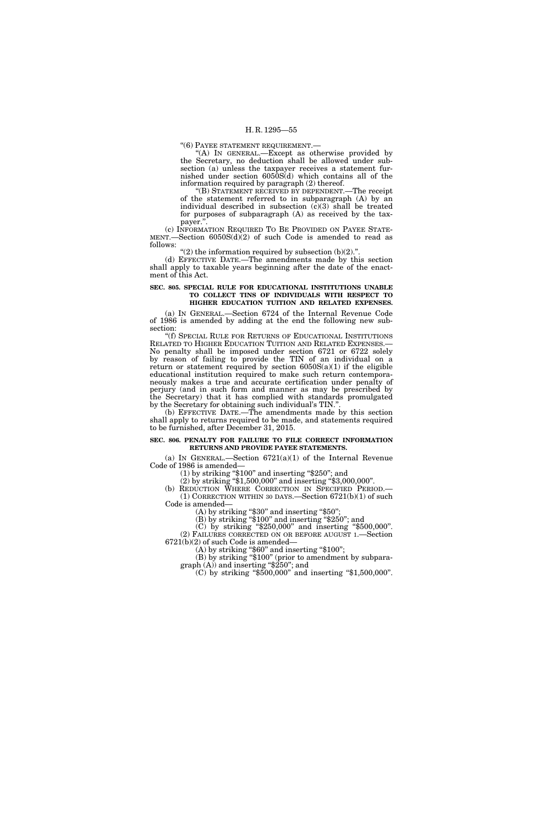''(6) PAYEE STATEMENT REQUIREMENT.—

"(A) In GENERAL.—Except as otherwise provided by the Secretary, no deduction shall be allowed under subsection (a) unless the taxpayer receives a statement furnished under section 6050S(d) which contains all of the information required by paragraph (2) thereof.

''(B) STATEMENT RECEIVED BY DEPENDENT.—The receipt of the statement referred to in subparagraph (A) by an individual described in subsection  $(c)(3)$  shall be treated for purposes of subparagraph (A) as received by the taxpayer.''.

(c) INFORMATION REQUIRED TO BE PROVIDED ON PAYEE STATE-MENT.—Section  $6050S(d)(2)$  of such Code is amended to read as follows:

" $(2)$  the information required by subsection  $(b)(2)$ .".

(d) EFFECTIVE DATE.—The amendments made by this section shall apply to taxable years beginning after the date of the enactment of this Act.

#### **SEC. 805. SPECIAL RULE FOR EDUCATIONAL INSTITUTIONS UNABLE TO COLLECT TINS OF INDIVIDUALS WITH RESPECT TO HIGHER EDUCATION TUITION AND RELATED EXPENSES.**

(a) IN GENERAL.—Section 6724 of the Internal Revenue Code of 1986 is amended by adding at the end the following new subsection:

''(f) SPECIAL RULE FOR RETURNS OF EDUCATIONAL INSTITUTIONS No penalty shall be imposed under section 6721 or 6722 solely by reason of failing to provide the TIN of an individual on a return or statement required by section  $6050S(a)(1)$  if the eligible educational institution required to make such return contemporaneously makes a true and accurate certification under penalty of perjury (and in such form and manner as may be prescribed by the Secretary) that it has complied with standards promulgated by the Secretary for obtaining such individual's TIN.'

(b) EFFECTIVE DATE.—The amendments made by this section shall apply to returns required to be made, and statements required to be furnished, after December 31, 2015.

#### **SEC. 806. PENALTY FOR FAILURE TO FILE CORRECT INFORMATION RETURNS AND PROVIDE PAYEE STATEMENTS.**

(a) IN GENERAL.—Section  $6721(a)(1)$  of the Internal Revenue Code of 1986 is amended—

(1) by striking ''\$100'' and inserting ''\$250''; and

(2) by striking ''\$1,500,000'' and inserting ''\$3,000,000''.

(b) REDUCTION WHERE CORRECTION IN SPECIFIED PERIOD.—<br>(1) CORRECTION WITHIN 30 DAYS.—Section 6721(b)(1) of such Code is amended—

 $(A)$  by striking "\$30" and inserting "\$50";

(B) by striking "\$100" and inserting "\$250"; and

(C) by striking ''\$250,000'' and inserting ''\$500,000''. (2) FAILURES CORRECTED ON OR BEFORE AUGUST 1.—Section 6721(b)(2) of such Code is amended—

 $(A)$  by striking "\$60" and inserting "\$100";

(B) by striking "\$100" (prior to amendment by subparagraph (A)) and inserting "\$250"; and<br>(C) by striking "\$500,000" and inserting "\$1,500,000".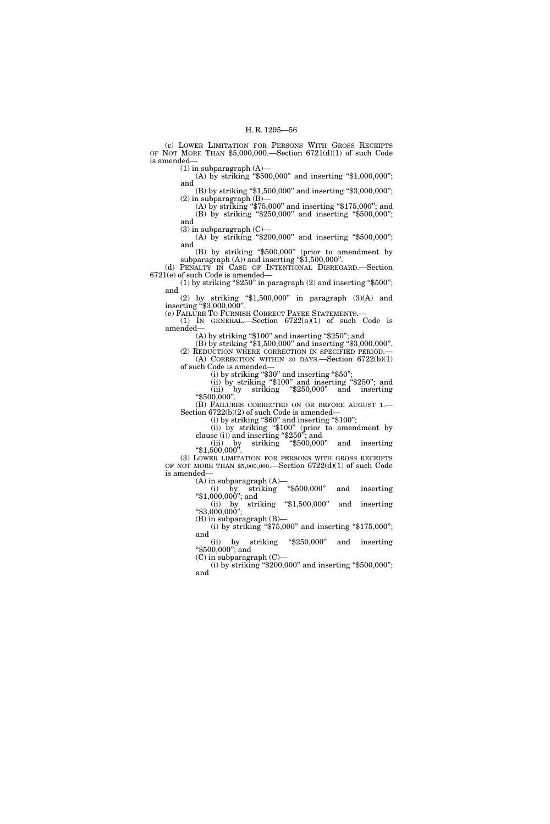(c) LOWER LIMITATION FOR PERSONS WITH GROSS RECEIPTS OF NOT MORE THAN \$5,000,000.—Section 6721(d)(1) of such Code is amended—

 $(1)$  in subparagraph  $(A)$ — (A) by striking "\$500,000" and inserting "\$1,000,000"; and

(B) by striking "\$1,500,000" and inserting "\$3,000,000"; (2) in subparagraph (B)—

(A) by striking ''\$75,000'' and inserting ''\$175,000''; and (B) by striking ''\$250,000'' and inserting ''\$500,000''; and

 $(3)$  in subparagraph  $(C)$ —

(A) by striking "\$200,000" and inserting "\$500,000"; and

(B) by striking ''\$500,000'' (prior to amendment by subparagraph  $(A)$ ) and inserting "\$1,500,000".

(d) PENALTY IN CASE OF INTENTIONAL DISREGARD.—Section 6721(e) of such Code is amended—

(1) by striking " $$250"$  in paragraph (2) and inserting " $$500"$ ; and

(2) by striking " $1,500,000$ " in paragraph  $(3)(A)$  and inserting ''\$3,000,000''.

(e) FAILURE TO FURNISH CORRECT PAYEE STATEMENTS.— (1) IN GENERAL.—Section 6722(a)(1) of such Code is

amended— (A) by striking "\$100" and inserting "\$250"; and

(B) by striking ''\$1,500,000'' and inserting ''\$3,000,000''. (2) REDUCTION WHERE CORRECTION IN SPECIFIED PERIOD.— (A) CORRECTION WITHIN 30 DAYS.—Section 6722(b)(1) of such Code is amended—

(i) by striking ''\$30'' and inserting ''\$50'';

(ii) by striking ''\$100'' and inserting ''\$250''; and (iii) by striking ''\$250,000'' and inserting

''\$500,000''. (B) FAILURES CORRECTED ON OR BEFORE AUGUST 1.—<br>Section 6722(b)(2) of such Code is amended—

 $(i)$  by striking "\$60" and inserting "\$100";

(ii) by striking " $\$100"$  (prior to amendment by clause (i)) and inserting " $\$250"$ ; and (iii) by striking " $\$500,000"$  and inserting " $\$1,500,000"$ .

(iii) by striking " $$500,000$ " and inserting " $$1,500,000$ ".<br>(3) LOWER LIMITATION FOR PERSONS WITH GROSS RECEIPTS

OF NOT MORE THAN \$5,000,000.—Section 6722(d)(1) of such Code is amended—

(A) in subparagraph  $(A)$ —<br>(i) by striking "\$500,000"

(i) by striking ''\$500,000'' and inserting ''\$1,000,000''; and (ii) by striking ''\$1,500,000'' and inserting

" $$3,000,000"$ ; (B) in subparagraph (B)—

(i) by striking " $$75,000"$  and inserting " $$175,000"$ ; and

(ii) by striking ''\$250,000'' and inserting ''\$500,000''; and

(C) in subparagraph (C)— (i) by striking " $$200,000$ " and inserting " $$500,000$ "; and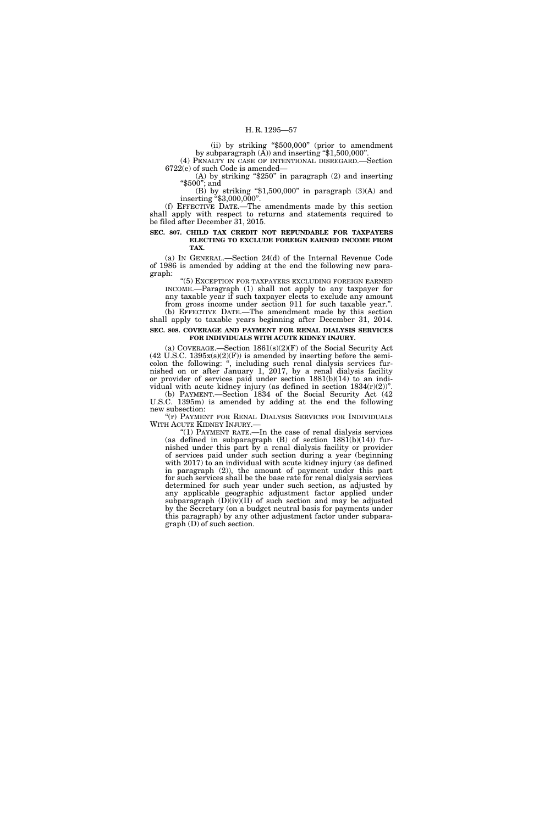(ii) by striking ''\$500,000'' (prior to amendment by subparagraph (A)) and inserting ''\$1,500,000''. (4) PENALTY IN CASE OF INTENTIONAL DISREGARD.—Section

6722(e) of such Code is amended—

(A) by striking " $$250"$  in paragraph (2) and inserting ''\$500''; and

(B) by striking " $$1,500,000$ " in paragraph  $(3)(A)$  and inserting ''\$3,000,000''.

(f) EFFECTIVE DATE.—The amendments made by this section shall apply with respect to returns and statements required to be filed after December 31, 2015.

#### **SEC. 807. CHILD TAX CREDIT NOT REFUNDABLE FOR TAXPAYERS ELECTING TO EXCLUDE FOREIGN EARNED INCOME FROM TAX.**

(a) IN GENERAL.—Section 24(d) of the Internal Revenue Code of 1986 is amended by adding at the end the following new paragraph:

''(5) EXCEPTION FOR TAXPAYERS EXCLUDING FOREIGN EARNED INCOME.—Paragraph (1) shall not apply to any taxpayer for any taxable year if such taxpayer elects to exclude any amount from gross income under section 911 for such taxable year.''.

(b) EFFECTIVE DATE.—The amendment made by this section shall apply to taxable years beginning after December 31, 2014. **SEC. 808. COVERAGE AND PAYMENT FOR RENAL DIALYSIS SERVICES** 

# **FOR INDIVIDUALS WITH ACUTE KIDNEY INJURY.**

(a) COVERAGE.—Section  $1861(s)(2)(F)$  of the Social Security Act (42 U.S.C. 1395 $x(s)(2)(F)$ ) is amended by inserting before the semicolon the following: '', including such renal dialysis services furnished on or after January 1, 2017, by a renal dialysis facility or provider of services paid under section 1881(b)(14) to an individual with acute kidney injury (as defined in section  $1834(r)(2)$ )". (b) PAYMENT.—Section 1834 of the Social Security Act (42

U.S.C. 1395m) is amended by adding at the end the following new subsection: "(r) PAYMENT FOR RENAL DIALYSIS SERVICES FOR INDIVIDUALS

WITH ACUTE KIDNEY INJURY.—

''(1) PAYMENT RATE.—In the case of renal dialysis services (as defined in subparagraph  $(B)$  of section  $1881(b)(14)$ ) furnished under this part by a renal dialysis facility or provider of services paid under such section during a year (beginning with 2017) to an individual with acute kidney injury (as defined in paragraph (2)), the amount of payment under this part for such services shall be the base rate for renal dialysis services determined for such year under such section, as adjusted by any applicable geographic adjustment factor applied under subparagraph (D)(iv)(II) of such section and may be adjusted by the Secretary (on a budget neutral basis for payments under this paragraph) by any other adjustment factor under subparagraph (D) of such section.